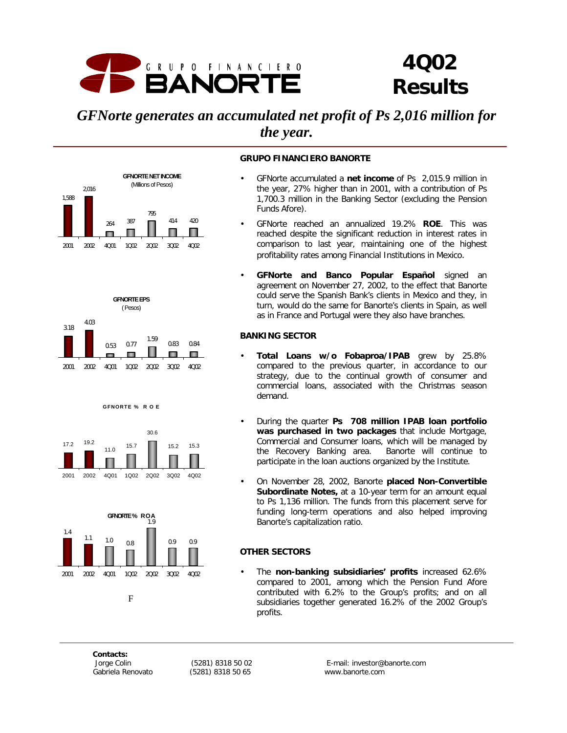

## *4Q02 Results*

## *GFNorte generates an accumulated net profit of Ps 2,016 million for the year.*





**GFNORTE % R O E** 





## **Figure 1**

#### **GRUPO FINANCIERO BANORTE**

- GFNorte accumulated a **net income** of Ps 2,015.9 million in the year, 27% higher than in 2001, with a contribution of Ps 1,700.3 million in the Banking Sector (excluding the Pension Funds Afore).
- GFNorte reached an annualized 19.2% **ROE**. This was reached despite the significant reduction in interest rates in comparison to last year, maintaining one of the highest profitability rates among Financial Institutions in Mexico.
- **GFNorte and Banco Popular Español** signed an agreement on November 27, 2002, to the effect that Banorte could serve the Spanish Bank's clients in Mexico and they, in turn, would do the same for Banorte's clients in Spain, as well as in France and Portugal were they also have branches.

## **BANKING SECTOR**

- **Total Loans w/o Fobaproa/IPAB** grew by 25.8% compared to the previous quarter, in accordance to our strategy, due to the continual growth of consumer and commercial loans, associated with the Christmas season demand.
- During the quarter **Ps 708 million IPAB loan portfolio was purchased in two packages** that include Mortgage, Commercial and Consumer loans, which will be managed by the Recovery Banking area. Banorte will continue to participate in the loan auctions organized by the Institute.
- On November 28, 2002, Banorte **placed Non-Convertible Subordinate Notes,** at a 10-year term for an amount equal to Ps 1,136 million. The funds from this placement serve for funding long-term operations and also helped improving Banorte's capitalization ratio.

## **OTHER SECTORS**

• The **non-banking subsidiaries' profits** increased 62.6% compared to 2001, among which the Pension Fund Afore contributed with 6.2% to the Group's profits; and on all subsidiaries together generated 16.2% of the 2002 Group's profits.

*Contacts:*

*Gabriela Renovato (5281) 8318 50 65 www.banorte.com*

 *Jorge Colin (5281) 8318 50 02 E-mail: investor@banorte.com*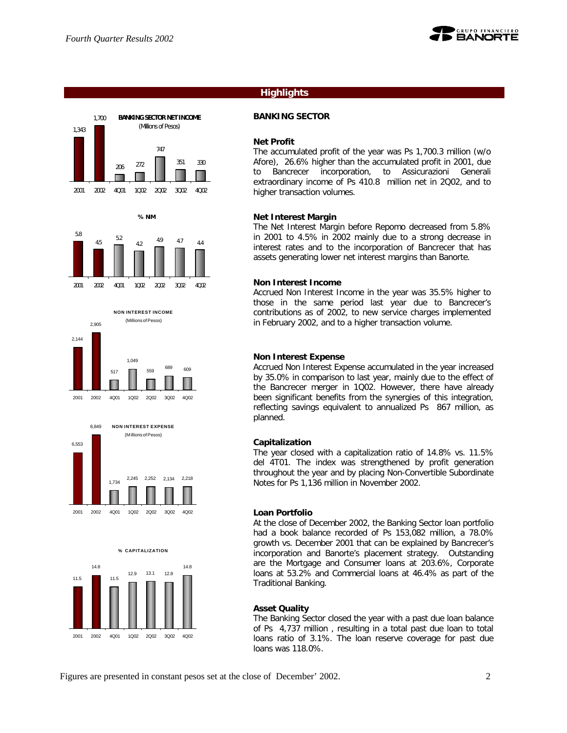1,700



## **Highlights**

## **BANKING SECTOR**

#### **Net Profit**

The accumulated profit of the year was Ps 1,700.3 million (w/o Afore), 26.6% higher than the accumulated profit in 2001, due to Bancrecer incorporation, to Assicurazioni Generali extraordinary income of Ps 410.8 million net in 2Q02, and to higher transaction volumes.

## **Net Interest Margin**

The Net Interest Margin before Repomo decreased from 5.8% in 2001 to 4.5% in 2002 mainly due to a strong decrease in interest rates and to the incorporation of Bancrecer that has assets generating lower net interest margins than Banorte.

#### **Non Interest Income**

Accrued Non Interest Income in the year was 35.5% higher to those in the same period last year due to Bancrecer's contributions as of 2002, to new service charges implemented in February 2002, and to a higher transaction volume.

## **Non Interest Expense**

Accrued Non Interest Expense accumulated in the year increased by 35.0% in comparison to last year, mainly due to the effect of the Bancrecer merger in 1Q02. However, there have already been significant benefits from the synergies of this integration, reflecting savings equivalent to annualized Ps 867 million, as planned.

## **Capitalization**

The year closed with a capitalization ratio of 14.8% vs. 11.5% del 4T01. The index was strengthened by profit generation throughout the year and by placing Non-Convertible Subordinate Notes for Ps 1,136 million in November 2002.

#### **Loan Portfolio**

At the close of December 2002, the Banking Sector loan portfolio had a book balance recorded of Ps 153,082 million, a 78.0% growth vs. December 2001 that can be explained by Bancrecer's incorporation and Banorte's placement strategy. Outstanding are the Mortgage and Consumer loans at 203.6%, Corporate loans at 53.2% and Commercial loans at 46.4% as part of the Traditional Banking.

## **Asset Quality**

The Banking Sector closed the year with a past due loan balance of Ps 4,737 million , resulting in a total past due loan to total loans ratio of 3.1%. The loan reserve coverage for past due loans was 118.0%.















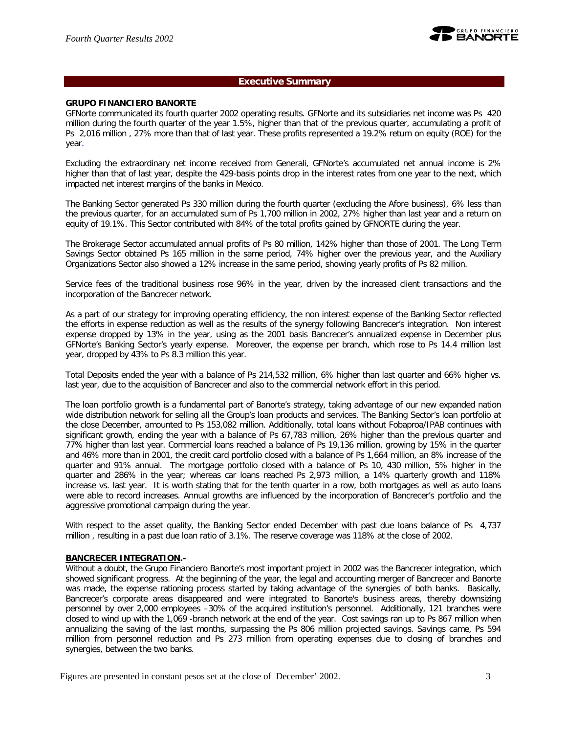## **Executive Summary**

## **GRUPO FINANCIERO BANORTE**

GFNorte communicated its fourth quarter 2002 operating results. GFNorte and its subsidiaries net income was Ps 420 million during the fourth quarter of the year 1.5%, higher than that of the previous quarter, accumulating a profit of Ps 2,016 million , 27% more than that of last year. These profits represented a 19.2% return on equity (ROE) for the year.

Excluding the extraordinary net income received from Generali, GFNorte's accumulated net annual income is 2% higher than that of last year, despite the 429-basis points drop in the interest rates from one year to the next, which impacted net interest margins of the banks in Mexico.

The Banking Sector generated Ps 330 million during the fourth quarter (excluding the Afore business), 6% less than the previous quarter, for an accumulated sum of Ps 1,700 million in 2002, 27% higher than last year and a return on equity of 19.1%. This Sector contributed with 84% of the total profits gained by GFNORTE during the year.

The Brokerage Sector accumulated annual profits of Ps 80 million, 142% higher than those of 2001. The Long Term Savings Sector obtained Ps 165 million in the same period, 74% higher over the previous year, and the Auxiliary Organizations Sector also showed a 12% increase in the same period, showing yearly profits of Ps 82 million.

Service fees of the traditional business rose 96% in the year, driven by the increased client transactions and the incorporation of the Bancrecer network.

As a part of our strategy for improving operating efficiency, the non interest expense of the Banking Sector reflected the efforts in expense reduction as well as the results of the synergy following Bancrecer's integration. Non interest expense dropped by 13% in the year, using as the 2001 basis Bancrecer's annualized expense in December plus GFNorte's Banking Sector's yearly expense. Moreover, the expense per branch, which rose to Ps 14.4 million last year, dropped by 43% to Ps 8.3 million this year.

Total Deposits ended the year with a balance of Ps 214,532 million, 6% higher than last quarter and 66% higher vs. last year, due to the acquisition of Bancrecer and also to the commercial network effort in this period.

The loan portfolio growth is a fundamental part of Banorte's strategy, taking advantage of our new expanded nation wide distribution network for selling all the Group's loan products and services. The Banking Sector's loan portfolio at the close December, amounted to Ps 153,082 million. Additionally, total loans without Fobaproa/IPAB continues with significant growth, ending the year with a balance of Ps 67,783 million, 26% higher than the previous quarter and 77% higher than last year. Commercial loans reached a balance of Ps 19,136 million, growing by 15% in the quarter and 46% more than in 2001, the credit card portfolio closed with a balance of Ps 1,664 million, an 8% increase of the quarter and 91% annual. The mortgage portfolio closed with a balance of Ps 10, 430 million, 5% higher in the quarter and 286% in the year; whereas car loans reached Ps 2,973 million, a 14% quarterly growth and 118% increase vs. last year. It is worth stating that for the tenth quarter in a row, both mortgages as well as auto loans were able to record increases. Annual growths are influenced by the incorporation of Bancrecer's portfolio and the aggressive promotional campaign during the year.

With respect to the asset quality, the Banking Sector ended December with past due loans balance of Ps 4,737 million , resulting in a past due loan ratio of 3.1%. The reserve coverage was 118% at the close of 2002.

## **BANCRECER INTEGRATION.-**

Without a doubt, the Grupo Financiero Banorte's most important project in 2002 was the Bancrecer integration, which showed significant progress. At the beginning of the year, the legal and accounting merger of Bancrecer and Banorte was made, the expense rationing process started by taking advantage of the synergies of both banks. Basically, Bancrecer's corporate areas disappeared and were integrated to Banorte's business areas, thereby downsizing personnel by over 2,000 employees –30% of the acquired institution's personnel. Additionally, 121 branches were closed to wind up with the 1,069 -branch network at the end of the year. Cost savings ran up to Ps 867 million when annualizing the saving of the last months, surpassing the Ps 806 million projected savings. Savings came, Ps 594 million from personnel reduction and Ps 273 million from operating expenses due to closing of branches and synergies, between the two banks.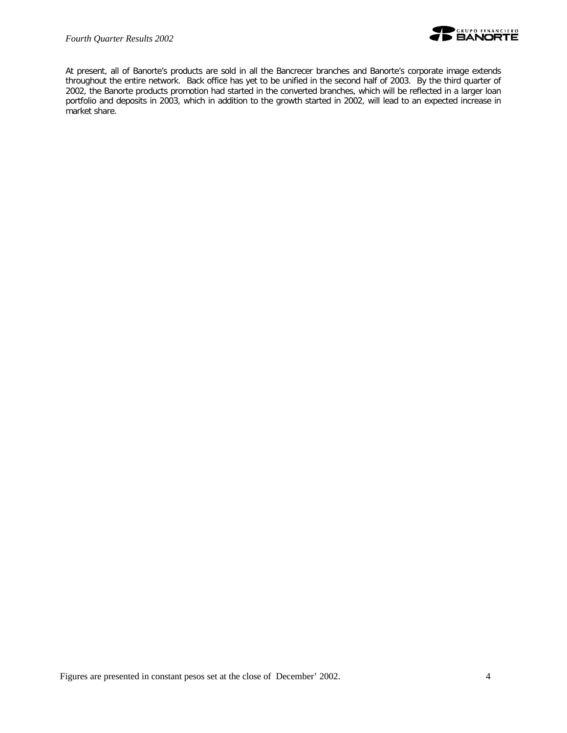

At present, all of Banorte's products are sold in all the Bancrecer branches and Banorte's corporate image extends throughout the entire network. Back office has yet to be unified in the second half of 2003. By the third quarter of 2002, the Banorte products promotion had started in the converted branches, which will be reflected in a larger loan portfolio and deposits in 2003, which in addition to the growth started in 2002, will lead to an expected increase in market share.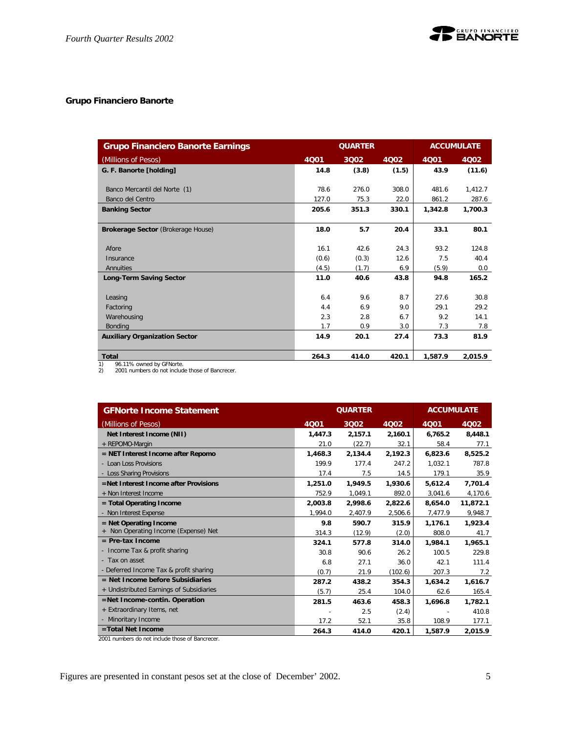## **Grupo Financiero Banorte**

| <b>Grupo Financiero Banorte Earnings</b>   |       | <b>ACCUMULATE</b> |       |         |         |
|--------------------------------------------|-------|-------------------|-------|---------|---------|
| (Millions of Pesos)                        | 4001  | 3002              | 4002  | 4001    | 4Q02    |
| G. F. Banorte [holding]                    | 14.8  | (3.8)             | (1.5) | 43.9    | (11.6)  |
|                                            |       |                   |       |         |         |
| Banco Mercantil del Norte (1)              | 78.6  | 276.0             | 308.0 | 481.6   | 1,412.7 |
| Banco del Centro                           | 127.0 | 75.3              | 22.0  | 861.2   | 287.6   |
| <b>Banking Sector</b>                      | 205.6 | 351.3             | 330.1 | 1,342.8 | 1,700.3 |
|                                            |       |                   |       |         |         |
| Brokerage Sector (Brokerage House)         | 18.0  | 5.7               | 20.4  | 33.1    | 80.1    |
|                                            |       |                   |       |         |         |
| Afore                                      | 16.1  | 42.6              | 24.3  | 93.2    | 124.8   |
| Insurance                                  | (0.6) | (0.3)             | 12.6  | 7.5     | 40.4    |
| Annuities                                  | (4.5) | (1.7)             | 6.9   | (5.9)   | 0.0     |
| <b>Long-Term Saving Sector</b>             | 11.0  | 40.6              | 43.8  | 94.8    | 165.2   |
|                                            |       |                   |       |         |         |
| Leasing                                    | 6.4   | 9.6               | 8.7   | 27.6    | 30.8    |
| Factoring                                  | 4.4   | 6.9               | 9.0   | 29.1    | 29.2    |
| Warehousing                                | 2.3   | 2.8               | 6.7   | 9.2     | 14.1    |
| <b>Bonding</b>                             | 1.7   | 0.9               | 3.0   | 7.3     | 7.8     |
| <b>Auxiliary Organization Sector</b>       | 14.9  | 20.1              | 27.4  | 73.3    | 81.9    |
|                                            |       |                   |       |         |         |
| <b>Total</b><br>$0/110/$ august by CENesta | 264.3 | 414.0             | 420.1 | 1.587.9 | 2,015.9 |

1) 96.11% owned by GFNorte. 2) 2001 numbers do not include those of Bancrecer.

| <b>GFNorte Income Statement</b>          |         | <b>QUARTER</b> | <b>ACCUMULATE</b> |         |          |
|------------------------------------------|---------|----------------|-------------------|---------|----------|
| (Millions of Pesos)                      | 4Q01    | 3002           | 4Q02              | 4Q01    | 4002     |
| Net Interest Income (NII)                | 1,447.3 | 2,157.1        | 2,160.1           | 6,765.2 | 8,448.1  |
| + REPOMO-Margin                          | 21.0    | (22.7)         | 32.1              | 58.4    | 77.1     |
| $=$ NET Interest Income after Repomo     | 1,468.3 | 2,134.4        | 2,192.3           | 6,823.6 | 8,525.2  |
| - Loan Loss Provisions                   | 199.9   | 177.4          | 247.2             | 1.032.1 | 787.8    |
| - Loss Sharing Provisions                | 17.4    | 7.5            | 14.5              | 179.1   | 35.9     |
| =Net Interest Income after Provisions    | 1,251.0 | 1,949.5        | 1,930.6           | 5,612.4 | 7,701.4  |
| + Non Interest Income                    | 752.9   | 1,049.1        | 892.0             | 3,041.6 | 4,170.6  |
| = Total Operating Income                 | 2,003.8 | 2,998.6        | 2,822.6           | 8,654.0 | 11,872.1 |
| - Non Interest Expense                   | 1,994.0 | 2,407.9        | 2,506.6           | 7,477.9 | 9,948.7  |
| $=$ Net Operating Income                 | 9.8     | 590.7          | 315.9             | 1.176.1 | 1,923.4  |
| + Non Operating Income (Expense) Net     | 314.3   | (12.9)         | (2.0)             | 808.0   | 41.7     |
| $=$ Pre-tax Income                       | 324.1   | 577.8          | 314.0             | 1,984.1 | 1,965.1  |
| - Income Tax & profit sharing            | 30.8    | 90.6           | 26.2              | 100.5   | 229.8    |
| - Tax on asset                           | 6.8     | 27.1           | 36.0              | 42.1    | 111.4    |
| - Deferred Income Tax & profit sharing   | (0.7)   | 21.9           | (102.6)           | 207.3   | 7.2      |
| $=$ Net Income before Subsidiaries       | 287.2   | 438.2          | 354.3             | 1,634.2 | 1,616.7  |
| + Undistributed Earnings of Subsidiaries | (5.7)   | 25.4           | 104.0             | 62.6    | 165.4    |
| =Net Income-contin. Operation            | 281.5   | 463.6          | 458.3             | 1,696.8 | 1,782.1  |
| + Extraordinary Items, net               |         | 2.5            | (2.4)             |         | 410.8    |
| - Minoritary Income                      | 17.2    | 52.1           | 35.8              | 108.9   | 177.1    |
| =Total Net Income                        | 264.3   | 414.0          | 420.1             | 1,587.9 | 2,015.9  |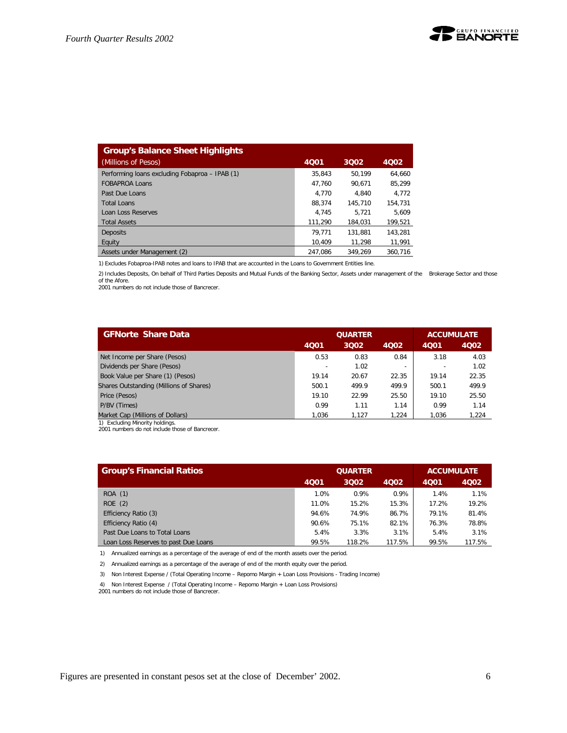| <b>Group's Balance Sheet Highlights</b>        |         |         |         |
|------------------------------------------------|---------|---------|---------|
| (Millions of Pesos)                            | 4Q01    | 3002    | 4002    |
| Performing loans excluding Fobaproa - IPAB (1) | 35.843  | 50.199  | 64.660  |
| <b>FOBAPROA Loans</b>                          | 47.760  | 90.671  | 85.299  |
| Past Due Loans                                 | 4.770   | 4.840   | 4,772   |
| <b>Total Loans</b>                             | 88.374  | 145.710 | 154.731 |
| Loan Loss Reserves                             | 4.745   | 5.721   | 5.609   |
| <b>Total Assets</b>                            | 111.290 | 184.031 | 199,521 |
| <b>Deposits</b>                                | 79.771  | 131.881 | 143.281 |
| Equity                                         | 10.409  | 11.298  | 11,991  |
| Assets under Management (2)                    | 247.086 | 349.269 | 360.716 |

1) Excludes Fobaproa-IPAB notes and loans to IPAB that are accounted in the Loans to Government Entities line.

2) Includes Deposits, On behalf of Third Parties Deposits and Mutual Funds of the Banking Sector, Assets under management of the Brokerage Sector and those of the Afore.

2001 numbers do not include those of Bancrecer.

| <b>GFNorte Share Data</b>               |       | <b>QUARTER</b> | <b>ACCUMULATE</b>        |       |       |
|-----------------------------------------|-------|----------------|--------------------------|-------|-------|
|                                         | 4001  | 3002           | 4002                     | 4001  | 4Q02  |
| Net Income per Share (Pesos)            | 0.53  | 0.83           | 0.84                     | 3.18  | 4.03  |
| Dividends per Share (Pesos)             |       | 1.02           | $\overline{\phantom{0}}$ |       | 1.02  |
| Book Value per Share (1) (Pesos)        | 19.14 | 20.67          | 22.35                    | 19.14 | 22.35 |
| Shares Outstanding (Millions of Shares) | 500.1 | 499.9          | 499.9                    | 500.1 | 499.9 |
| Price (Pesos)                           | 19.10 | 22.99          | 25.50                    | 19.10 | 25.50 |
| P/BV (Times)                            | 0.99  | 1.11           | 1.14                     | 0.99  | 1.14  |
| Market Cap (Millions of Dollars)        | 1.036 | 1.127          | 1.224                    | 1.036 | 1.224 |

1) Excluding Minority holdings. 2001 numbers do not include those of Bancrecer.

| <b>Group's Financial Ratios</b>      |       | <b>QUARTER</b> | <b>ACCUMULATE</b> |       |        |
|--------------------------------------|-------|----------------|-------------------|-------|--------|
|                                      | 4Q01  | 3002           | 4002              | 4001  | 4002   |
| ROA (1)                              | 1.0%  | 0.9%           | 0.9%              | 1.4%  | 1.1%   |
| ROE(2)                               | 11.0% | 15.2%          | 15.3%             | 17.2% | 19.2%  |
| Efficiency Ratio (3)                 | 94.6% | 74.9%          | 86.7%             | 79.1% | 81.4%  |
| Efficiency Ratio (4)                 | 90.6% | 75.1%          | 82.1%             | 76.3% | 78.8%  |
| Past Due Loans to Total Loans        | 5.4%  | 3.3%           | 3.1%              | 5.4%  | 3.1%   |
| Loan Loss Reserves to past Due Loans | 99.5% | 118.2%         | 117.5%            | 99.5% | 117.5% |

1) Annualized earnings as a percentage of the average of end of the month assets over the period.

2) Annualized earnings as a percentage of the average of end of the month equity over the period.

3) Non Interest Expense / (Total Operating Income – Repomo Margin + Loan Loss Provisions - Trading Income)

4) Non Interest Expense / (Total Operating Income – Repomo Margin + Loan Loss Provisions)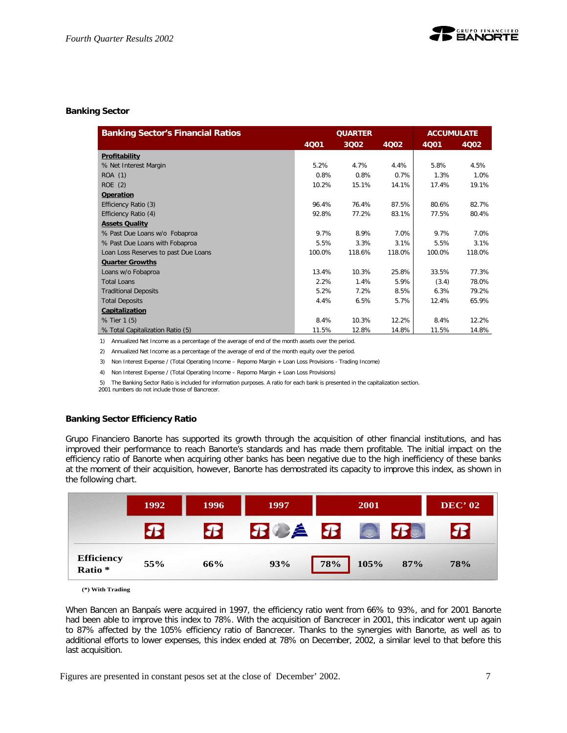## **Banking Sector**

| <b>Banking Sector's Financial Ratios</b> |        | <b>QUARTER</b> | <b>ACCUMULATE</b> |        |        |
|------------------------------------------|--------|----------------|-------------------|--------|--------|
|                                          | 4Q01   | 3002           | 4002              | 4Q01   | 4002   |
| Profitability                            |        |                |                   |        |        |
| % Net Interest Margin                    | 5.2%   | 4.7%           | 4.4%              | 5.8%   | 4.5%   |
| ROA (1)                                  | 0.8%   | 0.8%           | 0.7%              | 1.3%   | 1.0%   |
| ROE(2)                                   | 10.2%  | 15.1%          | 14.1%             | 17.4%  | 19.1%  |
| Operation                                |        |                |                   |        |        |
| Efficiency Ratio (3)                     | 96.4%  | 76.4%          | 87.5%             | 80.6%  | 82.7%  |
| Efficiency Ratio (4)                     | 92.8%  | 77.2%          | 83.1%             | 77.5%  | 80.4%  |
| <b>Assets Quality</b>                    |        |                |                   |        |        |
| % Past Due Loans w/o Fobaproa            | 9.7%   | 8.9%           | 7.0%              | 9.7%   | 7.0%   |
| % Past Due Loans with Fobaproa           | 5.5%   | 3.3%           | 3.1%              | 5.5%   | 3.1%   |
| Loan Loss Reserves to past Due Loans     | 100.0% | 118.6%         | 118.0%            | 100.0% | 118.0% |
| <b>Quarter Growths</b>                   |        |                |                   |        |        |
| Loans w/o Fobaproa                       | 13.4%  | 10.3%          | 25.8%             | 33.5%  | 77.3%  |
| <b>Total Loans</b>                       | 2.2%   | 1.4%           | 5.9%              | (3.4)  | 78.0%  |
| <b>Traditional Deposits</b>              | 5.2%   | 7.2%           | 8.5%              | 6.3%   | 79.2%  |
| <b>Total Deposits</b>                    | 4.4%   | 6.5%           | 5.7%              | 12.4%  | 65.9%  |
| Capitalization                           |        |                |                   |        |        |
| % Tier 1 (5)                             | 8.4%   | 10.3%          | 12.2%             | 8.4%   | 12.2%  |
| % Total Capitalization Ratio (5)         | 11.5%  | 12.8%          | 14.8%             | 11.5%  | 14.8%  |

1) Annualized Net Income as a percentage of the average of end of the month assets over the period.

2) Annualized Net Income as a percentage of the average of end of the month equity over the period.

3) Non Interest Expense / (Total Operating Income – Repomo Margin + Loan Loss Provisions - Trading Income)

4) Non Interest Expense / (Total Operating Income – Repomo Margin + Loan Loss Provisions)

5) The Banking Sector Ratio is included for information purposes. A ratio for each bank is presented in the capitalization section.

2001 numbers do not include those of Bancrecer.

## **Banking Sector Efficiency Ratio**

Grupo Financiero Banorte has supported its growth through the acquisition of other financial institutions, and has improved their performance to reach Banorte's standards and has made them profitable. The initial impact on the efficiency ratio of Banorte when acquiring other banks has been negative due to the high inefficiency of these banks at the moment of their acquisition, however, Banorte has demostrated its capacity to improve this index, as shown in the following chart.

|                                         | 1992         | 1996 | 1997               | 2001        |     | <b>DEC' 02</b>             |
|-----------------------------------------|--------------|------|--------------------|-------------|-----|----------------------------|
|                                         | $\mathbf{r}$ |      | $B \not\!\equiv B$ | <b>REA</b>  |     | $\boldsymbol{\mathcal{F}}$ |
| <b>Efficiency</b><br>Ratio <sup>*</sup> | 55%          | 66%  | 93%                | 105%<br>78% | 87% | <b>78%</b>                 |

**<sup>(\*)</sup> With Trading**

When Bancen an Banpaís were acquired in 1997, the efficiency ratio went from 66% to 93%, and for 2001 Banorte had been able to improve this index to 78%. With the acquisition of Bancrecer in 2001, this indicator went up again to 87% affected by the 105% efficiency ratio of Bancrecer. Thanks to the synergies with Banorte, as well as to additional efforts to lower expenses, this index ended at 78% on December, 2002, a similar level to that before this last acquisition.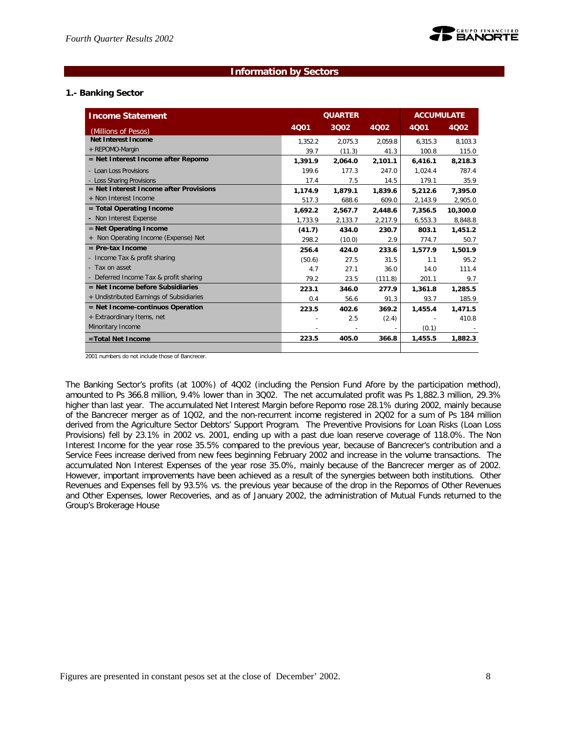## **Information by Sectors**

## **1.- Banking Sector**

| <b>Income Statement</b>                  |         | <b>QUARTER</b> |         | <b>ACCUMULATE</b> |          |  |
|------------------------------------------|---------|----------------|---------|-------------------|----------|--|
| (Millions of Pesos)                      | 4001    | 3002           | 4Q02    | <b>4Q01</b>       | 4Q02     |  |
| Net Interest Income                      | 1,352.2 | 2.075.3        | 2.059.8 | 6,315.3           | 8,103.3  |  |
| + REPOMO-Margin                          | 39.7    | (11.3)         | 41.3    | 100.8             | 115.0    |  |
| = Net Interest Income after Repomo       | 1,391.9 | 2.064.0        | 2,101.1 | 6,416.1           | 8,218.3  |  |
| - Loan Loss Provisions                   | 199.6   | 177.3          | 247.0   | 1.024.4           | 787.4    |  |
| - Loss Sharing Provisions                | 17.4    | 7.5            | 14.5    | 179.1             | 35.9     |  |
| $=$ Net Interest Income after Provisions | 1,174.9 | 1,879.1        | 1,839.6 | 5,212.6           | 7,395.0  |  |
| + Non Interest Income                    | 517.3   | 688.6          | 609.0   | 2,143.9           | 2.905.0  |  |
| $=$ Total Operating Income               | 1,692.2 | 2,567.7        | 2,448.6 | 7,356.5           | 10,300.0 |  |
| - Non Interest Expense                   | 1,733.9 | 2,133.7        | 2,217.9 | 6,553.3           | 8,848.8  |  |
| $=$ Net Operating Income                 | (41.7)  | 434.0          | 230.7   | 803.1             | 1,451.2  |  |
| + Non Operating Income (Expense) Net     | 298.2   | (10.0)         | 2.9     | 774.7             | 50.7     |  |
| $=$ Pre-tax Income                       | 256.4   | 424.0          | 233.6   | 1.577.9           | 1,501.9  |  |
| - Income Tax & profit sharing            | (50.6)  | 27.5           | 31.5    | 1.1               | 95.2     |  |
| - Tax on asset                           | 4.7     | 27.1           | 36.0    | 14.0              | 111.4    |  |
| - Deferred Income Tax & profit sharing   | 79.2    | 23.5           | (111.8) | 201.1             | 9.7      |  |
| $=$ Net Income before Subsidiaries       | 223.1   | 346.0          | 277.9   | 1,361.8           | 1,285.5  |  |
| + Undistributed Earnings of Subsidiaries | 0.4     | 56.6           | 91.3    | 93.7              | 185.9    |  |
| $=$ Net Income-continuos Operation       | 223.5   | 402.6          | 369.2   | 1,455.4           | 1,471.5  |  |
| + Extraordinary Items, net               |         | 2.5            | (2.4)   |                   | 410.8    |  |
| Minoritary Income                        |         |                |         | (0.1)             |          |  |
| =Total Net Income                        | 223.5   | 405.0          | 366.8   | 1,455.5           | 1,882.3  |  |
|                                          |         |                |         |                   |          |  |

2001 numbers do not include those of Bancrecer.

The Banking Sector's profits (at 100%) of 4Q02 (including the Pension Fund Afore by the participation method), amounted to Ps 366.8 million, 9.4% lower than in 3Q02. The net accumulated profit was Ps 1,882.3 million, 29.3% higher than last year. The accumulated Net Interest Margin before Repomo rose 28.1% during 2002, mainly because of the Bancrecer merger as of 1Q02, and the non-recurrent income registered in 2Q02 for a sum of Ps 184 million derived from the Agriculture Sector Debtors' Support Program. The Preventive Provisions for Loan Risks (Loan Loss Provisions) fell by 23.1% in 2002 vs. 2001, ending up with a past due loan reserve coverage of 118.0%. The Non Interest Income for the year rose 35.5% compared to the previous year, because of Bancrecer's contribution and a Service Fees increase derived from new fees beginning February 2002 and increase in the volume transactions. The accumulated Non Interest Expenses of the year rose 35.0%, mainly because of the Bancrecer merger as of 2002. However, important improvements have been achieved as a result of the synergies between both institutions. Other Revenues and Expenses fell by 93.5% vs. the previous year because of the drop in the Repomos of Other Revenues and Other Expenses, lower Recoveries, and as of January 2002, the administration of Mutual Funds returned to the Group's Brokerage House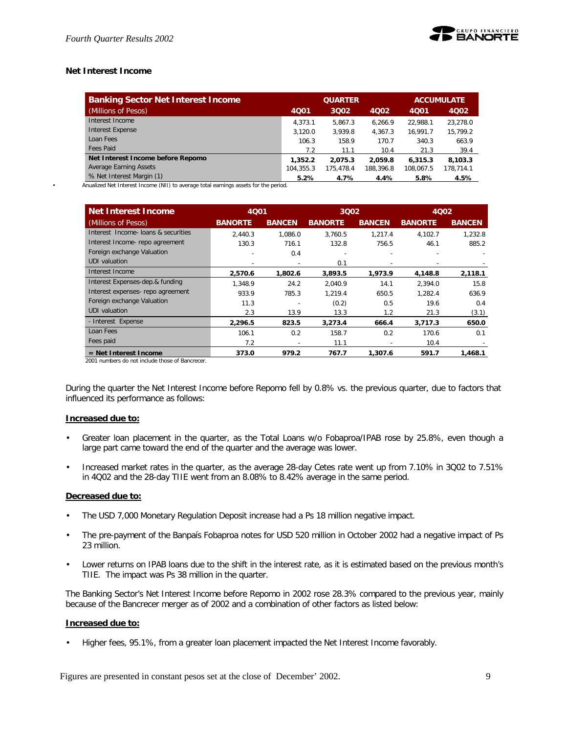

## **Net Interest Income**

| <b>Banking Sector Net Interest Income</b> | <b>QUARTER</b> |           |           | <b>ACCUMULATE</b> |           |  |
|-------------------------------------------|----------------|-----------|-----------|-------------------|-----------|--|
| (Millions of Pesos)                       | 4001           | 3002      | 4Q02      | 4001              | 4002      |  |
| Interest Income                           | 4.373.1        | 5.867.3   | 6.266.9   | 22.988.1          | 23.278.0  |  |
| <b>Interest Expense</b>                   | 3.120.0        | 3.939.8   | 4.367.3   | 16.991.7          | 15.799.2  |  |
| Loan Fees                                 | 106.3          | 158.9     | 170.7     | 340.3             | 663.9     |  |
| Fees Paid                                 | 7.2            | 11.1      | 10.4      | 21.3              | 39.4      |  |
| Net Interest Income before Repomo         | 1,352.2        | 2.075.3   | 2.059.8   | 6.315.3           | 8.103.3   |  |
| Average Earning Assets                    | 104.355.3      | 175.478.4 | 188.396.8 | 108.067.5         | 178.714.1 |  |
| % Net Interest Margin (1)                 | 5.2%           | 4.7%      | 4.4%      | 5.8%              | 4.5%      |  |

• Anualized Net Interest Income (NII) to average total earnings assets for the period.

| Net Interest Income                 |                | 3002          |                | 4Q01          |                | <b>4Q02</b>   |  |
|-------------------------------------|----------------|---------------|----------------|---------------|----------------|---------------|--|
| (Millions of Pesos)                 | <b>BANORTE</b> | <b>BANCEN</b> | <b>BANORTE</b> | <b>BANCEN</b> | <b>BANORTE</b> | <b>BANCEN</b> |  |
| Interest Income- loans & securities | 2.440.3        | 1.086.0       | 3,760.5        | 1.217.4       | 4,102.7        | 1.232.8       |  |
| Interest Income-repo agreement      | 130.3          | 716.1         | 132.8          | 756.5         | 46.1           | 885.2         |  |
| Foreign exchange Valuation          |                | 0.4           |                |               |                |               |  |
| <b>UDI</b> valuation                |                |               | 0.1            |               |                |               |  |
| Interest Income                     | 2,570.6        | 1,802.6       | 3,893.5        | 1,973.9       | 4,148.8        | 2,118.1       |  |
| Interest Expenses-dep.& funding     | 1.348.9        | 24.2          | 2.040.9        | 14.1          | 2.394.0        | 15.8          |  |
| Interest expenses- repo agreement   | 933.9          | 785.3         | 1.219.4        | 650.5         | 1.282.4        | 636.9         |  |
| Foreign exchange Valuation          | 11.3           |               | (0.2)          | 0.5           | 19.6           | 0.4           |  |
| <b>UDI</b> valuation                | 2.3            | 13.9          | 13.3           | 1.2           | 21.3           | (3.1)         |  |
| - Interest Expense                  | 2,296.5        | 823.5         | 3,273.4        | 666.4         | 3,717.3        | 650.0         |  |
| Loan Fees                           | 106.1          | 0.2           | 158.7          | 0.2           | 170.6          | 0.1           |  |
| Fees paid                           | 7.2            |               | 11.1           |               | 10.4           |               |  |
| $=$ Net Interest Income             | 373.0          | 979.2         | 767.7          | 1.307.6       | 591.7          | 1,468.1       |  |

2001 numbers do not include those of Bancrecer.

During the quarter the Net Interest Income before Repomo fell by 0.8% vs. the previous quarter, due to factors that influenced its performance as follows:

## **Increased due to:**

- Greater loan placement in the quarter, as the Total Loans w/o Fobaproa/IPAB rose by 25.8%, even though a large part came toward the end of the quarter and the average was lower.
- Increased market rates in the quarter, as the average 28-day Cetes rate went up from 7.10% in 3Q02 to 7.51% in 4Q02 and the 28-day TIIE went from an 8.08% to 8.42% average in the same period.

#### **Decreased due to:**

- The USD 7,000 Monetary Regulation Deposit increase had a Ps 18 million negative impact.
- The pre-payment of the Banpaís Fobaproa notes for USD 520 million in October 2002 had a negative impact of Ps 23 million.
- Lower returns on IPAB loans due to the shift in the interest rate, as it is estimated based on the previous month's TIIE. The impact was Ps 38 million in the quarter.

The Banking Sector's Net Interest Income before Repomo in 2002 rose 28.3% compared to the previous year, mainly because of the Bancrecer merger as of 2002 and a combination of other factors as listed below:

#### **Increased due to:**

• Higher fees, 95.1%, from a greater loan placement impacted the Net Interest Income favorably.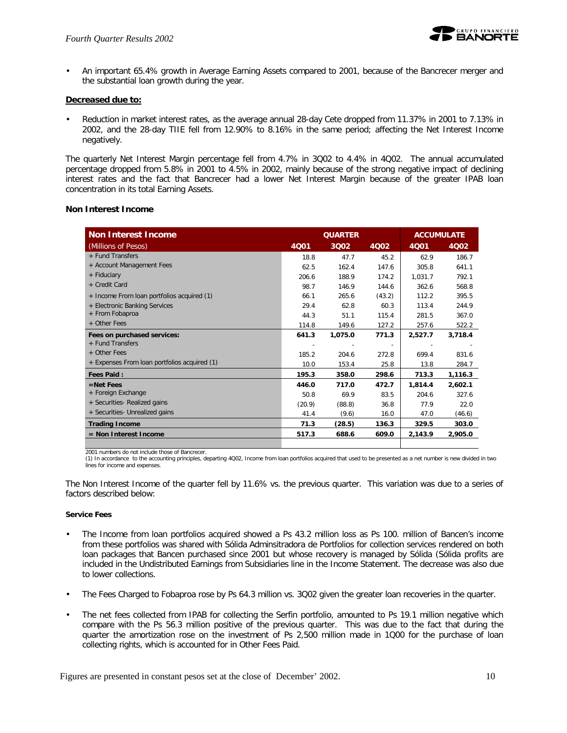

• An important 65.4% growth in Average Earning Assets compared to 2001, because of the Bancrecer merger and the substantial loan growth during the year.

## **Decreased due to:**

• Reduction in market interest rates, as the average annual 28-day Cete dropped from 11.37% in 2001 to 7.13% in 2002, and the 28-day TIIE fell from 12.90% to 8.16% in the same period; affecting the Net Interest Income negatively.

The quarterly Net Interest Margin percentage fell from 4.7% in 3Q02 to 4.4% in 4Q02. The annual accumulated percentage dropped from 5.8% in 2001 to 4.5% in 2002, mainly because of the strong negative impact of declining interest rates and the fact that Bancrecer had a lower Net Interest Margin because of the greater IPAB loan concentration in its total Earning Assets.

## **Non Interest Income**

| <b>Non Interest Income</b>                   | <b>QUARTER</b> |         |             | <b>ACCUMULATE</b> |         |  |
|----------------------------------------------|----------------|---------|-------------|-------------------|---------|--|
| (Millions of Pesos)                          | 4001           | 3Q02    | <b>4Q02</b> | <b>4Q01</b>       | 4Q02    |  |
| + Fund Transfers                             | 18.8           | 47.7    | 45.2        | 62.9              | 186.7   |  |
| + Account Management Fees                    | 62.5           | 162.4   | 147.6       | 305.8             | 641.1   |  |
| + Fiduciary                                  | 206.6          | 188.9   | 174.2       | 1,031.7           | 792.1   |  |
| + Credit Card                                | 98.7           | 146.9   | 144.6       | 362.6             | 568.8   |  |
| + Income From loan portfolios acquired (1)   | 66.1           | 265.6   | (43.2)      | 112.2             | 395.5   |  |
| + Electronic Banking Services                | 29.4           | 62.8    | 60.3        | 113.4             | 244.9   |  |
| + From Fobaproa                              | 44.3           | 51.1    | 115.4       | 281.5             | 367.0   |  |
| + Other Fees                                 | 114.8          | 149.6   | 127.2       | 257.6             | 522.2   |  |
| Fees on purchased services:                  | 641.3          | 1,075.0 | 771.3       | 2,527.7           | 3,718.4 |  |
| + Fund Transfers                             |                |         |             |                   |         |  |
| + Other Fees                                 | 185.2          | 204.6   | 272.8       | 699.4             | 831.6   |  |
| + Expenses From loan portfolios acquired (1) | 10.0           | 153.4   | 25.8        | 13.8              | 284.7   |  |
| <b>Fees Paid:</b>                            | 195.3          | 358.0   | 298.6       | 713.3             | 1,116.3 |  |
| $=$ Net Fees                                 | 446.0          | 717.0   | 472.7       | 1.814.4           | 2,602.1 |  |
| + Foreign Exchange                           | 50.8           | 69.9    | 83.5        | 204.6             | 327.6   |  |
| + Securities- Realized gains                 | (20.9)         | (88.8)  | 36.8        | 77.9              | 22.0    |  |
| + Securities- Unrealized gains               | 41.4           | (9.6)   | 16.0        | 47.0              | (46.6)  |  |
| <b>Trading Income</b>                        | 71.3           | (28.5)  | 136.3       | 329.5             | 303.0   |  |
| $=$ Non Interest Income                      | 517.3          | 688.6   | 609.0       | 2,143.9           | 2,905.0 |  |
|                                              |                |         |             |                   |         |  |

2001 numbers do not include those of Bancrecer.

(1) In accordance to the accounting principles, departing 4Q02, Income from loan portfolios acquired that used to be presented as a net number is new divided in two lines for income and expenses.

The Non Interest Income of the quarter fell by 11.6% vs. the previous quarter. This variation was due to a series of factors described below:

## **Service Fees**

- The Income from loan portfolios acquired showed a Ps 43.2 million loss as Ps 100. million of Bancen's income from these portfolios was shared with Sólida Adminsitradora de Portfolios for collection services rendered on both loan packages that Bancen purchased since 2001 but whose recovery is managed by Sólida (Sólida profits are included in the Undistributed Earnings from Subsidiaries line in the Income Statement. The decrease was also due to lower collections.
- The Fees Charged to Fobaproa rose by Ps 64.3 million vs. 3Q02 given the greater loan recoveries in the quarter.
- The net fees collected from IPAB for collecting the Serfin portfolio, amounted to Ps 19.1 million negative which compare with the Ps 56.3 million positive of the previous quarter. This was due to the fact that during the quarter the amortization rose on the investment of Ps 2,500 million made in 1Q00 for the purchase of loan collecting rights, which is accounted for in Other Fees Paid.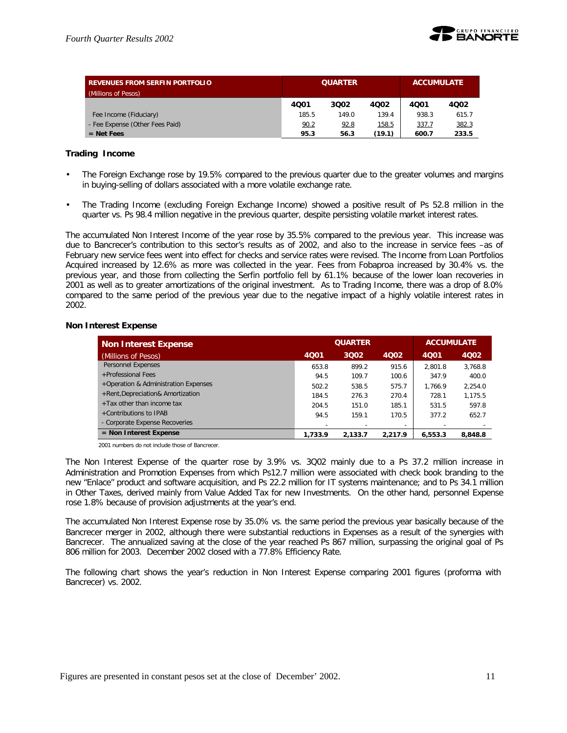

| <b>REVENUES FROM SERFIN PORTFOLIO</b><br>(Millions of Pesos) |       | <b>QUARTER</b> | <b>ACCUMULATE</b> |       |       |
|--------------------------------------------------------------|-------|----------------|-------------------|-------|-------|
|                                                              | 4001  | 3002           | 4002              | 4001  | 4002  |
| Fee Income (Fiduciary)                                       | 185.5 | 149.0          | 139.4             | 938.3 | 615.7 |
| - Fee Expense (Other Fees Paid)                              | 90.2  | 92.8           | <u>158.5</u>      | 337.7 | 382.3 |
| $=$ Net Fees                                                 | 95.3  | 56.3           | (19.1)            | 600.7 | 233.5 |

## **Trading Income**

- The Foreign Exchange rose by 19.5% compared to the previous quarter due to the greater volumes and margins in buying-selling of dollars associated with a more volatile exchange rate.
- The Trading Income (excluding Foreign Exchange Income) showed a positive result of Ps 52.8 million in the quarter vs. Ps 98.4 million negative in the previous quarter, despite persisting volatile market interest rates.

The accumulated Non Interest Income of the year rose by 35.5% compared to the previous year. This increase was due to Bancrecer's contribution to this sector's results as of 2002, and also to the increase in service fees –as of February new service fees went into effect for checks and service rates were revised. The Income from Loan Portfolios Acquired increased by 12.6% as more was collected in the year. Fees from Fobaproa increased by 30.4% vs. the previous year, and those from collecting the Serfin portfolio fell by 61.1% because of the lower loan recoveries in 2001 as well as to greater amortizations of the original investment. As to Trading Income, there was a drop of 8.0% compared to the same period of the previous year due to the negative impact of a highly volatile interest rates in 2002.

## **Non Interest Expense**

| <b>Non Interest Expense</b>          |         | <b>QUARTER</b> | <b>ACCUMULATE</b>        |         |         |
|--------------------------------------|---------|----------------|--------------------------|---------|---------|
| (Millions of Pesos)                  | 4001    | 3002           | 4002                     | 4001    | 4Q02    |
| Personnel Expenses                   | 653.8   | 899.2          | 915.6                    | 2.801.8 | 3.768.8 |
| +Professional Fees                   | 94.5    | 109.7          | 100.6                    | 347.9   | 400.0   |
| +Operation & Administration Expenses | 502.2   | 538.5          | 575.7                    | 1.766.9 | 2.254.0 |
| +Rent, Depreciation& Amortization    | 184.5   | 276.3          | 270.4                    | 728.1   | 1.175.5 |
| $+$ Tax other than income tax        | 204.5   | 151.0          | 185.1                    | 531.5   | 597.8   |
| +Contributions to IPAB               | 94.5    | 159.1          | 170.5                    | 377.2   | 652.7   |
| - Corporate Expense Recoveries       |         |                | $\overline{\phantom{a}}$ |         |         |
| $=$ Non Interest Expense             | 1.733.9 | 2.133.7        | 2.217.9                  | 6,553.3 | 8,848.8 |

2001 numbers do not include those of Bancrecer.

The Non Interest Expense of the quarter rose by 3.9% vs. 3Q02 mainly due to a Ps 37.2 million increase in Administration and Promotion Expenses from which Ps12.7 million were associated with check book branding to the new "Enlace" product and software acquisition, and Ps 22.2 million for IT systems maintenance; and to Ps 34.1 million in Other Taxes, derived mainly from Value Added Tax for new Investments. On the other hand, personnel Expense rose 1.8% because of provision adjustments at the year's end.

The accumulated Non Interest Expense rose by 35.0% vs. the same period the previous year basically because of the Bancrecer merger in 2002, although there were substantial reductions in Expenses as a result of the synergies with Bancrecer. The annualized saving at the close of the year reached Ps 867 million, surpassing the original goal of Ps 806 million for 2003. December 2002 closed with a 77.8% Efficiency Rate.

The following chart shows the year's reduction in Non Interest Expense comparing 2001 figures (proforma with Bancrecer) vs. 2002.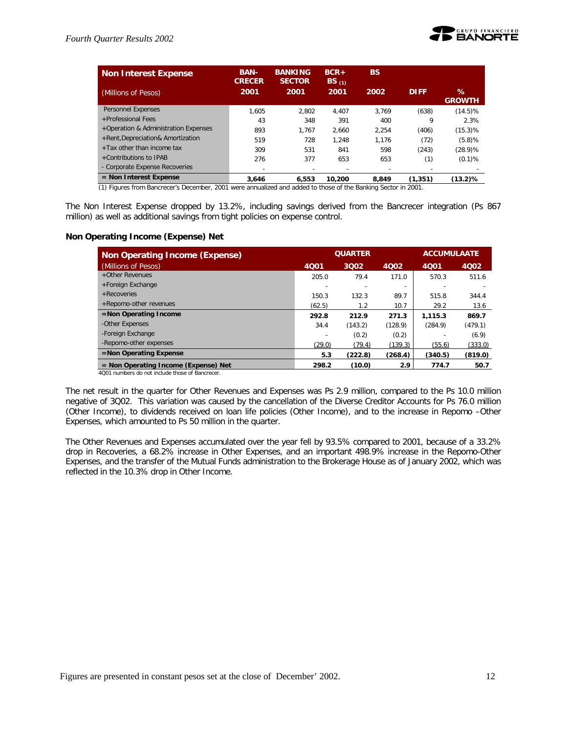

| <b>Non Interest Expense</b>          | <b>BAN-</b><br><b>CRECER</b> | <b>BANKING</b><br><b>SECTOR</b> | $BCR+$<br>$BS_{(1)}$     | <b>BS</b> |             |                       |
|--------------------------------------|------------------------------|---------------------------------|--------------------------|-----------|-------------|-----------------------|
| (Millions of Pesos)                  | 2001                         | 2001                            | 2001                     | 2002      | <b>DIFF</b> | $\%$<br><b>GROWTH</b> |
| Personnel Expenses                   | 1.605                        | 2.802                           | 4.407                    | 3.769     | (638)       | $(14.5)\%$            |
| +Professional Fees                   | 43                           | 348                             | 391                      | 400       | 9           | 2.3%                  |
| +Operation & Administration Expenses | 893                          | 1.767                           | 2.660                    | 2.254     | (406)       | $(15.3)$ %            |
| +Rent, Depreciation& Amortization    | 519                          | 728                             | 1.248                    | 1.176     | (72)        | (5.8)%                |
| $+$ Tax other than income tax        | 309                          | 531                             | 841                      | 598       | (243)       | (28.9)%               |
| +Contributions to IPAB               | 276                          | 377                             | 653                      | 653       | (1)         | $(0.1)$ %             |
| - Corporate Expense Recoveries       |                              |                                 | $\overline{\phantom{0}}$ |           |             |                       |
| $=$ Non Interest Expense             | 3.646                        | 6.553                           | 10.200                   | 8.849     | (1, 351)    | (13.2)%               |

(1) Figures from Bancrecer's December, 2001 were annualized and added to those of the Banking Sector in 2001.

The Non Interest Expense dropped by 13.2%, including savings derived from the Bancrecer integration (Ps 867 million) as well as additional savings from tight policies on expense control.

#### **Non Operating Income (Expense) Net**

| <b>Non Operating Income (Expense)</b>  |        | <b>QUARTER</b> |                          | <b>ACCUMULAATE</b> |             |  |
|----------------------------------------|--------|----------------|--------------------------|--------------------|-------------|--|
| (Millions of Pesos)                    | 4001   | 3002           | 4Q02                     | 4001               | <b>4Q02</b> |  |
| +Other Revenues                        | 205.0  | 79.4           | 171.0                    | 570.3              | 511.6       |  |
| +Foreign Exchange                      |        |                | $\overline{\phantom{0}}$ |                    |             |  |
| + Recoveries                           | 150.3  | 132.3          | 89.7                     | 515.8              | 344.4       |  |
| +Repomo-other revenues                 | (62.5) | 1.2            | 10.7                     | 29.2               | 13.6        |  |
| $=$ Non Operating Income               | 292.8  | 212.9          | 271.3                    | 1.115.3            | 869.7       |  |
| -Other Expenses                        | 34.4   | (143.2)        | (128.9)                  | (284.9)            | (479.1)     |  |
| -Foreign Exchange                      |        | (0.2)          | (0.2)                    |                    | (6.9)       |  |
| -Repomo-other expenses                 | (29.0) | (79.4)         | (139.3)                  | (55.6)             | (333.0)     |  |
| $=$ Non Operating Expense              | 5.3    | (222.8)        | (268.4)                  | (340.5)            | (819.0)     |  |
| $=$ Non Operating Income (Expense) Net | 298.2  | (10.0)         | 2.9                      | 774.7              | 50.7        |  |

4Q01 numbers do not include those of Bancrecer.

The net result in the quarter for Other Revenues and Expenses was Ps 2.9 million, compared to the Ps 10.0 million negative of 3Q02. This variation was caused by the cancellation of the Diverse Creditor Accounts for Ps 76.0 million (Other Income), to dividends received on loan life policies (Other Income), and to the increase in Repomo –Other Expenses, which amounted to Ps 50 million in the quarter.

The Other Revenues and Expenses accumulated over the year fell by 93.5% compared to 2001, because of a 33.2% drop in Recoveries, a 68.2% increase in Other Expenses, and an important 498.9% increase in the Repomo-Other Expenses, and the transfer of the Mutual Funds administration to the Brokerage House as of January 2002, which was reflected in the 10.3% drop in Other Income.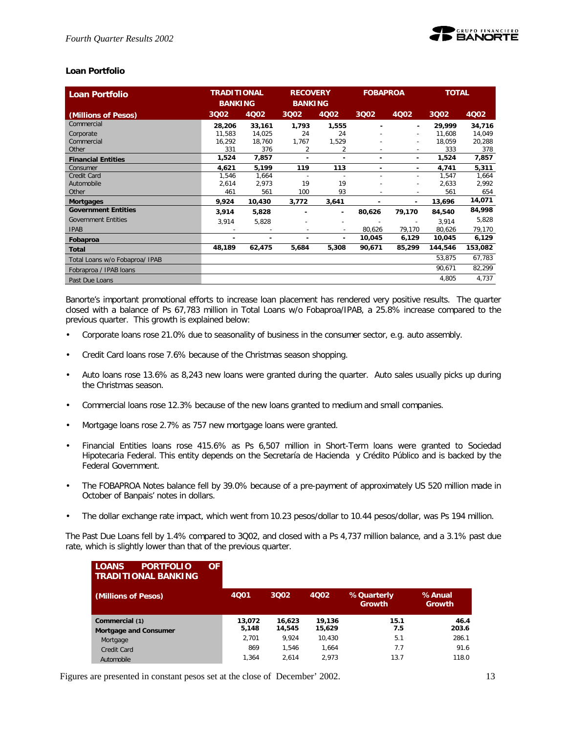

## **Loan Portfolio**

| <b>Loan Portfolio</b>          | <b>TRADITIONAL</b><br><b>BANKING</b> |        | <b>RECOVERY</b><br><b>BANKING</b> |                          | <b>FOBAPROA</b> |                          | <b>TOTAL</b> |         |
|--------------------------------|--------------------------------------|--------|-----------------------------------|--------------------------|-----------------|--------------------------|--------------|---------|
| (Millions of Pesos)            | 3Q02                                 | 4Q02   | 3002                              | 4Q02                     | 3Q02            | 4Q02                     | 3Q02         | 4Q02    |
| Commercial                     | 28,206                               | 33,161 | 1,793                             | 1,555                    |                 | ٠                        | 29,999       | 34,716  |
| Corporate                      | 11,583                               | 14,025 | 24                                | 24                       |                 | $\overline{\phantom{a}}$ | 11,608       | 14,049  |
| Commercial                     | 16,292                               | 18,760 | 1,767                             | 1,529                    |                 | ٠                        | 18,059       | 20,288  |
| Other                          | 331                                  | 376    | 2                                 | 2                        |                 | $\overline{\phantom{a}}$ | 333          | 378     |
| <b>Financial Entities</b>      | 1,524                                | 7,857  | -                                 | ٠                        | ۰               | ٠                        | 1,524        | 7,857   |
| Consumer                       | 4,621                                | 5,199  | 119                               | 113                      | ٠               | ٠                        | 4,741        | 5,311   |
| Credit Card                    | 1,546                                | 1,664  | $\overline{\phantom{a}}$          | $\overline{\phantom{a}}$ |                 | $\sim$                   | 1,547        | 1,664   |
| Automobile                     | 2,614                                | 2,973  | 19                                | 19                       |                 | ٠                        | 2,633        | 2,992   |
| Other                          | 461                                  | 561    | 100                               | 93                       |                 | ٠                        | 561          | 654     |
| <b>Mortgages</b>               | 9,924                                | 10,430 | 3,772                             | 3,641                    | $\blacksquare$  | ٠                        | 13,696       | 14,071  |
| <b>Government Entities</b>     | 3,914                                | 5,828  |                                   | ٠                        | 80,626          | 79,170                   | 84,540       | 84,998  |
| <b>Government Entities</b>     | 3,914                                | 5,828  |                                   | ۰                        |                 | ٠                        | 3,914        | 5,828   |
| <b>IPAB</b>                    |                                      |        |                                   | $\overline{\phantom{a}}$ | 80,626          | 79,170                   | 80,626       | 79,170  |
| Fobaproa                       |                                      |        |                                   | ٠                        | 10,045          | 6,129                    | 10,045       | 6,129   |
| Total                          | 48,189                               | 62,475 | 5,684                             | 5,308                    | 90,671          | 85,299                   | 144,546      | 153,082 |
| Total Loans w/o Fobaproa/ IPAB |                                      |        |                                   |                          |                 |                          | 53,875       | 67,783  |
| Fobraproa / IPAB loans         |                                      |        |                                   |                          |                 |                          | 90,671       | 82,299  |
| Past Due Loans                 |                                      |        |                                   |                          |                 |                          | 4,805        | 4,737   |

Banorte's important promotional efforts to increase loan placement has rendered very positive results. The quarter closed with a balance of Ps 67,783 million in Total Loans w/o Fobaproa/IPAB, a 25.8% increase compared to the previous quarter. This growth is explained below:

- Corporate loans rose 21.0% due to seasonality of business in the consumer sector, e.g. auto assembly.
- Credit Card loans rose 7.6% because of the Christmas season shopping.
- Auto loans rose 13.6% as 8,243 new loans were granted during the quarter. Auto sales usually picks up during the Christmas season.
- Commercial loans rose 12.3% because of the new loans granted to medium and small companies.
- Mortgage loans rose 2.7% as 757 new mortgage loans were granted.
- Financial Entities loans rose 415.6% as Ps 6,507 million in Short-Term loans were granted to Sociedad Hipotecaria Federal. This entity depends on the Secretaría de Hacienda y Crédito Público and is backed by the Federal Government.
- The FOBAPROA Notes balance fell by 39.0% because of a pre-payment of approximately US 520 million made in October of Banpais' notes in dollars.
- The dollar exchange rate impact, which went from 10.23 pesos/dollar to 10.44 pesos/dollar, was Ps 194 million.

The Past Due Loans fell by 1.4% compared to 3Q02, and closed with a Ps 4,737 million balance, and a 3.1% past due rate, which is slightly lower than that of the previous quarter.

| <b>LOANS</b><br><b>PORTFOLIO</b><br><b>TRADITIONAL BANKING</b> | ΟF |                 |                  |                  |                      |                  |
|----------------------------------------------------------------|----|-----------------|------------------|------------------|----------------------|------------------|
| (Millions of Pesos)                                            |    | 4001            | 3Q02             | 4002             | %Quarterly<br>Growth | %Anual<br>Growth |
| Commercial (1)<br>Mortgage and Consumer                        |    | 13.072<br>5,148 | 16,623<br>14,545 | 19.136<br>15,629 | 15.1<br>7.5          | 46.4<br>203.6    |
| Mortgage                                                       |    | 2.701           | 9.924            | 10.430           | 5.1                  | 286.1            |
| <b>Credit Card</b>                                             |    | 869             | 1.546            | 1.664            | 7.7                  | 91.6             |
| Automobile                                                     |    | 1.364           | 2.614            | 2.973            | 13.7                 | 118.0            |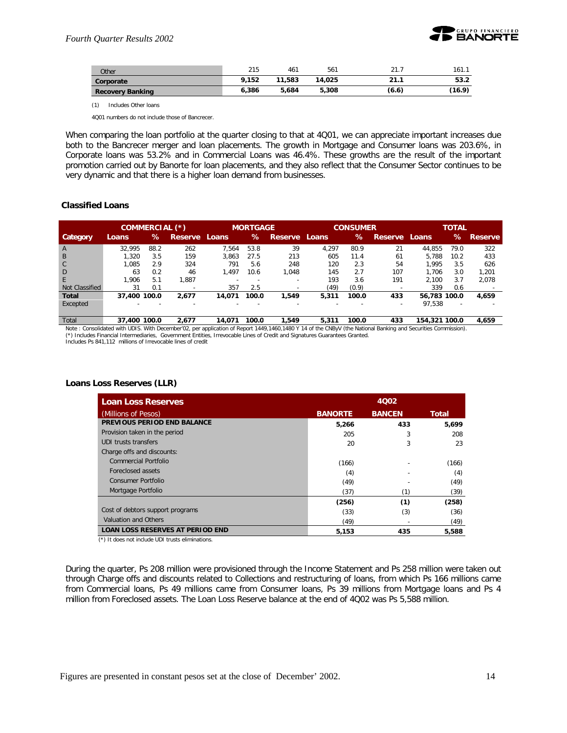

| Other                   | 215   | 461    | 561    | 21<br>2 I . I | 161.1  |
|-------------------------|-------|--------|--------|---------------|--------|
| Corporate               | 9.152 | 11,583 | 14,025 | 21.1          | 53.2   |
| <b>Recovery Banking</b> | 6.386 | 5.684  | 5,308  | (6.6)         | (16.9) |

(1) Includes Other loans

4Q01 numbers do not include those of Bancrecer.

When comparing the loan portfolio at the quarter closing to that at 4Q01, we can appreciate important increases due both to the Bancrecer merger and loan placements. The growth in Mortgage and Consumer loans was 203.6%, in Corporate loans was 53.2% and in Commercial Loans was 46.4%. These growths are the result of the important promotion carried out by Banorte for loan placements, and they also reflect that the Consumer Sector continues to be very dynamic and that there is a higher loan demand from businesses.

#### **Classified Loans**

|                 | COMMERCIAL (*)           |      |                          |                          | <b>MORTGAGE</b>          |                          |       | <b>CONSUMER</b> |                          |              | <b>TOTAL</b>             |                |
|-----------------|--------------------------|------|--------------------------|--------------------------|--------------------------|--------------------------|-------|-----------------|--------------------------|--------------|--------------------------|----------------|
| <b>Category</b> | Loans                    | ℅    | <b>Reserve Loans</b>     |                          | $\%$                     | Reserve Loans            |       | ℅               | <b>Reserve</b>           | Loans        | ℅                        | <b>Reserve</b> |
| $\overline{A}$  | 32.995                   | 88.2 | 262                      | '.564                    | 53.8                     | 39                       | 4.297 | 80.9            | 21                       | 44.855       | 79.0                     | 322            |
| B               | .320                     | 3.5  | 159                      | 3.863                    | 27.5                     | 213                      | 605   | 11.4            | 61                       | 5.788        | 10.2                     | 433            |
| $\mathsf{C}$    | .085                     | 2.9  | 324                      | 791                      | 5.6                      | 248                      | 120   | 2.3             | 54                       | 1.995        | 3.5                      | 626            |
| D               | 63                       | 0.2  | 46                       | 1.497                    | 10.6                     | 1.048                    | 145   | 2.7             | 107                      | 1.706        | 3.0                      | 1.201          |
| E               | 1.906                    | 5.1  | .887                     |                          |                          |                          | 193   | 3.6             | 191                      | 2.100        | 3.7                      | 2.078          |
| Not Classified  | 31                       | 0.1  | $\overline{\phantom{a}}$ | 357                      | 2.5                      | $\overline{\phantom{a}}$ | (49)  | (0.9)           |                          | 339          | 0.6                      |                |
| <b>Total</b>    | 37,400 100.0             |      | 2.677                    | 14.071                   | 100.0                    | 1.549                    | 5,311 | 100.0           | 433                      | 56.783 100.0 |                          | 4,659          |
| Excepted        | $\overline{\phantom{0}}$ |      | $\overline{\phantom{0}}$ | $\overline{\phantom{0}}$ | $\overline{\phantom{0}}$ | $\overline{\phantom{0}}$ | -     |                 | $\overline{\phantom{a}}$ | 97,538       | $\overline{\phantom{a}}$ |                |

Total **37,400 100.0 2,677 14,071 100.0 1,549 5,311 100.0 433 154,321 100.0 4,659** Note: Consolidated with UDIS. With December'02, per application of Report 1449,1460.1480 Y 14 of the CNBvV (the National Banking and Securities Commission). (\*) Includes Financial Intermediaries, Government Entities, Irrevocable Lines of Credit and Signatures Guarantees Granted.

Includes Ps 841,112 millions of Irrevocable lines of credit

#### **Loans Loss Reserves (LLR)**

| <b>Loan Loss Reserves</b>               |                | 4002          |              |
|-----------------------------------------|----------------|---------------|--------------|
| (Millions of Pesos)                     | <b>BANORTE</b> | <b>BANCEN</b> | <b>Total</b> |
| PREVIOUS PERIOD END BALANCE             | 5,266          | 433           | 5,699        |
| Provision taken in the period           | 205            | 3             | 208          |
| UDI trusts transfers                    | 20             | 3             | 23           |
| Charge offs and discounts:              |                |               |              |
| <b>Commercial Portfolio</b>             | (166)          |               | (166)        |
| Foreclosed assets                       | (4)            |               | (4)          |
| Consumer Portfolio                      | (49)           |               | (49)         |
| Mortgage Portfolio                      | (37)           | (1            | (39)         |
|                                         | (256)          | (1)           | (258)        |
| Cost of debtors support programs        | (33)           | (3)           | (36)         |
| Valuation and Others                    | (49)           |               | (49)         |
| <b>LOAN LOSS RESERVES AT PERIOD END</b> | 5.153          | 435           | 5,588        |

(\*) It does not include UDI trusts eliminations.

During the quarter, Ps 208 million were provisioned through the Income Statement and Ps 258 million were taken out through Charge offs and discounts related to Collections and restructuring of loans, from which Ps 166 millions came from Commercial loans, Ps 49 millions came from Consumer loans, Ps 39 millions from Mortgage loans and Ps 4 million from Foreclosed assets. The Loan Loss Reserve balance at the end of 4Q02 was Ps 5,588 million.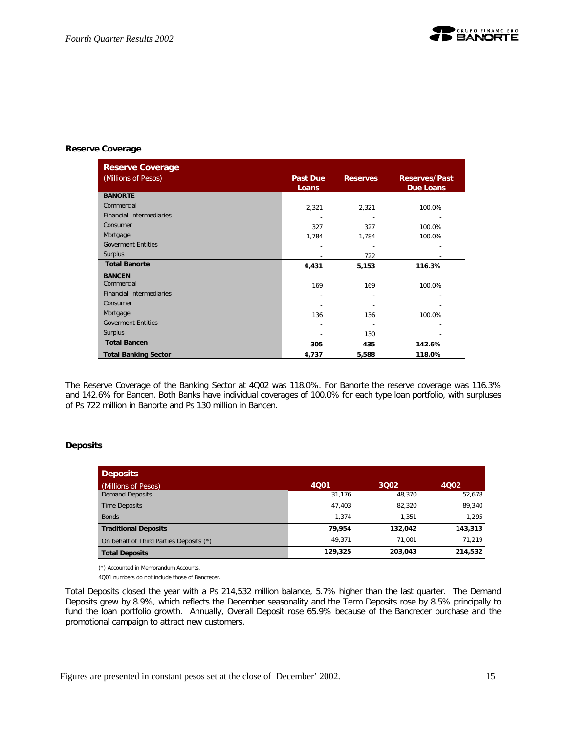

#### **Reserve Coverage**

| <b>Reserve Coverage</b>         |                          |                 |                                          |
|---------------------------------|--------------------------|-----------------|------------------------------------------|
| (Millions of Pesos)             | <b>Past Due</b><br>Loans | <b>Reserves</b> | <b>Reserves/Past</b><br><b>Due Loans</b> |
| <b>BANORTE</b>                  |                          |                 |                                          |
| Commercial                      | 2,321                    | 2,321           | 100.0%                                   |
| <b>Financial Intermediaries</b> |                          |                 |                                          |
| Consumer                        | 327                      | 327             | 100.0%                                   |
| Mortgage                        | 1,784                    | 1,784           | 100.0%                                   |
| <b>Goverment Entities</b>       |                          |                 |                                          |
| Surplus                         |                          | 722             |                                          |
| <b>Total Banorte</b>            | 4,431                    | 5,153           | 116.3%                                   |
| <b>BANCEN</b>                   |                          |                 |                                          |
| Commercial                      | 169                      | 169             | 100.0%                                   |
| <b>Financial Intermediaries</b> | $\overline{a}$           |                 |                                          |
| Consumer                        |                          |                 |                                          |
| Mortgage                        | 136                      | 136             | 100.0%                                   |
| <b>Goverment Entities</b>       |                          |                 |                                          |
| Surplus                         |                          | 130             |                                          |
| <b>Total Bancen</b>             | 305                      | 435             | 142.6%                                   |
| <b>Total Banking Sector</b>     | 4,737                    | 5,588           | 118.0%                                   |

The Reserve Coverage of the Banking Sector at 4Q02 was 118.0%. For Banorte the reserve coverage was 116.3% and 142.6% for Bancen. Both Banks have individual coverages of 100.0% for each type loan portfolio, with surpluses of Ps 722 million in Banorte and Ps 130 million in Bancen.

## **Deposits**

| <b>Deposits</b>                         |         |         |         |
|-----------------------------------------|---------|---------|---------|
| (Millions of Pesos)                     | 4001    | 3002    | 4002    |
| <b>Demand Deposits</b>                  | 31,176  | 48.370  | 52,678  |
| <b>Time Deposits</b>                    | 47,403  | 82,320  | 89,340  |
| <b>Bonds</b>                            | 1.374   | 1.351   | 1.295   |
| <b>Traditional Deposits</b>             | 79.954  | 132,042 | 143,313 |
| On behalf of Third Parties Deposits (*) | 49.371  | 71.001  | 71.219  |
| <b>Total Deposits</b>                   | 129,325 | 203,043 | 214,532 |

(\*) Accounted in Memorandum Accounts.

4Q01 numbers do not include those of Bancrecer.

Total Deposits closed the year with a Ps 214,532 million balance, 5.7% higher than the last quarter. The Demand Deposits grew by 8.9%, which reflects the December seasonality and the Term Deposits rose by 8.5% principally to fund the loan portfolio growth. Annually, Overall Deposit rose 65.9% because of the Bancrecer purchase and the promotional campaign to attract new customers.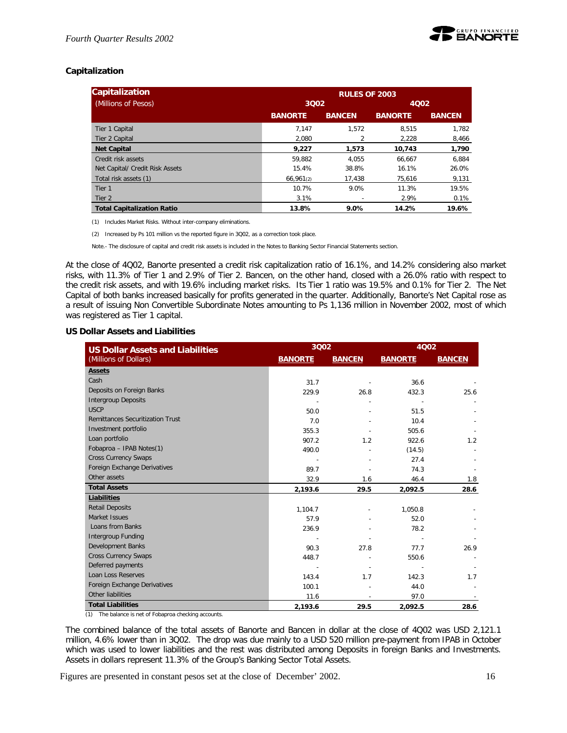

## **Capitalization**

| Capitalization                    |                | <b>RULES OF 2003</b> |                |               |
|-----------------------------------|----------------|----------------------|----------------|---------------|
| (Millions of Pesos)               | 3002           |                      | 4Q02           |               |
|                                   | <b>BANORTE</b> | <b>BANCEN</b>        | <b>BANORTE</b> | <b>BANCEN</b> |
| Tier 1 Capital                    | 7.147          | 1.572                | 8.515          | 1.782         |
| Tier 2 Capital                    | 2.080          |                      | 2,228          | 8,466         |
| <b>Net Capital</b>                | 9.227          | 1,573                | 10.743         | 1,790         |
| Credit risk assets                | 59.882         | 4.055                | 66.667         | 6.884         |
| Net Capital/ Credit Risk Assets   | 15.4%          | 38.8%                | 16.1%          | 26.0%         |
| Total risk assets (1)             | 66,961(2)      | 17,438               | 75,616         | 9,131         |
| Tier 1                            | 10.7%          | 9.0%                 | 11.3%          | 19.5%         |
| Tier 2                            | 3.1%           |                      | 2.9%           | 0.1%          |
| <b>Total Capitalization Ratio</b> | 13.8%          | 9.0%                 | 14.2%          | 19.6%         |

(1) Includes Market Risks. Without inter-company eliminations.

(2) Increased by Ps 101 million vs the reported figure in 3Q02, as a correction took place.

Note.- The disclosure of capital and credit risk assets is included in the Notes to Banking Sector Financial Statements section.

At the close of 4Q02, Banorte presented a credit risk capitalization ratio of 16.1%, and 14.2% considering also market risks, with 11.3% of Tier 1 and 2.9% of Tier 2. Bancen, on the other hand, closed with a 26.0% ratio with respect to the credit risk assets, and with 19.6% including market risks. Its Tier 1 ratio was 19.5% and 0.1% for Tier 2. The Net Capital of both banks increased basically for profits generated in the quarter. Additionally, Banorte's Net Capital rose as a result of issuing Non Convertible Subordinate Notes amounting to Ps 1,136 million in November 2002, most of which was registered as Tier 1 capital.

## **US Dollar Assets and Liabilities**

| <b>US Dollar Assets and Liabilities</b> | 3Q02           |               | 4002           |               |  |
|-----------------------------------------|----------------|---------------|----------------|---------------|--|
| (Millions of Dollars)                   | <b>BANORTE</b> | <b>BANCEN</b> | <b>BANORTE</b> | <b>BANCEN</b> |  |
| <b>Assets</b>                           |                |               |                |               |  |
| Cash                                    | 31.7           |               | 36.6           |               |  |
| Deposits on Foreign Banks               | 229.9          | 26.8          | 432.3          | 25.6          |  |
| <b>Intergroup Deposits</b>              |                |               |                |               |  |
| <b>USCP</b>                             | 50.0           |               | 51.5           |               |  |
| <b>Remittances Securitization Trust</b> | 7.0            |               | 10.4           |               |  |
| Investment portfolio                    | 355.3          |               | 505.6          |               |  |
| Loan portfolio                          | 907.2          | 1.2           | 922.6          | 1.2           |  |
| Fobaproa - IPAB Notes(1)                | 490.0          |               | (14.5)         |               |  |
| <b>Cross Currency Swaps</b>             |                |               | 27.4           |               |  |
| Foreign Exchange Derivatives            | 89.7           |               | 74.3           |               |  |
| Other assets                            | 32.9           | 1.6           | 46.4           | 1.8           |  |
| <b>Total Assets</b>                     | 2,193.6        | 29.5          | 2,092.5        | 28.6          |  |
| Liabilities                             |                |               |                |               |  |
| <b>Retail Deposits</b>                  | 1,104.7        |               | 1,050.8        |               |  |
| Market Issues                           | 57.9           |               | 52.0           |               |  |
| Loans from Banks                        | 236.9          |               | 78.2           |               |  |
| Intergroup Funding                      |                |               |                |               |  |
| Development Banks                       | 90.3           | 27.8          | 77.7           | 26.9          |  |
| <b>Cross Currency Swaps</b>             | 448.7          |               | 550.6          |               |  |
| Deferred payments                       |                |               |                |               |  |
| Loan Loss Reserves                      | 143.4          | 1.7           | 142.3          | 1.7           |  |
| Foreign Exchange Derivatives            | 100.1          |               | 44.0           |               |  |
| Other liabilities                       | 11.6           |               | 97.0           |               |  |
| <b>Total Liabilities</b>                | 2,193.6        | 29.5          | 2,092.5        | 28.6          |  |

(1) The balance is net of Fobaproa checking accounts.

The combined balance of the total assets of Banorte and Bancen in dollar at the close of 4Q02 was USD 2,121.1 million, 4.6% lower than in 3Q02. The drop was due mainly to a USD 520 million pre-payment from IPAB in October which was used to lower liabilities and the rest was distributed among Deposits in foreign Banks and Investments. Assets in dollars represent 11.3% of the Group's Banking Sector Total Assets.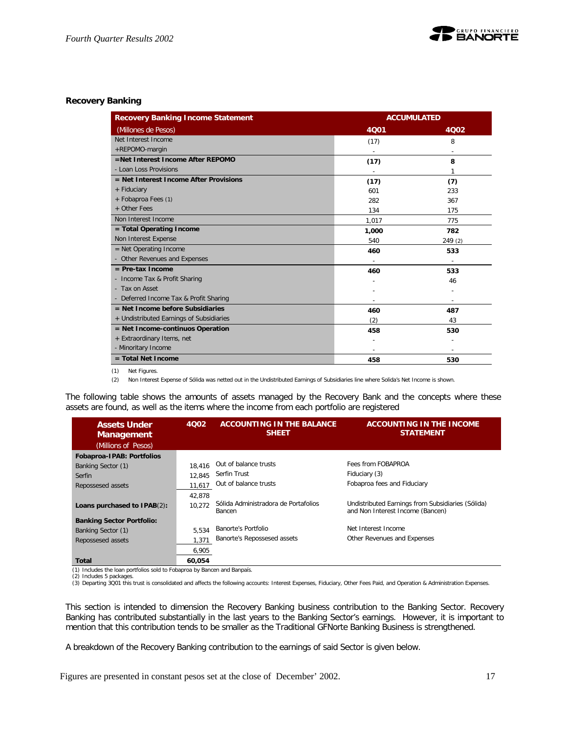

## **Recovery Banking**

| <b>Recovery Banking Income Statement</b> | <b>ACCUMULATED</b> |         |  |
|------------------------------------------|--------------------|---------|--|
| (Millones de Pesos)                      | 4Q01               | 4Q02    |  |
| Net Interest Income                      | (17)               | 8       |  |
| +REPOMO-margin                           |                    |         |  |
| =Net Interest Income After REPOMO        | (17)               | 8       |  |
| - Loan Loss Provisions                   |                    | 1       |  |
| $=$ Net Interest Income After Provisions | (17)               | (7)     |  |
| + Fiduciary                              | 601                | 233     |  |
| + Fobaproa Fees (1)                      | 282                | 367     |  |
| + Other Fees                             | 134                | 175     |  |
| Non Interest Income                      | 1,017              | 775     |  |
| = Total Operating Income                 | 1,000              | 782     |  |
| Non Interest Expense                     | 540                | 249 (2) |  |
| $=$ Net Operating Income                 | 460                | 533     |  |
| - Other Revenues and Expenses            |                    |         |  |
| $=$ Pre-tax Income                       | 460                | 533     |  |
| Income Tax & Profit Sharing<br>÷         |                    | 46      |  |
| - Tax on Asset                           |                    |         |  |
| - Deferred Income Tax & Profit Sharing   |                    |         |  |
| $=$ Net Income before Subsidiaries       | 460                | 487     |  |
| + Undistributed Earnings of Subsidiaries | (2)                | 43      |  |
| = Net Income-continuos Operation         | 458                | 530     |  |
| + Extraordinary Items, net               |                    |         |  |
| - Minoritary Income                      |                    | ٠       |  |
| $=$ Total Net Income                     | 458                | 530     |  |

(1) Net Figures.

(2) Non Interest Expense of Sólida was netted out in the Undistributed Earnings of Subsidiaries line where Solida's Net Income is shown.

The following table shows the amounts of assets managed by the Recovery Bank and the concepts where these assets are found, as well as the items where the income from each portfolio are registered

| 4002<br><b>Assets Under</b><br><b>Management</b> |        | <b>ACCOUNTING IN THE BALANCE</b><br><b>SHEET</b> | <b>ACCOUNTING IN THE INCOME</b><br><b>STATEMENT</b>                                   |
|--------------------------------------------------|--------|--------------------------------------------------|---------------------------------------------------------------------------------------|
| (Millions of Pesos)                              |        |                                                  |                                                                                       |
| Fobaproa-IPAB: Portfolios                        |        |                                                  |                                                                                       |
| Banking Sector (1)                               | 18.416 | Out of balance trusts                            | Fees from FOBAPROA                                                                    |
| Serfin                                           | 12.845 | Serfin Trust                                     | Fiduciary (3)                                                                         |
| Repossesed assets                                | 11,617 | Out of balance trusts                            | Fobaproa fees and Fiduciary                                                           |
|                                                  | 42,878 |                                                  |                                                                                       |
| Loans purchased to IPAB(2):                      | 10.272 | Sólida Administradora de Portafolios<br>Bancen   | Undistributed Earnings from Subsidiaries (Sólida)<br>and Non Interest Income (Bancen) |
| <b>Banking Sector Portfolio:</b>                 |        |                                                  |                                                                                       |
| Banking Sector (1)                               | 5.534  | Banorte's Portfolio                              | Net Interest Income                                                                   |
| Repossesed assets                                | 1,371  | Banorte's Repossesed assets                      | Other Revenues and Expenses                                                           |
|                                                  | 6,905  |                                                  |                                                                                       |
| Total<br>.<br>.<br>.                             | 60.054 | . .                                              |                                                                                       |

(1) Includes the loan portfolios sold to Fobaproa by Bancen and Banpaís. (2) Includes 5 packages.

(3) Departing 3Q01 this trust is consolidated and affects the following accounts: Interest Expenses, Fiduciary, Other Fees Paid, and Operation & Administration Expenses.

This section is intended to dimension the Recovery Banking business contribution to the Banking Sector. Recovery Banking has contributed substantially in the last years to the Banking Sector's earnings. However, it is important to mention that this contribution tends to be smaller as the Traditional GFNorte Banking Business is strengthened.

A breakdown of the Recovery Banking contribution to the earnings of said Sector is given below.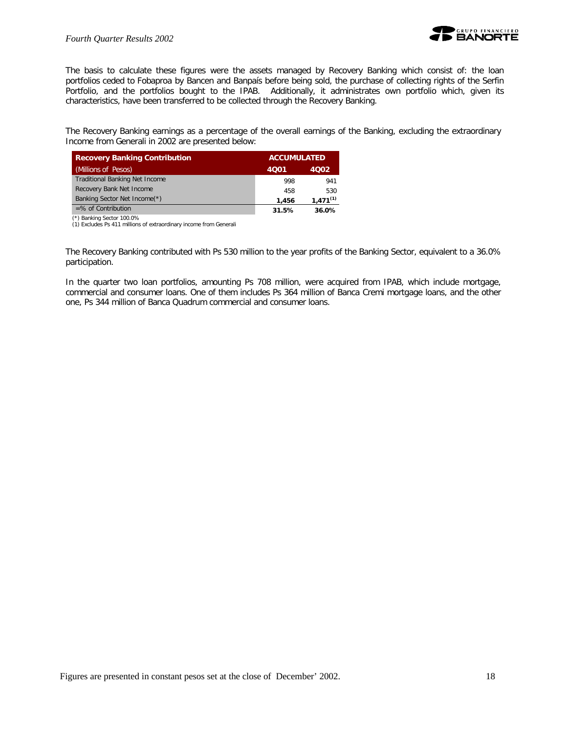

The basis to calculate these figures were the assets managed by Recovery Banking which consist of: the loan portfolios ceded to Fobaproa by Bancen and Banpaís before being sold, the purchase of collecting rights of the Serfin Portfolio, and the portfolios bought to the IPAB. Additionally, it administrates own portfolio which, given its characteristics, have been transferred to be collected through the Recovery Banking.

The Recovery Banking earnings as a percentage of the overall earnings of the Banking, excluding the extraordinary Income from Generali in 2002 are presented below:

| <b>Recovery Banking Contribution</b>  |       | <b>ACCUMULATED</b> |  |  |
|---------------------------------------|-------|--------------------|--|--|
| (Millions of Pesos)                   | 4001  | 4002               |  |  |
| <b>Traditional Banking Net Income</b> | 998   | 941                |  |  |
| Recovery Bank Net Income              | 458   | 530                |  |  |
| Banking Sector Net Income(*)          | 1.456 | $1.471^{(1)}$      |  |  |
| $=$ % of Contribution                 | 31.5% | 36.0%              |  |  |

(\*) Banking Sector 100.0%

(1) Excludes Ps 411 millions of extraordinary income from Generali

The Recovery Banking contributed with Ps 530 million to the year profits of the Banking Sector, equivalent to a 36.0% participation.

In the quarter two loan portfolios, amounting Ps 708 million, were acquired from IPAB, which include mortgage, commercial and consumer loans. One of them includes Ps 364 million of Banca Cremi mortgage loans, and the other one, Ps 344 million of Banca Quadrum commercial and consumer loans.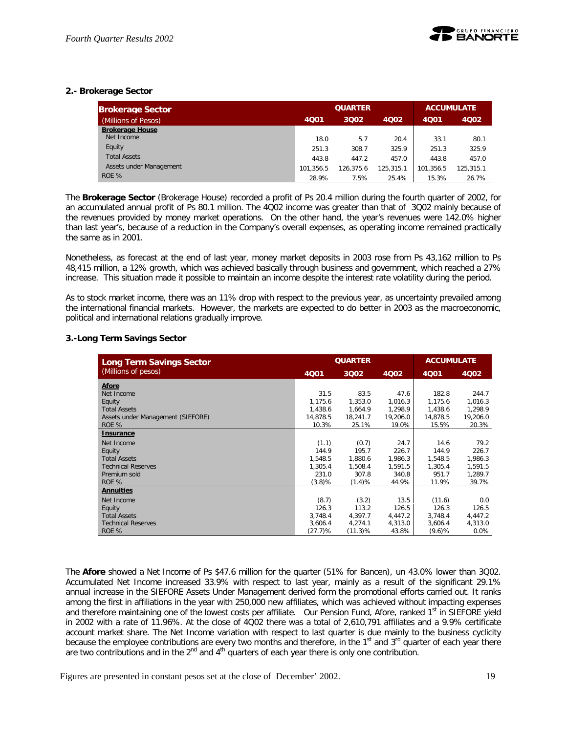

## **2.- Brokerage Sector**

| <b>Brokerage Sector</b> |           | <b>QUARTER</b> | <b>ACCUMULATE</b> |           |           |
|-------------------------|-----------|----------------|-------------------|-----------|-----------|
| (Millions of Pesos)     | 4Q01      | 3002           | 4Q02              | 4Q01      | 4002      |
| <b>Brokerage House</b>  |           |                |                   |           |           |
| Net Income              | 18.0      | 5.7            | 20.4              | 33.1      | 80.1      |
| Equity                  | 251.3     | 308.7          | 325.9             | 251.3     | 325.9     |
| <b>Total Assets</b>     | 443.8     | 447.2          | 457.0             | 443.8     | 457.0     |
| Assets under Management | 101.356.5 | 126.375.6      | 125.315.1         | 101.356.5 | 125.315.1 |
| ROE %                   | 28.9%     | 7.5%           | 25.4%             | 15.3%     | 26.7%     |

The *Brokerage Sector* (Brokerage House) recorded a profit of Ps 20.4 million during the fourth quarter of 2002, for an accumulated annual profit of Ps 80.1 million. The 4Q02 income was greater than that of 3Q02 mainly because of the revenues provided by money market operations. On the other hand, the year's revenues were 142.0% higher than last year's, because of a reduction in the Company's overall expenses, as operating income remained practically the same as in 2001.

Nonetheless, as forecast at the end of last year, money market deposits in 2003 rose from Ps 43,162 million to Ps 48,415 million, a 12% growth, which was achieved basically through business and government, which reached a 27% increase. This situation made it possible to maintain an income despite the interest rate volatility during the period.

As to stock market income, there was an 11% drop with respect to the previous year, as uncertainty prevailed among the international financial markets. However, the markets are expected to do better in 2003 as the macroeconomic, political and international relations gradually improve.

## **3.-Long Term Savings Sector**

| <b>Long Term Savings Sector</b>   |           | <b>QUARTER</b> |          | <b>ACCUMULATE</b> |          |
|-----------------------------------|-----------|----------------|----------|-------------------|----------|
| (Millions of pesos)               | 4001      | 3Q02           | 4002     | 4Q01              | 4002     |
| <b>Afore</b>                      |           |                |          |                   |          |
| Net Income                        | 31.5      | 83.5           | 47.6     | 182.8             | 244.7    |
| Equity                            | 1.175.6   | 1,353.0        | 1,016.3  | 1.175.6           | 1,016.3  |
| <b>Total Assets</b>               | 1,438.6   | 1,664.9        | 1,298.9  | 1,438.6           | 1,298.9  |
| Assets under Management (SIEFORE) | 14,878.5  | 18,241.7       | 19,206.0 | 14,878.5          | 19,206.0 |
| ROE %                             | 10.3%     | 25.1%          | 19.0%    | 15.5%             | 20.3%    |
| <b>Insurance</b>                  |           |                |          |                   |          |
| Net Income                        | (1.1)     | (0.7)          | 24.7     | 14.6              | 79.2     |
| Equity                            | 144.9     | 195.7          | 226.7    | 144.9             | 226.7    |
| <b>Total Assets</b>               | 1,548.5   | 1,880.6        | 1,986.3  | 1,548.5           | 1,986.3  |
| <b>Technical Reserves</b>         | 1,305.4   | 1,508.4        | 1,591.5  | 1,305.4           | 1,591.5  |
| Premium sold                      | 231.0     | 307.8          | 340.8    | 951.7             | 1,289.7  |
| ROE %                             | $(3.8)\%$ | (1.4)%         | 44.9%    | 11.9%             | 39.7%    |
| <b>Annuities</b>                  |           |                |          |                   |          |
| Net Income                        | (8.7)     | (3.2)          | 13.5     | (11.6)            | 0.0      |
| Equity                            | 126.3     | 113.2          | 126.5    | 126.3             | 126.5    |
| <b>Total Assets</b>               | 3,748.4   | 4,397.7        | 4,447.2  | 3,748.4           | 4,447.2  |
| <b>Technical Reserves</b>         | 3.606.4   | 4,274.1        | 4,313.0  | 3.606.4           | 4,313.0  |
| ROE %                             | (27.7)%   | (11.3)%        | 43.8%    | (9.6)%            | $0.0\%$  |

The *Afore* showed a Net Income of Ps \$47.6 million for the quarter (51% for Bancen), un 43.0% lower than 3Q02. Accumulated Net Income increased 33.9% with respect to last year, mainly as a result of the significant 29.1% annual increase in the SIEFORE Assets Under Management derived form the promotional efforts carried out. It ranks among the first in affiliations in the year with 250,000 new affiliates, which was achieved without impacting expenses and therefore maintaining one of the lowest costs per affiliate. Our Pension Fund, Afore, ranked 1<sup>st</sup> in SIEFORE yield in 2002 with a rate of 11.96%. At the close of 4Q02 there was a total of 2,610,791 affiliates and a 9.9% certificate account market share. The Net Income variation with respect to last quarter is due mainly to the business cyclicity because the employee contributions are every two months and therefore, in the  $1<sup>st</sup>$  and  $3<sup>rd</sup>$  quarter of each year there are two contributions and in the  $2^{nd}$  and  $4^{th}$  quarters of each year there is only one contribution.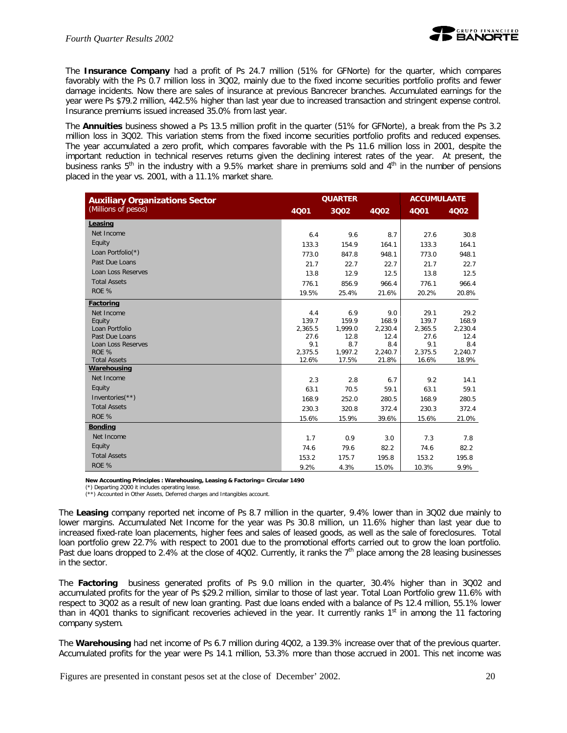The **Insurance Company** had a profit of Ps 24.7 million (51% for GFNorte) for the quarter, which compares favorably with the Ps 0.7 million loss in 3Q02, mainly due to the fixed income securities portfolio profits and fewer damage incidents. Now there are sales of insurance at previous Bancrecer branches. Accumulated earnings for the year were Ps \$79.2 million, 442.5% higher than last year due to increased transaction and stringent expense control. Insurance premiums issued increased 35.0% from last year.

The *Annuities* business showed a Ps 13.5 million profit in the quarter (51% for GFNorte), a break from the Ps 3.2 million loss in 3Q02. This variation stems from the fixed income securities portfolio profits and reduced expenses. The year accumulated a zero profit, which compares favorable with the Ps 11.6 million loss in 2001, despite the important reduction in technical reserves returns given the declining interest rates of the year. At present, the business ranks  $5<sup>th</sup>$  in the industry with a 9.5% market share in premiums sold and  $4<sup>th</sup>$  in the number of pensions placed in the year vs. 2001, with a 11.1% market share.

| <b>Auxiliary Organizations Sector</b> |                | <b>QUARTER</b> |                |                | <b>ACCUMULAATE</b> |  |  |
|---------------------------------------|----------------|----------------|----------------|----------------|--------------------|--|--|
| (Millions of pesos)                   | 4001           | 3Q02           | 4Q02           | 4001           | 4Q02               |  |  |
| Leasing                               |                |                |                |                |                    |  |  |
| Net Income                            | 6.4            | 9.6            | 8.7            | 27.6           | 30.8               |  |  |
| Equity                                | 133.3          | 154.9          | 164.1          | 133.3          | 164.1              |  |  |
| Loan Portfolio(*)                     | 773.0          | 847.8          | 948.1          | 773.0          | 948.1              |  |  |
| Past Due Loans                        | 21.7           | 22.7           | 22.7           | 21.7           | 22.7               |  |  |
| Loan Loss Reserves                    | 13.8           | 12.9           | 12.5           | 13.8           | 12.5               |  |  |
| <b>Total Assets</b>                   | 776.1          | 856.9          | 966.4          | 776.1          | 966.4              |  |  |
| ROE %                                 | 19.5%          | 25.4%          | 21.6%          | 20.2%          | 20.8%              |  |  |
| Factoring                             |                |                |                |                |                    |  |  |
| Net Income                            | 4.4            | 6.9            | 9.0            | 29.1           | 29.2               |  |  |
| Equity                                | 139.7          | 159.9          | 168.9          | 139.7          | 168.9              |  |  |
| Loan Portfolio                        | 2,365.5        | 1,999.0        | 2,230.4        | 2,365.5        | 2,230.4            |  |  |
| Past Due Loans                        | 27.6           | 12.8           | 12.4           | 27.6           | 12.4               |  |  |
| Loan Loss Reserves<br>ROE %           | 9.1<br>2,375.5 | 8.7<br>1,997.2 | 8.4<br>2,240.7 | 9.1<br>2,375.5 | 8.4<br>2,240.7     |  |  |
| <b>Total Assets</b>                   | 12.6%          | 17.5%          | 21.8%          | 16.6%          | 18.9%              |  |  |
| Warehousing                           |                |                |                |                |                    |  |  |
| Net Income                            | 2.3            | 2.8            | 6.7            | 9.2            | 14.1               |  |  |
| Equity                                | 63.1           | 70.5           | 59.1           | 63.1           | 59.1               |  |  |
| Inventories $(**)$                    | 168.9          | 252.0          | 280.5          | 168.9          | 280.5              |  |  |
| <b>Total Assets</b>                   | 230.3          | 320.8          | 372.4          | 230.3          | 372.4              |  |  |
| ROE %                                 | 15.6%          | 15.9%          | 39.6%          | 15.6%          | 21.0%              |  |  |
| <b>Bonding</b>                        |                |                |                |                |                    |  |  |
| Net Income                            | 1.7            | 0.9            | 3.0            | 7.3            | 7.8                |  |  |
| Equity                                | 74.6           | 79.6           | 82.2           | 74.6           | 82.2               |  |  |
| <b>Total Assets</b>                   | 153.2          | 175.7          | 195.8          | 153.2          | 195.8              |  |  |
| ROE %                                 | 9.2%           | 4.3%           | 15.0%          | 10.3%          | 9.9%               |  |  |

**New Accounting Principles : Warehousing, Leasing & Factoring= Circular 1490**

(\*) Departing 2Q00 it includes operating lease.

(\*\*) Accounted in Other Assets, Deferred charges and Intangibles account.

The *Leasing* company reported net income of Ps 8.7 million in the quarter, 9.4% lower than in 3Q02 due mainly to lower margins. Accumulated Net Income for the year was Ps 30.8 million, un 11.6% higher than last year due to increased fixed-rate loan placements, higher fees and sales of leased goods, as well as the sale of foreclosures. Total loan portfolio grew 22.7% with respect to 2001 due to the promotional efforts carried out to grow the loan portfolio. Past due loans dropped to 2.4% at the close of 4Q02. Currently, it ranks the  $7<sup>th</sup>$  place among the 28 leasing businesses in the sector.

The *Factoring* business generated profits of Ps 9.0 million in the quarter, 30.4% higher than in 3Q02 and accumulated profits for the year of Ps \$29.2 million, similar to those of last year. Total Loan Portfolio grew 11.6% with respect to 3Q02 as a result of new loan granting. Past due loans ended with a balance of Ps 12.4 million, 55.1% lower than in 4Q01 thanks to significant recoveries achieved in the year. It currently ranks  $1<sup>st</sup>$  in among the 11 factoring company system.

The *Warehousing* had net income of Ps 6.7 million during 4Q02, a 139.3% increase over that of the previous quarter. Accumulated profits for the year were Ps 14.1 million, 53.3% more than those accrued in 2001. This net income was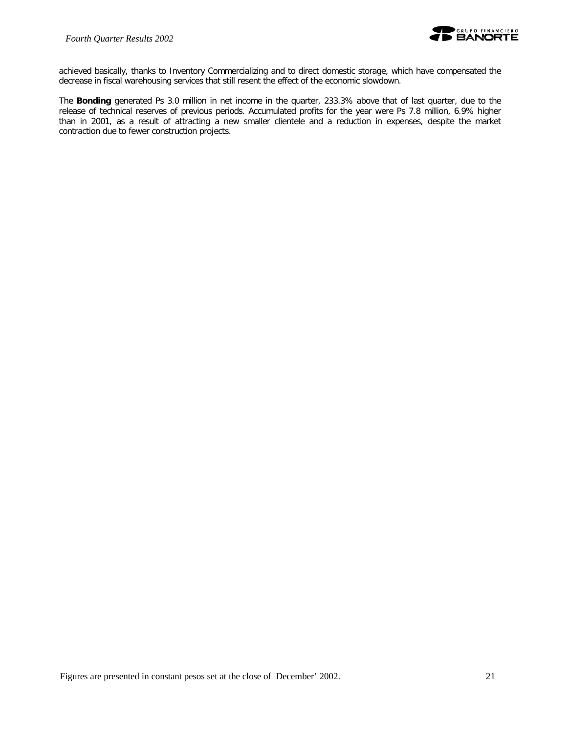

achieved basically, thanks to Inventory Commercializing and to direct domestic storage, which have compensated the decrease in fiscal warehousing services that still resent the effect of the economic slowdown.

The *Bonding* generated Ps 3.0 million in net income in the quarter, 233.3% above that of last quarter, due to the release of technical reserves of previous periods. Accumulated profits for the year were Ps 7.8 million, 6.9% higher than in 2001, as a result of attracting a new smaller clientele and a reduction in expenses, despite the market contraction due to fewer construction projects.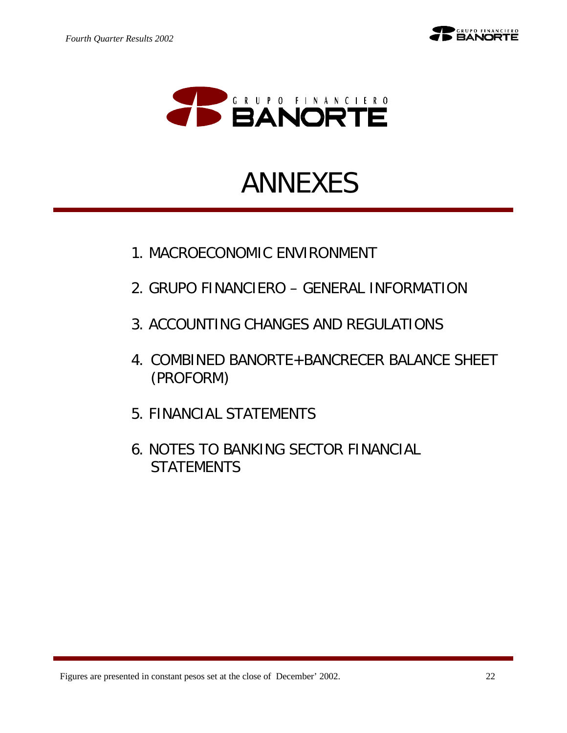



# ANNEXES

- 1. MACROECONOMIC ENVIRONMENT
- 2. GRUPO FINANCIERO GENERAL INFORMATION
- 3. ACCOUNTING CHANGES AND REGULATIONS
- 4. COMBINED BANORTE+BANCRECER BALANCE SHEET (PROFORM)
- 5. FINANCIAL STATEMENTS
- 6. NOTES TO BANKING SECTOR FINANCIAL STATEMENTS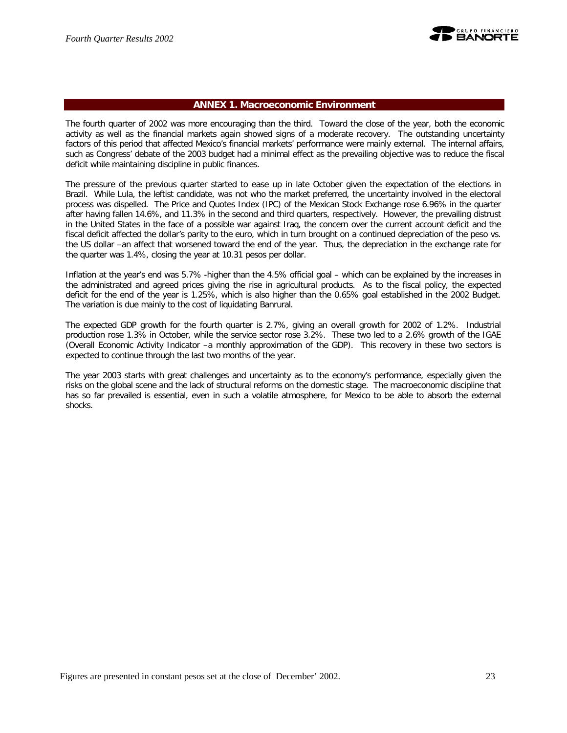

## **ANNEX 1. Macroeconomic Environment**

The fourth quarter of 2002 was more encouraging than the third. Toward the close of the year, both the economic activity as well as the financial markets again showed signs of a moderate recovery. The outstanding uncertainty factors of this period that affected Mexico's financial markets' performance were mainly external. The internal affairs, such as Congress' debate of the 2003 budget had a minimal effect as the prevailing objective was to reduce the fiscal deficit while maintaining discipline in public finances.

The pressure of the previous quarter started to ease up in late October given the expectation of the elections in Brazil. While Lula, the leftist candidate, was not who the market preferred, the uncertainty involved in the electoral process was dispelled. The Price and Quotes Index (IPC) of the Mexican Stock Exchange rose 6.96% in the quarter after having fallen 14.6%, and 11.3% in the second and third quarters, respectively. However, the prevailing distrust in the United States in the face of a possible war against Iraq, the concern over the current account deficit and the fiscal deficit affected the dollar's parity to the euro, which in turn brought on a continued depreciation of the peso vs. the US dollar –an affect that worsened toward the end of the year. Thus, the depreciation in the exchange rate for the quarter was 1.4%, closing the year at 10.31 pesos per dollar.

Inflation at the year's end was 5.7% -higher than the 4.5% official goal – which can be explained by the increases in the administrated and agreed prices giving the rise in agricultural products. As to the fiscal policy, the expected deficit for the end of the year is 1.25%, which is also higher than the 0.65% goal established in the 2002 Budget. The variation is due mainly to the cost of liquidating Banrural.

The expected GDP growth for the fourth quarter is 2.7%, giving an overall growth for 2002 of 1.2%. Industrial production rose 1.3% in October, while the service sector rose 3.2%. These two led to a 2.6% growth of the IGAE (Overall Economic Activity Indicator –a monthly approximation of the GDP). This recovery in these two sectors is expected to continue through the last two months of the year.

The year 2003 starts with great challenges and uncertainty as to the economy's performance, especially given the risks on the global scene and the lack of structural reforms on the domestic stage. The macroeconomic discipline that has so far prevailed is essential, even in such a volatile atmosphere, for Mexico to be able to absorb the external shocks.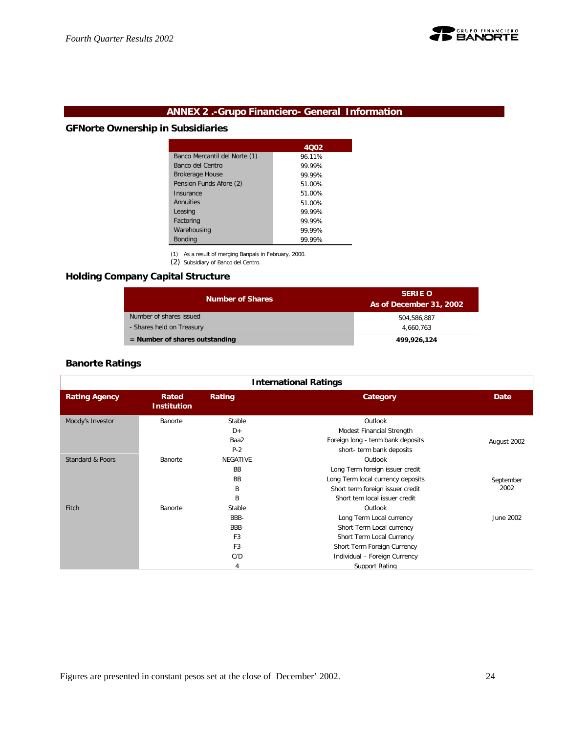

## **ANNEX 2 .-Grupo Financiero- General Information**

## **GFNorte Ownership in Subsidiaries**

|                               | 4002   |
|-------------------------------|--------|
| Banco Mercantil del Norte (1) | 96.11% |
| Banco del Centro              | 99.99% |
| <b>Brokerage House</b>        | 99.99% |
| Pension Funds Afore (2)       | 51.00% |
| Insurance                     | 51.00% |
| Annuities                     | 51.00% |
| Leasing                       | 99.99% |
| Factoring                     | 99.99% |
| Warehousing                   | 99.99% |
| <b>Bonding</b>                | 99.99% |

(1) As a result of merging Banpaís in February, 2000.

(2) Subsidiary of Banco del Centro.

## **Holding Company Capital Structure**

| <b>Number of Shares</b>          | <b>SERIE O</b><br>As of December 31, 2002 |
|----------------------------------|-------------------------------------------|
| Number of shares issued          | 504.586.887                               |
| - Shares held on Treasury        | 4.660.763                                 |
| $=$ Number of shares outstanding | 499,926,124                               |

## **Banorte Ratings**

| <b>International Ratings</b> |                             |                 |                                   |             |  |
|------------------------------|-----------------------------|-----------------|-----------------------------------|-------------|--|
| <b>Rating Agency</b>         | Rated<br><b>Institution</b> | Rating          | Category                          | Date        |  |
| Moody's Investor             | Banorte                     | Stable          | Outlook                           |             |  |
|                              |                             | $D+$            | Modest Financial Strength         |             |  |
|                              |                             | Baa2            | Foreign long - term bank deposits | August 2002 |  |
|                              |                             | $P-2$           | short- term bank deposits         |             |  |
| Standard & Poors             | Banorte                     | <b>NEGATIVE</b> | Outlook                           |             |  |
|                              |                             | <b>BB</b>       | Long Term foreign issuer credit   |             |  |
|                              |                             | <b>BB</b>       | Long Term local currency deposits | September   |  |
|                              |                             | B               | Short term foreign issuer credit  | 2002        |  |
|                              |                             | B               | Short tem local issuer credit     |             |  |
| Fitch                        | Banorte                     | Stable          | Outlook                           |             |  |
|                              |                             | BBB-            | Long Term Local currency          | June 2002   |  |
|                              |                             | BBB-            | Short Term Local currency         |             |  |
|                              |                             | F <sub>3</sub>  | Short Term Local Currency         |             |  |
|                              |                             | F <sub>3</sub>  | Short Term Foreign Currency       |             |  |
|                              |                             | C/D             | Individual - Foreign Currency     |             |  |
|                              |                             |                 | Support Rating                    |             |  |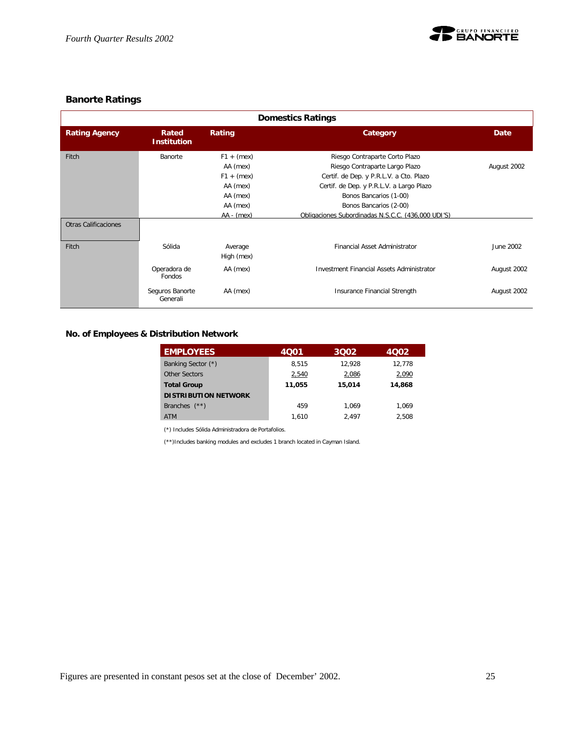

## **Banorte Ratings**

| <b>Domestics Ratings</b>    |                             |                                                                                              |                                                                                                                                                                                                                                                                   |             |  |  |  |
|-----------------------------|-----------------------------|----------------------------------------------------------------------------------------------|-------------------------------------------------------------------------------------------------------------------------------------------------------------------------------------------------------------------------------------------------------------------|-------------|--|--|--|
| <b>Rating Agency</b>        | Rated<br><b>Institution</b> | Rating                                                                                       | Category                                                                                                                                                                                                                                                          | Date        |  |  |  |
| Fitch                       | Banorte                     | $F1 + (mex)$<br>AA (mex)<br>$F1 + (mex)$<br>AA (mex)<br>AA (mex)<br>AA (mex)<br>$AA - (mex)$ | Riesgo Contraparte Corto Plazo<br>Riesgo Contraparte Largo Plazo<br>Certif. de Dep. y P.R.L.V. a Cto. Plazo<br>Certif. de Dep. y P.R.L.V. a Largo Plazo<br>Bonos Bancarios (1-00)<br>Bonos Bancarios (2-00)<br>Obligaciones Subordinadas N.S.C.C. (436.000 UDI'S) | August 2002 |  |  |  |
| <b>Otras Calificaciones</b> |                             |                                                                                              |                                                                                                                                                                                                                                                                   |             |  |  |  |
| Fitch                       | Sólida                      | Average<br>High (mex)                                                                        | Financial Asset Administrator                                                                                                                                                                                                                                     | June 2002   |  |  |  |
|                             | Operadora de<br>Fondos      | AA (mex)                                                                                     | <b>Investment Financial Assets Administrator</b>                                                                                                                                                                                                                  | August 2002 |  |  |  |
|                             | Seguros Banorte<br>Generali | AA (mex)                                                                                     | Insurance Financial Strength                                                                                                                                                                                                                                      | August 2002 |  |  |  |

**No. of Employees & Distribution Network**

| <b>EMPLOYEES</b>            | 4001   | 3002   | 4002   |
|-----------------------------|--------|--------|--------|
| Banking Sector (*)          | 8.515  | 12.928 | 12.778 |
| Other Sectors               | 2,540  | 2,086  | 2,090  |
| <b>Total Group</b>          | 11,055 | 15,014 | 14.868 |
| <b>DISTRIBUTION NETWORK</b> |        |        |        |
| $(**)$<br><b>Branches</b>   | 459    | 1.069  | 1.069  |
| <b>ATM</b>                  | 1.610  | 2.497  | 2.508  |

(\*) Includes Sólida Administradora de Portafolios.

(\*\*)Includes banking modules and excludes 1 branch located in Cayman Island.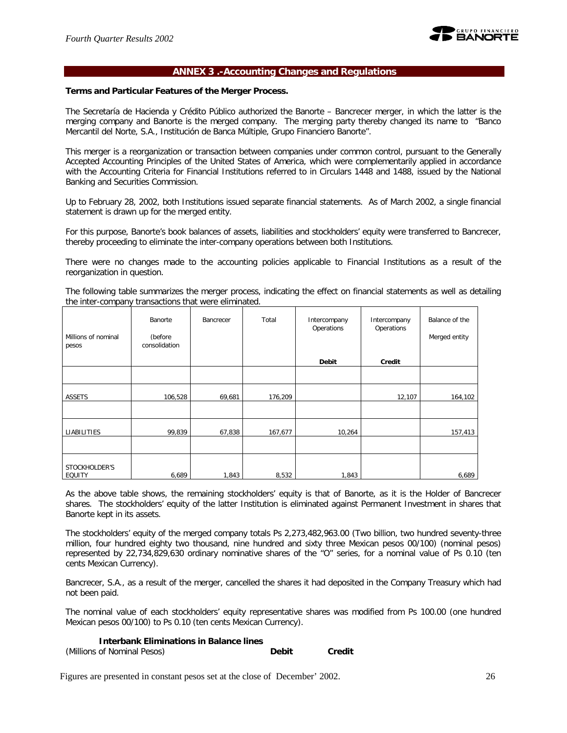

## **ANNEX 3 .-Accounting Changes and Regulations**

## **Terms and Particular Features of the Merger Process.**

The Secretaría de Hacienda y Crédito Público authorized the Banorte – Bancrecer merger, in which the latter is the merging company and Banorte is the merged company. The merging party thereby changed its name to "Banco Mercantil del Norte, S.A., Institución de Banca Múltiple, Grupo Financiero Banorte".

This merger is a reorganization or transaction between companies under common control, pursuant to the Generally Accepted Accounting Principles of the United States of America, which were complementarily applied in accordance with the Accounting Criteria for Financial Institutions referred to in Circulars 1448 and 1488, issued by the National Banking and Securities Commission.

Up to February 28, 2002, both Institutions issued separate financial statements. As of March 2002, a single financial statement is drawn up for the merged entity.

For this purpose, Banorte's book balances of assets, liabilities and stockholders' equity were transferred to Bancrecer, thereby proceeding to eliminate the inter-company operations between both Institutions.

There were no changes made to the accounting policies applicable to Financial Institutions as a result of the reorganization in question.

The following table summarizes the merger process, indicating the effect on financial statements as well as detailing the inter-company transactions that were eliminated.

| Millions of nominal<br>pesos | Banorte<br>(before<br>consolidation | Bancrecer | Total   | Intercompany<br>Operations | Intercompany<br>Operations | Balance of the<br>Merged entity |
|------------------------------|-------------------------------------|-----------|---------|----------------------------|----------------------------|---------------------------------|
|                              |                                     |           |         | <b>Debit</b>               | Credit                     |                                 |
|                              |                                     |           |         |                            |                            |                                 |
| <b>ASSETS</b>                | 106,528                             | 69,681    | 176,209 |                            | 12,107                     | 164,102                         |
|                              |                                     |           |         |                            |                            |                                 |
| LIABILITIES                  | 99,839                              | 67,838    | 167,677 | 10,264                     |                            | 157,413                         |
|                              |                                     |           |         |                            |                            |                                 |
| STOCKHOLDER'S<br>EQUITY      | 6,689                               | 1,843     | 8,532   | 1,843                      |                            | 6,689                           |

As the above table shows, the remaining stockholders' equity is that of Banorte, as it is the Holder of Bancrecer shares. The stockholders' equity of the latter Institution is eliminated against Permanent Investment in shares that Banorte kept in its assets.

The stockholders' equity of the merged company totals Ps 2,273,482,963.00 (Two billion, two hundred seventy-three million, four hundred eighty two thousand, nine hundred and sixty three Mexican pesos 00/100) (nominal pesos) represented by 22,734,829,630 ordinary nominative shares of the "O" series, for a nominal value of Ps 0.10 (ten cents Mexican Currency).

Bancrecer, S.A., as a result of the merger, cancelled the shares it had deposited in the Company Treasury which had not been paid.

The nominal value of each stockholders' equity representative shares was modified from Ps 100.00 (one hundred Mexican pesos 00/100) to Ps 0.10 (ten cents Mexican Currency).

**Interbank Eliminations in Balance lines**

| (Millions of Nominal Pesos) | <b>Debit</b> | <b>Credit</b> |
|-----------------------------|--------------|---------------|
|-----------------------------|--------------|---------------|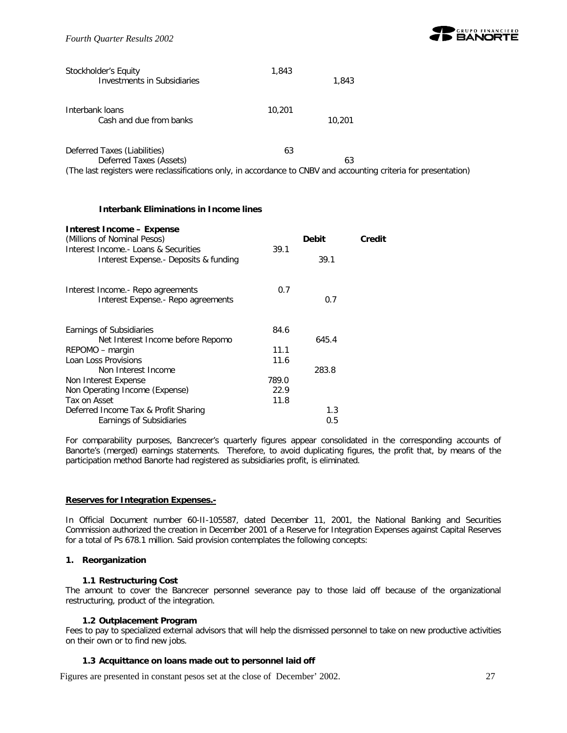

| Stockholder's Equity<br>Investments in Subsidiaries                                                                                                                         | 1,843  | 1,843  |  |
|-----------------------------------------------------------------------------------------------------------------------------------------------------------------------------|--------|--------|--|
| Interbank loans<br>Cash and due from banks                                                                                                                                  | 10,201 | 10,201 |  |
| Deferred Taxes (Liabilities)<br>Deferred Taxes (Assets)<br>(The last registers were reclassifications only, in accordance to CNBV and accounting criteria for presentation) | 63     | 63     |  |

## **Interbank Eliminations in Income lines**

| Interest Income - Expense<br>(Millions of Nominal Pesos)                       |       | <b>Debit</b> | Credit |
|--------------------------------------------------------------------------------|-------|--------------|--------|
| Interest Income.- Loans & Securities<br>Interest Expense. - Deposits & funding | 39.1  | 39.1         |        |
| Interest Income.- Repo agreements<br>Interest Expense. - Repo agreements       | 0.7   | 0.7          |        |
| Earnings of Subsidiaries                                                       | 84.6  |              |        |
| Net Interest Income before Repomo                                              |       | 645.4        |        |
| REPOMO - margin                                                                | 11.1  |              |        |
| Loan Loss Provisions                                                           | 11.6  |              |        |
| Non Interest Income                                                            |       | 283.8        |        |
| Non Interest Expense                                                           | 789.0 |              |        |
| Non Operating Income (Expense)                                                 | 22.9  |              |        |
| Tax on Asset                                                                   | 11.8  |              |        |
| Deferred Income Tax & Profit Sharing                                           |       | 1.3          |        |
| Earnings of Subsidiaries                                                       |       | 0.5          |        |

For comparability purposes, Bancrecer's quarterly figures appear consolidated in the corresponding accounts of Banorte's (merged) earnings statements. Therefore, to avoid duplicating figures, the profit that, by means of the participation method Banorte had registered as subsidiaries profit, is eliminated.

#### **Reserves for Integration Expenses.-**

In Official Document number 60-II-105587, dated December 11, 2001, the National Banking and Securities Commission authorized the creation in December 2001 of a Reserve for Integration Expenses against Capital Reserves for a total of Ps 678.1 million. Said provision contemplates the following concepts:

## **1. Reorganization**

## **1.1 Restructuring Cost**

The amount to cover the Bancrecer personnel severance pay to those laid off because of the organizational restructuring, product of the integration.

## **1.2 Outplacement Program**

Fees to pay to specialized external advisors that will help the dismissed personnel to take on new productive activities on their own or to find new jobs.

## **1.3 Acquittance on loans made out to personnel laid off**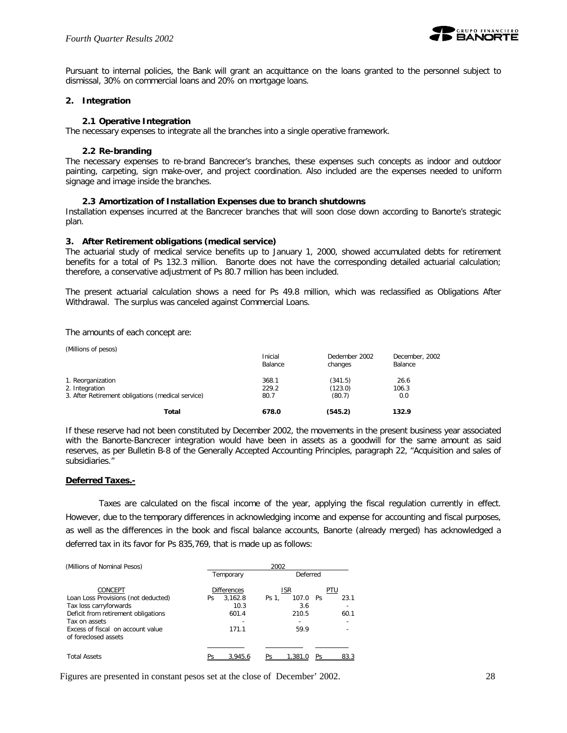

Pursuant to internal policies, the Bank will grant an acquittance on the loans granted to the personnel subject to dismissal, 30% on commercial loans and 20% on mortgage loans.

## **2. Integration**

#### **2.1 Operative Integration**

The necessary expenses to integrate all the branches into a single operative framework.

#### **2.2 Re-branding**

The necessary expenses to re-brand Bancrecer's branches, these expenses such concepts as indoor and outdoor painting, carpeting, sign make-over, and project coordination. Also included are the expenses needed to uniform signage and image inside the branches.

#### **2.3 Amortization of Installation Expenses due to branch shutdowns**

Installation expenses incurred at the Bancrecer branches that will soon close down according to Banorte's strategic plan.

#### **3. After Retirement obligations (medical service)**

The actuarial study of medical service benefits up to January 1, 2000, showed accumulated debts for retirement benefits for a total of Ps 132.3 million. Banorte does not have the corresponding detailed actuarial calculation; therefore, a conservative adjustment of Ps 80.7 million has been included.

The present actuarial calculation shows a need for Ps 49.8 million, which was reclassified as Obligations After Withdrawal. The surplus was canceled against Commercial Loans.

The amounts of each concept are:

| (Millions of pesos)                               |                    |                          |                           |
|---------------------------------------------------|--------------------|--------------------------|---------------------------|
|                                                   | Inicial<br>Balance | Dedember 2002<br>changes | December, 2002<br>Balance |
| 1. Reorganization                                 | 368.1              | (341.5)                  | 26.6                      |
| 2. Integration                                    | 229.2              | (123.0)                  | 106.3                     |
| 3. After Retirement obligations (medical service) | 80.7               | (80.7)                   | 0.0                       |
| Total                                             | 678.0              | (545.2)                  | 132.9                     |

If these reserve had not been constituted by December 2002, the movements in the present business year associated with the Banorte-Bancrecer integration would have been in assets as a goodwill for the same amount as said reserves, as per Bulletin B-8 of the Generally Accepted Accounting Principles, paragraph 22, "Acquisition and sales of subsidiaries."

## **Deferred Taxes.-**

Taxes are calculated on the fiscal income of the year, applying the fiscal regulation currently in effect. However, due to the temporary differences in acknowledging income and expense for accounting and fiscal purposes, as well as the differences in the book and fiscal balance accounts, Banorte (already merged) has acknowledged a deferred tax in its favor for Ps 835,769, that is made up as follows:

| (Millions of Nominal Pesos)         | 2002 |                    |       |            |           |      |  |  |
|-------------------------------------|------|--------------------|-------|------------|-----------|------|--|--|
|                                     |      | Temporary          |       | Deferred   |           |      |  |  |
| CONCEPT                             |      | <b>Differences</b> |       | <b>ISR</b> |           | PTU  |  |  |
| Loan Loss Provisions (not deducted) | Ps   | 3.162.8            | Ps 1. | 107.0      | <b>Ps</b> | 23.1 |  |  |
| Tax loss carryforwards              |      | 10.3               |       | 3.6        |           |      |  |  |
| Deficit from retirement obligations |      | 601.4              |       | 210.5      |           | 60.1 |  |  |
| Tax on assets                       |      |                    |       |            |           |      |  |  |
| Excess of fiscal on account value   |      | 171.1              |       | 59.9       |           |      |  |  |
| of foreclosed assets                |      |                    |       |            |           |      |  |  |
|                                     |      |                    |       |            |           |      |  |  |
| <b>Total Assets</b>                 |      | 3.945.6            |       | 1 381      |           | 833  |  |  |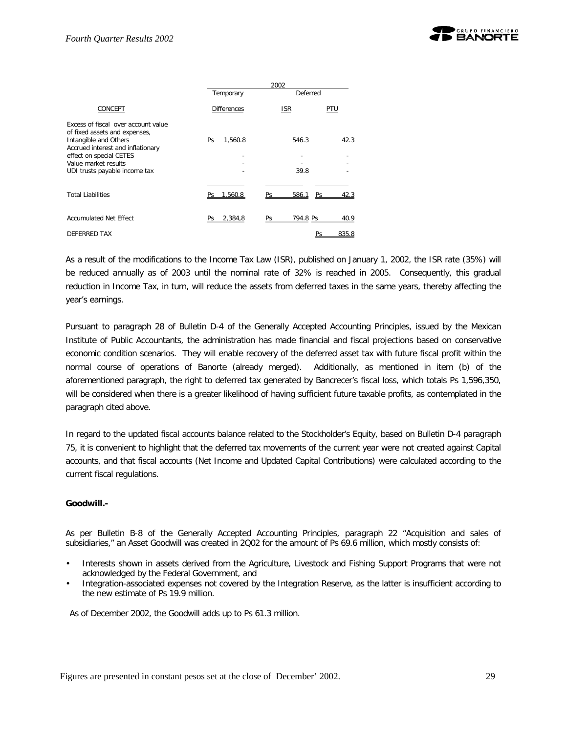

|                                                                                                                                                                                                                        | 2002               |                        |       |  |  |  |  |  |
|------------------------------------------------------------------------------------------------------------------------------------------------------------------------------------------------------------------------|--------------------|------------------------|-------|--|--|--|--|--|
|                                                                                                                                                                                                                        | Temporary          | Deferred               |       |  |  |  |  |  |
| CONCEPT                                                                                                                                                                                                                | <b>Differences</b> | <b>ISR</b>             | PTU   |  |  |  |  |  |
| Excess of fiscal over account value<br>of fixed assets and expenses,<br>Intangible and Others<br>Accrued interest and inflationary<br>effect on special CETES<br>Value market results<br>UDI trusts payable income tax | 1,560.8<br>Ps      | 546.3<br>39.8          | 42.3  |  |  |  |  |  |
| <b>Total Liabilities</b>                                                                                                                                                                                               | 1.560.8            | 586.1<br>Pς            |       |  |  |  |  |  |
| Accumulated Net Effect                                                                                                                                                                                                 | 2.384.8<br>Pς      | <u>794.8 Ps</u><br>Ps. | 40.9  |  |  |  |  |  |
| <b>DEFERRED TAX</b>                                                                                                                                                                                                    |                    |                        | 835.8 |  |  |  |  |  |

As a result of the modifications to the Income Tax Law (ISR), published on January 1, 2002, the ISR rate (35%) will be reduced annually as of 2003 until the nominal rate of 32% is reached in 2005. Consequently, this gradual reduction in Income Tax, in turn, will reduce the assets from deferred taxes in the same years, thereby affecting the year's earnings.

Pursuant to paragraph 28 of Bulletin D-4 of the Generally Accepted Accounting Principles, issued by the Mexican Institute of Public Accountants, the administration has made financial and fiscal projections based on conservative economic condition scenarios. They will enable recovery of the deferred asset tax with future fiscal profit within the normal course of operations of Banorte (already merged). Additionally, as mentioned in item (b) of the aforementioned paragraph, the right to deferred tax generated by Bancrecer's fiscal loss, which totals Ps 1,596,350, will be considered when there is a greater likelihood of having sufficient future taxable profits, as contemplated in the paragraph cited above.

In regard to the updated fiscal accounts balance related to the Stockholder's Equity, based on Bulletin D-4 paragraph 75, it is convenient to highlight that the deferred tax movements of the current year were not created against Capital accounts, and that fiscal accounts (Net Income and Updated Capital Contributions) were calculated according to the current fiscal regulations.

## **Goodwill.-**

As per Bulletin B-8 of the Generally Accepted Accounting Principles, paragraph 22 "Acquisition and sales of subsidiaries," an Asset Goodwill was created in 2Q02 for the amount of Ps 69.6 million, which mostly consists of:

- Interests shown in assets derived from the Agriculture, Livestock and Fishing Support Programs that were not acknowledged by the Federal Government, and
- Integration-associated expenses not covered by the Integration Reserve, as the latter is insufficient according to the new estimate of Ps 19.9 million.

As of December 2002, the Goodwill adds up to Ps 61.3 million.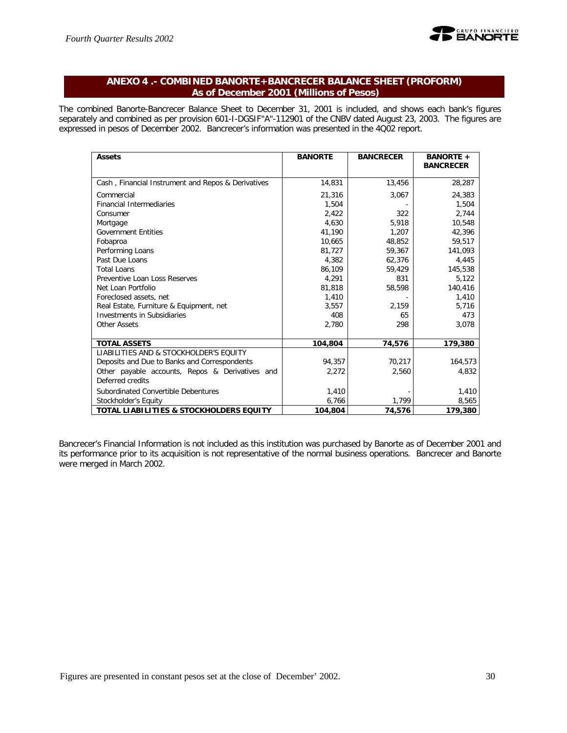

## **ANEXO 4 .- COMBINED BANORTE+BANCRECER BALANCE SHEET (PROFORM) As of December 2001 (Millions of Pesos)**

The combined Banorte-Bancrecer Balance Sheet to December 31, 2001 is included, and shows each bank's figures separately and combined as per provision 601-I-DGSIF"A"-112901 of the CNBV dated August 23, 2003. The figures are expressed in pesos of December 2002. Bancrecer's information was presented in the 4Q02 report.

| <b>Assets</b>                                      | <b>BANORTE</b> | <b>BANCRECER</b> | <b>BANORTE +</b><br><b>BANCRECER</b> |
|----------------------------------------------------|----------------|------------------|--------------------------------------|
| Cash, Financial Instrument and Repos & Derivatives | 14,831         | 13,456           | 28,287                               |
| Commercial                                         | 21,316         | 3,067            | 24,383                               |
| <b>Financial Intermediaries</b>                    | 1,504          |                  | 1,504                                |
| Consumer                                           | 2,422          | 322              | 2,744                                |
| Mortgage                                           | 4.630          | 5.918            | 10,548                               |
| <b>Government Entities</b>                         | 41,190         | 1,207            | 42,396                               |
| Fobaproa                                           | 10.665         | 48.852           | 59,517                               |
| Performing Loans                                   | 81,727         | 59,367           | 141,093                              |
| Past Due Loans                                     | 4.382          | 62,376           | 4,445                                |
| <b>Total Loans</b>                                 | 86,109         | 59,429           | 145,538                              |
| Preventive Loan Loss Reserves                      | 4.291          | 831              | 5,122                                |
| Net Loan Portfolio                                 | 81,818         | 58,598           | 140,416                              |
| Foreclosed assets, net                             | 1,410          |                  | 1,410                                |
| Real Estate, Furniture & Equipment, net            | 3,557          | 2,159            | 5,716                                |
| <b>Investments in Subsidiaries</b>                 | 408            | 65               | 473                                  |
| <b>Other Assets</b>                                | 2,780          | 298              | 3,078                                |
|                                                    |                |                  |                                      |
| <b>TOTAL ASSETS</b>                                | 104,804        | 74,576           | 179,380                              |
| LIABILITIES AND & STOCKHOLDER'S EQUITY             |                |                  |                                      |
| Deposits and Due to Banks and Correspondents       | 94,357         | 70,217           | 164,573                              |
| Other payable accounts, Repos & Derivatives and    | 2,272          | 2,560            | 4.832                                |
| Deferred credits                                   |                |                  |                                      |
| Subordinated Convertible Debentures                | 1,410          |                  | 1,410                                |
| Stockholder's Equity                               | 6,766          | 1,799            | 8,565                                |
| TOTAL LIABILITIES & STOCKHOLDERS EQUITY            | 104.804        | 74,576           | 179,380                              |

Bancrecer's Financial Information is not included as this institution was purchased by Banorte as of December 2001 and its performance prior to its acquisition is not representative of the normal business operations. Bancrecer and Banorte were merged in March 2002.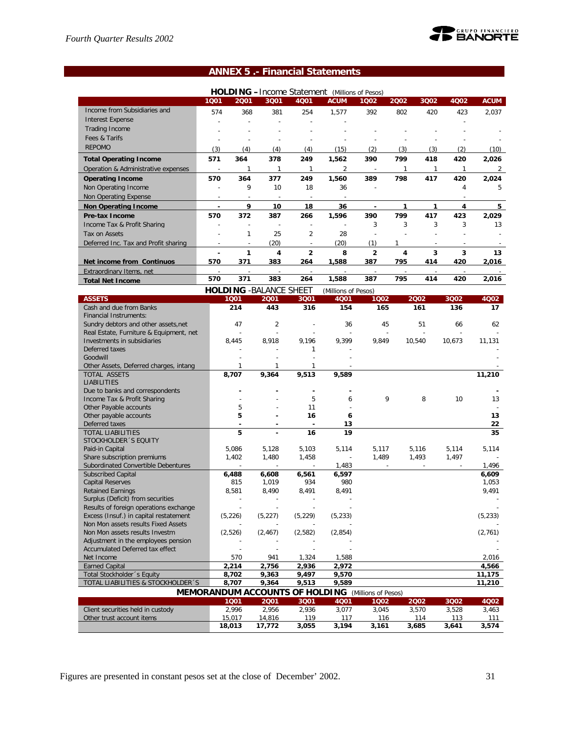

## **ANNEX 5 .- Financial Statements**

|                                                                               |                          |                  |                                |                                       | <b>HOLDING</b> - Income Statement (Millions of Pesos) |                     |              |                |              |                |
|-------------------------------------------------------------------------------|--------------------------|------------------|--------------------------------|---------------------------------------|-------------------------------------------------------|---------------------|--------------|----------------|--------------|----------------|
|                                                                               | 1001                     | 2001             | 3Q01                           | 4Q01                                  | <b>ACUM</b>                                           | 1Q02                | 2002         | 3Q02           | 4Q02         | <b>ACUM</b>    |
| Income from Subsidiaries and                                                  | 574                      | 368              | 381                            | 254                                   | 1,577                                                 | 392                 | 802          | 420            | 423          | 2,037          |
| <b>Interest Expense</b>                                                       |                          |                  | $\overline{a}$                 |                                       |                                                       |                     |              |                |              |                |
| <b>Trading Income</b>                                                         |                          |                  |                                |                                       |                                                       |                     |              |                |              |                |
| Fees & Tarifs                                                                 | ÷,                       |                  | $\overline{a}$                 | ÷                                     | L,                                                    | Ĭ.                  |              |                |              |                |
| <b>REPOMO</b>                                                                 | (3)                      | (4)              | (4)                            | (4)                                   | (15)                                                  | (2)                 | (3)          | (3)            | (2)          | (10)           |
| <b>Total Operating Income</b>                                                 | 571                      | 364              | 378                            | 249                                   | 1,562                                                 | 390                 | 799          | 418            | 420          | 2,026          |
| Operation & Administrative expenses                                           | $\overline{\phantom{a}}$ | $\mathbf{1}$     | $\mathbf{1}$                   | $\mathbf{1}$                          | $\overline{2}$                                        |                     | $\mathbf{1}$ | $\mathbf{1}$   | $\mathbf{1}$ | $\overline{2}$ |
| <b>Operating Income</b>                                                       | 570                      | 364              | 377                            | 249                                   | 1,560                                                 | 389                 | 798          | 417            | 420          | 2,024          |
| Non Operating Income                                                          |                          | 9                | 10                             | 18                                    | 36                                                    |                     |              |                | 4            | 5              |
| Non Operating Expense                                                         |                          |                  |                                |                                       |                                                       |                     |              |                |              |                |
| <b>Non Operating Income</b>                                                   | $\blacksquare$           | 9                | 10                             | 18                                    | 36                                                    | $\blacksquare$      | $\mathbf{1}$ | 1              | 4            | 5              |
| Pre-tax Income                                                                | 570                      | 372              | 387                            | 266                                   | 1,596                                                 | 390                 | 799          | 417            | 423          | 2,029          |
| Income Tax & Profit Sharing                                                   | $\overline{a}$           | $\overline{a}$   | $\overline{a}$                 | $\overline{a}$                        |                                                       | 3                   | 3            | 3              | 3            | 13             |
| Tax on Assets                                                                 |                          | $\mathbf{1}$     | 25                             | $\overline{2}$                        | 28                                                    |                     |              |                |              |                |
| Deferred Inc. Tax and Profit sharing                                          |                          | $\overline{a}$   | (20)                           | ÷,                                    | (20)                                                  | (1)                 | 1            |                |              |                |
|                                                                               |                          | 1                | 4                              | $\overline{2}$                        | 8                                                     | $\overline{2}$      | 4            | 3              | 3            | 13             |
| Net income from Continuos                                                     | 570                      | 371              | 383                            | 264                                   | 1,588                                                 | 387                 | 795          | 414            | 420          | 2,016          |
| Extraordinary Items, net                                                      |                          |                  |                                |                                       |                                                       |                     |              |                |              |                |
| <b>Total Net Income</b>                                                       | 570                      | 371              | 383                            | 264                                   | 1,588                                                 | 387                 | 795          | 414            | 420          | 2,016          |
|                                                                               |                          |                  | <b>HOLDING - BALANCE SHEET</b> |                                       | (Millions of Pesos)                                   |                     |              |                |              |                |
| <b>ASSETS</b>                                                                 |                          | 1001             | 2001                           | 3Q01                                  | 4Q01                                                  | 1002                |              | 2002           | 3Q02         | 4Q02           |
| Cash and due from Banks                                                       |                          | 214              | 443                            | 316                                   | 154                                                   | 165                 |              | 161            | 136          | 17             |
| <b>Financial Instruments:</b>                                                 |                          |                  |                                |                                       |                                                       |                     |              |                |              |                |
| Sundry debtors and other assets, net                                          |                          | 47               | $\overline{2}$                 | ÷,                                    | 36                                                    | 45                  |              | 51             | 66           | 62             |
| Real Estate, Furniture & Equipment, net                                       |                          |                  | $\overline{a}$                 |                                       |                                                       |                     |              | J.             |              |                |
| Investments in subsidiaries                                                   |                          | 8.445            | 8,918                          | 9,196                                 | 9,399                                                 | 9,849               |              | 10,540         | 10,673       | 11,131         |
| Deferred taxes                                                                |                          |                  |                                | 1                                     |                                                       |                     |              |                |              |                |
| Goodwill<br>Other Assets, Deferred charges, intang                            |                          | 1                | 1                              | $\overline{a}$<br>1                   |                                                       |                     |              |                |              |                |
| TOTAL ASSETS                                                                  |                          | 8,707            | 9,364                          | 9,513                                 | 9,589                                                 |                     |              |                |              | 11,210         |
| <b>LIABILITIES</b>                                                            |                          |                  |                                |                                       |                                                       |                     |              |                |              |                |
| Due to banks and correspondents                                               |                          |                  |                                | ä,                                    |                                                       |                     |              |                |              |                |
| Income Tax & Profit Sharing                                                   |                          |                  |                                | 5                                     | 6                                                     | 9                   |              | 8              | 10           | 13             |
| Other Payable accounts                                                        |                          | 5                |                                | 11                                    |                                                       |                     |              |                |              |                |
| Other payable accounts                                                        |                          | 5                |                                | 16                                    | 6                                                     |                     |              |                |              | 13             |
| Deferred taxes                                                                |                          |                  |                                | ä,                                    | 13                                                    |                     |              |                |              | 22             |
| <b>TOTAL LIABILITIES</b>                                                      |                          | 5                |                                | 16                                    | 19                                                    |                     |              |                |              | 35             |
| STOCKHOLDER 'S EQUITY<br>Paid-in Capital                                      |                          | 5,086            | 5,128                          | 5,103                                 | 5,114                                                 | 5,117               |              | 5,116          | 5,114        | 5,114          |
| Share subscription premiums                                                   |                          | 1,402            | 1,480                          | 1,458                                 | $\overline{\phantom{a}}$                              | 1,489               |              | 1,493          | 1,497        |                |
| Subordinated Convertible Debentures                                           |                          | ÷,               | ÷,                             | ÷,                                    | 1,483                                                 |                     |              | $\overline{a}$ |              | 1,496          |
| <b>Subscribed Capital</b>                                                     |                          | 6,488            | 6,608                          | 6,561                                 | 6,597                                                 |                     |              |                |              | 6,609          |
| <b>Capital Reserves</b>                                                       |                          | 815              | 1,019                          | 934                                   | 980                                                   |                     |              |                |              | 1,053          |
| <b>Retained Earnings</b>                                                      |                          | 8,581            | 8,490                          | 8,491                                 | 8,491                                                 |                     |              |                |              | 9,491          |
| Surplus (Deficit) from securities                                             |                          |                  |                                | ÷,                                    |                                                       |                     |              |                |              |                |
| Results of foreign operations exchange                                        |                          |                  |                                |                                       |                                                       |                     |              |                |              |                |
| Excess (Insuf.) in capital restatement<br>Non Mon assets results Fixed Assets |                          | (5, 226)         | (5, 227)                       | (5, 229)                              | (5, 233)                                              |                     |              |                |              | (5, 233)       |
| Non Mon assets results Investm                                                |                          | (2,526)          | (2, 467)                       | (2,582)                               | (2,854)                                               |                     |              |                |              | (2,761)        |
| Adjustment in the employees pension                                           |                          |                  |                                |                                       |                                                       |                     |              |                |              |                |
| Accumulated Deferred tax effect                                               |                          |                  |                                |                                       |                                                       |                     |              |                |              |                |
| Net Income                                                                    |                          | 570              | 941                            | 1,324                                 | 1,588                                                 |                     |              |                |              | 2,016          |
| <b>Earned Capital</b>                                                         |                          | 2,214            | 2,756                          | 2,936                                 | 2,972                                                 |                     |              |                |              | 4,566          |
| Total Stockholder 's Equity                                                   |                          | 8,702            | 9,363                          | 9,497                                 | 9,570                                                 |                     |              |                |              | 11,175         |
| TOTAL LIABILITIES & STOCKHOLDER 'S                                            |                          | 8,707            | 9,364                          | 9,513                                 | 9,589                                                 |                     |              |                |              | 11,210         |
|                                                                               |                          |                  |                                | <b>MEMORANDUM ACCOUNTS OF HOLDING</b> |                                                       | (Millions of Pesos) |              |                |              |                |
|                                                                               |                          | 1001             | 2001                           | 3Q01                                  | 4Q01                                                  | 1002                |              | 2002           | 3Q02         | 4Q02           |
| Client securities held in custody                                             |                          | 2,996            | 2,956                          | 2,936                                 | 3,077                                                 | 3,045               |              | 3,570          | 3,528        | 3,463          |
| Other trust account items                                                     |                          | 15,017<br>18,013 | 14,816<br>17,772               | 119<br>3,055                          | 117<br>3,194                                          | 116<br>3,161        |              | 114<br>3,685   | 113<br>3,641 | 111<br>3,574   |
|                                                                               |                          |                  |                                |                                       |                                                       |                     |              |                |              |                |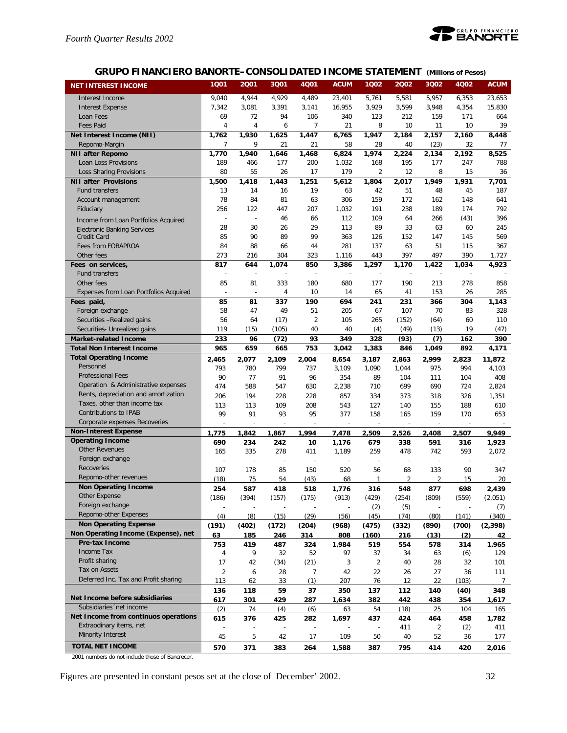

## **GRUPO FINANCIERO BANORTE–CONSOLIDATED INCOME STATEMENT** *(Millions of Pesos)*

| <b>NET INTEREST INCOME</b>                            | 1Q01                     | 2001           | 3Q01              | <b>4Q01</b>    | <b>ACUM</b>    | 1002                     | 2002                     | 3Q02                 | 4Q02       | <b>ACUM</b>            |
|-------------------------------------------------------|--------------------------|----------------|-------------------|----------------|----------------|--------------------------|--------------------------|----------------------|------------|------------------------|
| Interest Income                                       | 9,040                    | 4,944          | 4,929             | 4,489          | 23,401         | 5,761                    | 5,581                    | 5,957                | 6,353      | 23,653                 |
| <b>Interest Expense</b>                               | 7,342                    | 3,081          | 3,391             | 3,141          | 16,955         | 3,929                    | 3,599                    | 3,948                | 4,354      | 15,830                 |
| Loan Fees                                             | 69                       | 72             | 94                | 106            | 340            | 123                      | 212                      | 159                  | 171        | 664                    |
| <b>Fees Paid</b>                                      | 4                        | $\overline{4}$ | 6                 | 7              | 21             | 8                        | 10                       | 11                   | 10         | 39                     |
| Net Interest Income (NII)                             | 1,762                    | 1,930          | 1,625             | 1,447          | 6,765          | 1.947                    | 2,184                    | $\overline{2}$ , 157 | 2,160      | 8,448                  |
| Repomo-Margin                                         | 7                        | 9              | 21                | 21             | 58             | 28                       | 40                       | (23)                 | 32         | 77                     |
| <b>NII after Repomo</b>                               | 1,770                    | 1,940          | 1,646             | 1,468          | 6,824          | 1,974                    | 2,224                    | 2,134                | 2,192      | 8,525                  |
| Loan Loss Provisions                                  | 189                      | 466            | 177               | 200            | 1,032          | 168                      | 195                      | 177                  | 247        | 788                    |
| Loss Sharing Provisions                               | 80                       | 55             | 26                | 17             | 179            | 2                        | 12                       | 8                    | 15         | 36                     |
| <b>NII after Provisions</b>                           | 1,500                    | 1,418          | 1,443             | 1,251          | 5,612          | 1,804                    | 2,017                    | 1.949                | 1,931      | 7,701                  |
| <b>Fund transfers</b>                                 | 13                       | 14             | 16                | 19             | 63             | 42                       | 51                       | 48                   | 45         | 187                    |
| Account management                                    | 78                       | 84             | 81                | 63             | 306            | 159                      | 172                      | 162                  | 148        | 641                    |
| Fiduciary                                             | 256                      | 122            | 447               | 207            | 1,032          | 191                      | 238                      | 189                  | 174        | 792                    |
| Income from Loan Portfolios Acquired                  | ÷,                       | ÷,             | 46                | 66             | 112            | 109                      | 64                       | 266                  | (43)       | 396                    |
| <b>Electronic Banking Services</b>                    | 28                       | 30             | 26                | 29             | 113            | 89                       | 33                       | 63                   | 60         | 245                    |
| Credit Card                                           | 85                       | 90             | 89                | 99             | 363            | 126                      | 152                      | 147                  | 145        | 569                    |
| Fees from FOBAPROA                                    | 84                       | 88             | 66                | 44             | 281            | 137                      | 63                       | 51                   | 115        | 367                    |
| Other fees                                            | 273                      | 216            | 304               | 323            | 1,116          | 443                      | 397                      | 497                  | 390        | 1,727                  |
| Fees on services,                                     | 817                      | 644            | 1.074             | 850            | 3,386          | 1,297                    | 1,170                    | 1,422                | 1,034      | 4,923                  |
| Fund transfers                                        | L,                       | L,             |                   |                |                |                          |                          |                      |            |                        |
| Other fees                                            | 85                       | 81             | 333               | 180            | 680            | 177                      | 190                      | 213                  | 278        | 858                    |
| Expenses from Loan Portfolios Acquired                | $\overline{\phantom{a}}$ | ÷,             | $\overline{4}$    | 10             | 14             | 65                       | 41                       | 153                  | 26         | 285                    |
| Fees paid,                                            | 85<br>58                 | 81<br>47       | 337<br>49         | 190<br>51      | 694<br>205     | 241<br>67                | 231<br>107               | 366<br>70            | 304<br>83  | 1.143<br>328           |
| Foreign exchange<br>Securities -Realized gains        | 56                       | 64             | (17)              | $\overline{2}$ | 105            | 265                      | (152)                    | (64)                 | 60         | 110                    |
| Securities- Unrealized gains                          | 119                      | (15)           | (105)             | 40             | 40             | (4)                      | (49)                     | (13)                 | 19         | (47)                   |
| <b>Market-related Income</b>                          | 233                      | 96             | (72)              | 93             | 349            | 328                      | (93)                     | (7)                  | 162        | 390                    |
| <b>Total Non Interest Income</b>                      | 965                      | 659            | 665               | 753            | 3,042          | 1,383                    | 846                      | 1,049                | 892        | 4,171                  |
| <b>Total Operating Income</b>                         | 2,465                    | 2,077          | 2,109             | 2,004          | 8,654          | 3,187                    | 2,863                    | 2,999                | 2,823      | 11,872                 |
| Personnel                                             | 793                      | 780            | 799               | 737            | 3,109          | 1,090                    | 1,044                    | 975                  | 994        | 4,103                  |
| <b>Professional Fees</b>                              | 90                       | 77             | 91                | 96             | 354            | 89                       | 104                      | 111                  | 104        | 408                    |
| Operation & Administrative expenses                   | 474                      | 588            | 547               | 630            | 2,238          | 710                      | 699                      | 690                  | 724        | 2,824                  |
| Rents, depreciation and amortization                  | 206                      | 194            | 228               | 228            | 857            | 334                      | 373                      | 318                  | 326        | 1,351                  |
| Taxes, other than income tax                          | 113                      | 113            | 109               | 208            | 543            | 127                      | 140                      | 155                  | 188        | 610                    |
| Contributions to IPAB                                 | 99                       | 91             | 93                | 95             | 377            | 158                      | 165                      | 159                  | 170        | 653                    |
| Corporate expenses Recoveries                         |                          |                |                   |                | $\overline{a}$ |                          |                          |                      |            |                        |
| <b>Non-Interest Expense</b>                           | 1,775                    | 1.842          | 1,867             | 1,994          | 7,478          | 2,509                    | 2,526                    | 2,408                | 2,507      | 9,949                  |
| <b>Operating Income</b>                               | 690                      | 234            | 242               | 10             | 1,176          | 679                      | 338                      | 591                  | 316        | 1,923                  |
| <b>Other Revenues</b>                                 | 165                      | 335            | 278               | 411            | 1,189          | 259                      | 478                      | 742                  | 593        | 2,072                  |
| Foreign exchange                                      |                          | ÷,             | $\overline{a}$    | $\overline{a}$ |                | $\overline{\phantom{a}}$ | $\overline{\phantom{a}}$ | $\overline{a}$       |            |                        |
| Recoveries                                            | 107                      | 178            | 85                | 150            | 520            | 56                       | 68                       | 133                  | 90         | 347                    |
| Repomo-other revenues                                 | (18)                     | 75             | 54                | (43)           | 68             | $\mathbf{1}$             | $\overline{2}$           | $\overline{2}$       | 15         | 20                     |
| <b>Non Operating Income</b>                           | 254                      | 587            | 418               | 518            | 1.776          | 316                      | 548                      | 877                  | 698        | 2.439                  |
| Other Expense                                         | (186)                    | (394)          | (157)             | (175)          | (913)          | (429)                    | (254)                    | (809)                | (559)      | (2,051)                |
| Foreign exchange                                      |                          |                |                   |                |                | (2)                      | (5)                      |                      |            | (7)                    |
| Repomo-other Expenses                                 | (4)                      | (8)            | (15)              | (29)           | (56)           | (45)                     | (74)                     | (80)                 | (141)      | (340)                  |
| <b>Non Operating Expense</b>                          | (191)                    | (402)          | (172)             | (204)          | (968)          | (475)                    | (332)                    | (890)                | (700)      | (2, 398)               |
| Non Operating Income (Expense), net<br>Pre-tax Income | 63                       | 185            | 246               | 314            | 808            | (160)                    | 216                      | (13)                 | (2)        | 42                     |
| Income Tax                                            | 753                      | 419            | 487               | 324            | 1,984          | 519                      | 554                      | 578                  | 314        | 1,965                  |
| Profit sharing                                        | 4                        | 9              | 32                | 52             | 97             | 37                       | 34                       | 63                   | (6)        | 129                    |
| Tax on Assets                                         | 17                       | 42             | (34)              | (21)           | 3              | $\overline{2}$           | 40                       | 28                   | 32         | 101                    |
| Deferred Inc. Tax and Profit sharing                  | $\overline{2}$<br>113    | 6<br>62        | 28<br>33          | 7<br>(1)       | 42<br>207      | 22<br>76                 | 26<br>12                 | 27<br>22             | 36         | 111<br>$7\overline{ }$ |
|                                                       |                          |                |                   |                |                |                          |                          |                      | (103)      |                        |
| Net Income before subsidiaries                        | 136                      | 118<br>301     | 59                | 37             | 350            | 137                      | 112<br>442               | 140                  | (40)       | 348                    |
| Subsidiaries 'net income                              | 617<br>(2)               | 74             | <u>429</u><br>(4) | 287<br>(6)     | 1,634<br>63    | 382<br>54                | (18)                     | 438<br>25            | 354<br>104 | <u>1,617 </u><br>165   |
| Net Income from continuos operations                  | 615                      | 376            | 425               | 282            | 1,697          | 437                      | 424                      | 464                  | 458        | 1,782                  |
| Extraodinary items, net                               |                          |                |                   | $\overline{a}$ |                | $\overline{a}$           | 411                      | 2                    | (2)        | 411                    |
| <b>Minority Interest</b>                              | 45                       | 5              | 42                | 17             | 109            | 50                       | 40                       | 52                   | 36         | 177                    |
| <b>TOTAL NET INCOME</b>                               | 570                      | 371            | 383               | 264            | 1,588          | 387                      | 795                      | 414                  | 420        | 2,016                  |
|                                                       |                          |                |                   |                |                |                          |                          |                      |            |                        |

2001 numbers do not include those of Bancrecer.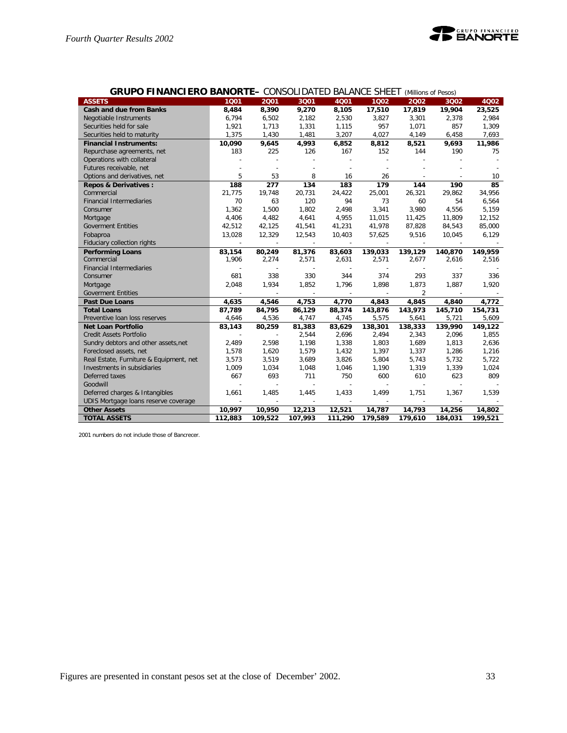

| <b>GRUPO FINANCIERO BANORTE- CONSOLIDATED BALANCE SHEET (Millions of Pesos)</b> |         |                          |                |                          |                          |                |         |         |
|---------------------------------------------------------------------------------|---------|--------------------------|----------------|--------------------------|--------------------------|----------------|---------|---------|
| <b>ASSETS</b>                                                                   | 1001    | 2001                     | 3001           | 4Q01                     | 1002                     | 2002           | 3002    | 4Q02    |
| <b>Cash and due from Banks</b>                                                  | 8,484   | 8,390                    | 9,270          | 8,105                    | 17,510                   | 17,819         | 19,904  | 23,525  |
| Negotiable Instruments                                                          | 6,794   | 6,502                    | 2,182          | 2,530                    | 3,827                    | 3,301          | 2,378   | 2,984   |
| Securities held for sale                                                        | 1,921   | 1,713                    | 1,331          | 1,115                    | 957                      | 1,071          | 857     | 1,309   |
| Securities held to maturity                                                     | 1,375   | 1,430                    | 1,481          | 3,207                    | 4,027                    | 4,149          | 6,458   | 7,693   |
| <b>Financial Instruments:</b>                                                   | 10,090  | 9,645                    | 4,993          | 6,852                    | 8,812                    | 8,521          | 9,693   | 11,986  |
| Repurchase agreements, net                                                      | 183     | 225                      | 126            | 167                      | 152                      | 144            | 190     | 75      |
| Operations with collateral                                                      |         |                          |                |                          |                          |                |         |         |
| Futures receivable, net                                                         |         |                          |                |                          |                          |                |         |         |
| Options and derivatives, net                                                    | 5       | 53                       | 8              | 16                       | 26                       |                |         | 10      |
| <b>Repos &amp; Derivatives:</b>                                                 | 188     | 277                      | 134            | 183                      | 179                      | 144            | 190     | 85      |
| Commercial                                                                      | 21,775  | 19,748                   | 20,731         | 24,422                   | 25,001                   | 26,321         | 29,862  | 34,956  |
| <b>Financial Intermediaries</b>                                                 | 70      | 63                       | 120            | 94                       | 73                       | 60             | 54      | 6,564   |
| Consumer                                                                        | 1,362   | 1,500                    | 1,802          | 2,498                    | 3,341                    | 3,980          | 4,556   | 5,159   |
| Mortgage                                                                        | 4,406   | 4,482                    | 4,641          | 4,955                    | 11,015                   | 11,425         | 11,809  | 12,152  |
| <b>Goverment Entities</b>                                                       | 42,512  | 42,125                   | 41,541         | 41,231                   | 41,978                   | 87,828         | 84,543  | 85,000  |
| Fobaproa                                                                        | 13,028  | 12,329                   | 12,543         | 10,403                   | 57,625                   | 9,516          | 10,045  | 6,129   |
| Fiduciary collection rights                                                     | $\sim$  | $\overline{\phantom{a}}$ | $\sim$         | $\sim$                   | $\overline{\phantom{a}}$ | $\sim$         | $\sim$  |         |
| <b>Performing Loans</b>                                                         | 83,154  | 80,249                   | 81,376         | 83,603                   | 139,033                  | 139,129        | 140,870 | 149,959 |
| Commercial                                                                      | 1,906   | 2,274                    | 2,571          | 2,631                    | 2,571                    | 2,677          | 2,616   | 2,516   |
| <b>Financial Intermediaries</b>                                                 |         |                          | $\overline{a}$ | $\overline{\phantom{a}}$ |                          |                |         |         |
| Consumer                                                                        | 681     | 338                      | 330            | 344                      | 374                      | 293            | 337     | 336     |
| Mortgage                                                                        | 2.048   | 1,934                    | 1,852          | 1,796                    | 1,898                    | 1,873          | 1,887   | 1,920   |
| <b>Goverment Entities</b>                                                       |         |                          | $\sim$         | $\overline{\phantom{a}}$ |                          | $\overline{2}$ |         |         |
| <b>Past Due Loans</b>                                                           | 4,635   | 4,546                    | 4,753          | 4,770                    | 4,843                    | 4,845          | 4,840   | 4,772   |
| <b>Total Loans</b>                                                              | 87,789  | 84,795                   | 86,129         | 88,374                   | 143,876                  | 143,973        | 145,710 | 154,731 |
| Preventive Ioan loss reserves                                                   | 4,646   | 4,536                    | 4,747          | 4,745                    | 5,575                    | 5,641          | 5,721   | 5,609   |
| <b>Net Loan Portfolio</b>                                                       | 83,143  | 80,259                   | 81,383         | 83,629                   | 138,301                  | 138,333        | 139,990 | 149,122 |
| Credit Assets Portfolio                                                         |         |                          | 2,544          | 2,696                    | 2,494                    | 2,343          | 2,096   | 1,855   |
| Sundry debtors and other assets, net                                            | 2,489   | 2,598                    | 1,198          | 1,338                    | 1,803                    | 1,689          | 1,813   | 2,636   |
| Foreclosed assets, net                                                          | 1,578   | 1,620                    | 1,579          | 1,432                    | 1,397                    | 1,337          | 1,286   | 1,216   |
| Real Estate, Furniture & Equipment, net                                         | 3,573   | 3,519                    | 3,689          | 3,826                    | 5,804                    | 5,743          | 5,732   | 5,722   |
| Investments in subsidiaries                                                     | 1,009   | 1,034                    | 1,048          | 1,046                    | 1,190                    | 1,319          | 1,339   | 1,024   |
| Deferred taxes                                                                  | 667     | 693                      | 711            | 750                      | 600                      | 610            | 623     | 809     |
| Goodwill                                                                        |         |                          | $\overline{a}$ | $\overline{\phantom{a}}$ |                          |                |         |         |
| Deferred charges & Intangibles                                                  | 1,661   | 1,485                    | 1,445          | 1,433                    | 1,499                    | 1,751          | 1,367   | 1,539   |
| UDIS Mortgage loans reserve coverage                                            |         |                          |                |                          |                          |                |         |         |
| <b>Other Assets</b>                                                             | 10,997  | 10,950                   | 12,213         | 12,521                   | 14,787                   | 14,793         | 14,256  | 14,802  |
| <b>TOTAL ASSETS</b>                                                             | 112,883 | 109,522                  | 107,993        | 111,290                  | 179,589                  | 179,610        | 184,031 | 199,521 |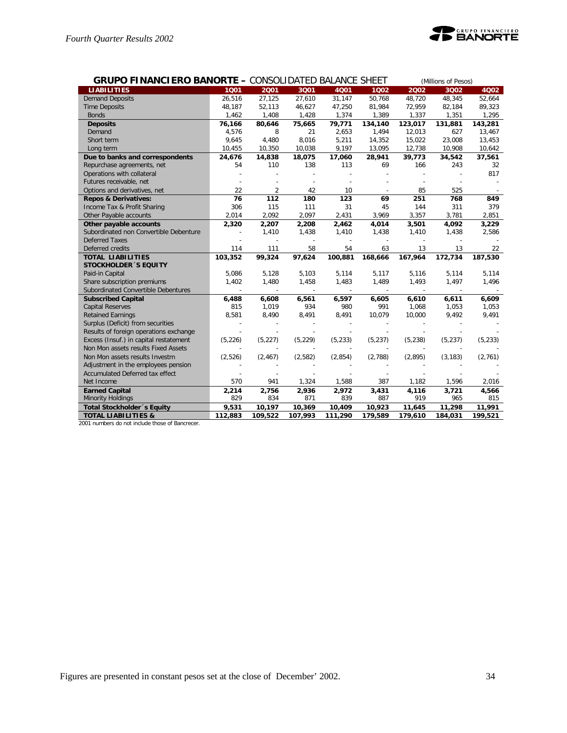

| <b>GRUPO FINANCIERO BANORTE - CONSOLIDATED BALANCE SHEET</b> |          |                |          |          |          |          | (Millions of Pesos) |          |
|--------------------------------------------------------------|----------|----------------|----------|----------|----------|----------|---------------------|----------|
| <b>LIABILITIES</b>                                           | 1001     | 2001           | 3001     | 4001     | 1002     | 2002     | 3002                | 4Q02     |
| <b>Demand Deposits</b>                                       | 26,516   | 27,125         | 27,610   | 31,147   | 50,768   | 48,720   | 48,345              | 52,664   |
| <b>Time Deposits</b>                                         | 48,187   | 52,113         | 46,627   | 47,250   | 81,984   | 72,959   | 82,184              | 89,323   |
| <b>Bonds</b>                                                 | 1,462    | 1,408          | 1,428    | 1,374    | 1,389    | 1,337    | 1,351               | 1,295    |
| <b>Deposits</b>                                              | 76,166   | 80,646         | 75,665   | 79,771   | 134,140  | 123,017  | 131,881             | 143,281  |
| Demand                                                       | 4,576    | 8              | 21       | 2,653    | 1,494    | 12,013   | 627                 | 13,467   |
| Short term                                                   | 9,645    | 4,480          | 8,016    | 5,211    | 14,352   | 15,022   | 23,008              | 13,453   |
| Long term                                                    | 10,455   | 10,350         | 10,038   | 9,197    | 13,095   | 12,738   | 10,908              | 10,642   |
| Due to banks and correspondents                              | 24,676   | 14,838         | 18,075   | 17,060   | 28,941   | 39,773   | 34,542              | 37,561   |
| Repurchase agreements, net                                   | 54       | 110            | 138      | 113      | 69       | 166      | 243                 | 32       |
| Operations with collateral                                   |          |                |          |          |          |          |                     | 817      |
| Futures receivable, net                                      |          |                |          |          |          |          |                     |          |
| Options and derivatives, net                                 | 22       | $\overline{2}$ | 42       | 10       |          | 85       | 525                 |          |
| <b>Repos &amp; Derivatives:</b>                              | 76       | 112            | 180      | 123      | 69       | 251      | 768                 | 849      |
| Income Tax & Profit Sharing                                  | 306      | 115            | 111      | 31       | 45       | 144      | 311                 | 379      |
| Other Payable accounts                                       | 2,014    | 2,092          | 2,097    | 2,431    | 3,969    | 3,357    | 3,781               | 2,851    |
| Other payable accounts                                       | 2,320    | 2,207          | 2,208    | 2,462    | 4,014    | 3,501    | 4,092               | 3,229    |
| Subordinated non Convertible Debenture                       |          | 1,410          | 1,438    | 1,410    | 1,438    | 1,410    | 1,438               | 2,586    |
| <b>Deferred Taxes</b>                                        |          |                |          |          |          |          |                     |          |
| Deferred credits                                             | 114      | 111            | 58       | 54       | 63       | 13       | 13                  | 22       |
| <b>TOTAL LIABILITIES</b>                                     | 103,352  | 99,324         | 97,624   | 100,881  | 168,666  | 167,964  | 172,734             | 187,530  |
| <b>STOCKHOLDER 'S EQUITY</b>                                 |          |                |          |          |          |          |                     |          |
| Paid-in Capital                                              | 5,086    | 5,128          | 5,103    | 5,114    | 5,117    | 5,116    | 5,114               | 5,114    |
| Share subscription premiums                                  | 1,402    | 1,480          | 1,458    | 1,483    | 1,489    | 1,493    | 1,497               | 1,496    |
| Subordinated Convertible Debentures                          | $\sim$   | $\sim$         | $\sim$   | $\sim$   | $\sim$   | $\sim$   | $\mathbb{Z}^2$      |          |
| <b>Subscribed Capital</b>                                    | 6,488    | 6,608          | 6,561    | 6,597    | 6,605    | 6,610    | 6,611               | 6,609    |
| <b>Capital Reserves</b>                                      | 815      | 1,019          | 934      | 980      | 991      | 1,068    | 1,053               | 1,053    |
| <b>Retained Earnings</b>                                     | 8,581    | 8,490          | 8,491    | 8,491    | 10,079   | 10,000   | 9,492               | 9,491    |
| Surplus (Deficit) from securities                            |          |                |          |          |          |          |                     |          |
| Results of foreign operations exchange                       |          |                |          |          |          |          |                     |          |
| Excess (Insuf.) in capital restatement                       | (5, 226) | (5, 227)       | (5, 229) | (5, 233) | (5, 237) | (5, 238) | (5, 237)            | (5, 233) |
| Non Mon assets results Fixed Assets                          |          |                |          |          |          |          |                     |          |
| Non Mon assets results Investm                               | (2,526)  | (2, 467)       | (2,582)  | (2,854)  | (2,788)  | (2,895)  | (3, 183)            | (2,761)  |
| Adjustment in the employees pension                          |          |                |          |          |          |          |                     |          |
| Accumulated Deferred tax effect                              |          |                |          |          |          |          |                     |          |
| Net Income                                                   | 570      | 941            | 1,324    | 1,588    | 387      | 1,182    | 1,596               | 2,016    |
| <b>Earned Capital</b>                                        | 2,214    | 2,756          | 2,936    | 2,972    | 3,431    | 4,116    | 3,721               | 4,566    |
| <b>Minority Holdings</b>                                     | 829      | 834            | 871      | 839      | 887      | 919      | 965                 | 815      |
| Total Stockholder 's Equity                                  | 9,531    | 10,197         | 10,369   | 10,409   | 10,923   | 11,645   | 11,298              | 11,991   |
| <b>TOTAL LIABILITIES &amp;</b>                               | 112,883  | 109,522        | 107,993  | 111,290  | 179,589  | 179,610  | 184,031             | 199,521  |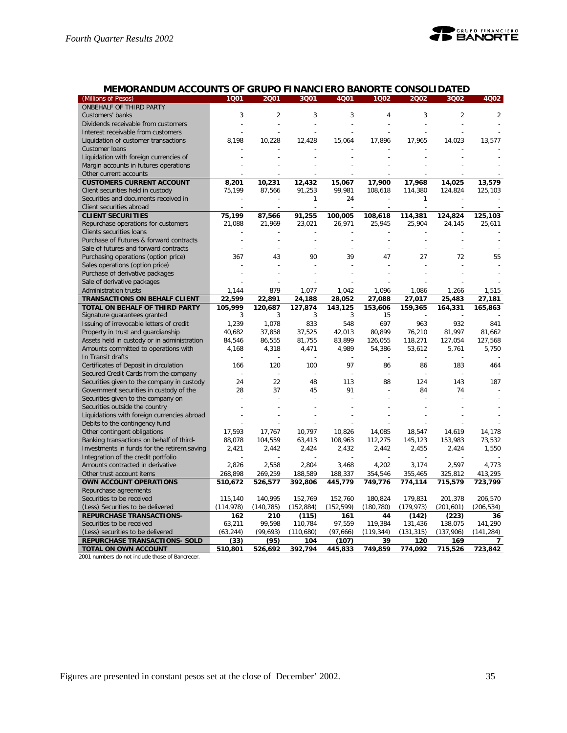

## **MEMORANDUM ACCOUNTS OF GRUPO FINANCIERO BANORTE CONSOLIDATED**

| (Millions of Pesos)                                                     | 1001       | 2001           | 3Q01           | 4Q01           | 1002       | 2002           | 3Q02           | 4Q02           |
|-------------------------------------------------------------------------|------------|----------------|----------------|----------------|------------|----------------|----------------|----------------|
| ONBEHALF OF THIRD PARTY                                                 |            |                |                |                |            |                |                |                |
| Customers' banks                                                        | 3          | $\overline{2}$ | 3              | 3              | 4          | 3              | $\overline{2}$ | $\overline{2}$ |
| Dividends receivable from customers                                     |            | $\overline{a}$ | $\overline{a}$ | $\overline{a}$ |            | $\overline{a}$ | $\overline{a}$ |                |
| Interest receivable from customers                                      |            |                |                |                |            |                |                |                |
| Liquidation of customer transactions                                    | 8,198      | 10,228         | 12,428         | 15,064         | 17,896     | 17,965         | 14,023         | 13,577         |
| Customer Ioans                                                          |            |                |                |                |            |                |                |                |
| Liquidation with foreign currencies of                                  |            |                |                |                |            |                |                |                |
| Margin accounts in futures operations                                   |            |                |                |                |            |                |                |                |
| Other current accounts                                                  |            |                |                |                |            |                |                |                |
| <b>CUSTOMERS CURRENT ACCOUNT</b>                                        | 8,201      | 10,231         | 12,432         | 15,067         | 17,900     | 17,968         | 14,025         | 13,579         |
| Client securities held in custody                                       | 75.199     | 87,566         | 91,253         | 99,981         | 108,618    | 114,380        | 124,824        | 125,103        |
| Securities and documents received in                                    |            |                | 1              | 24             |            | 1              |                |                |
| Client securities abroad                                                |            |                |                |                |            |                |                |                |
| <b>CLIENT SECURITIES</b>                                                | 75,199     | 87,566         | 91,255         | 100,005        | 108,618    | 114,381        | 124,824        | 125,103        |
| Repurchase operations for customers                                     | 21,088     | 21,969         | 23,021         | 26,971         | 25,945     | 25,904         | 24,145         | 25,611         |
| Clients securities loans                                                |            |                |                |                |            |                |                |                |
| Purchase of Futures & forward contracts                                 |            |                |                |                |            |                |                |                |
| Sale of futures and forward contracts                                   |            |                |                |                |            |                | L,             |                |
|                                                                         |            | 43             | 90             | 39             | 47         |                | 72             | 55             |
| Purchasing operations (option price)<br>Sales operations (option price) | 367        |                |                |                |            | 27             |                |                |
|                                                                         |            |                |                |                |            |                |                |                |
| Purchase of derivative packages                                         |            |                |                |                |            |                |                |                |
| Sale of derivative packages                                             |            |                |                |                |            |                |                |                |
| Administration trusts                                                   | 1,144      | 879            | 1,077          | 1,042          | 1,096      | 1,086          | 1,266          | 1,515          |
| TRANSACTIONS ON BEHALF CLIENT                                           | 22,599     | 22,891         | 24,188         | 28,052         | 27,088     | 27,017         | 25,483         | 27,181         |
| TOTAL ON BEHALF OF THIRD PARTY                                          | 105,999    | 120.687        | 127,874        | 143,125        | 153,606    | 159,365        | 164,331        | 165,863        |
| Signature guarantees granted                                            | 3          | 3              | 3              | 3              | 15         |                |                |                |
| Issuing of irrevocable letters of credit                                | 1,239      | 1,078          | 833            | 548            | 697        | 963            | 932            | 841            |
| Property in trust and guardianship                                      | 40,682     | 37,858         | 37,525         | 42,013         | 80,899     | 76,210         | 81,997         | 81,662         |
| Assets held in custody or in administration                             | 84,546     | 86,555         | 81,755         | 83,899         | 126,055    | 118,271        | 127,054        | 127,568        |
| Amounts committed to operations with                                    | 4,168      | 4,318          | 4,471          | 4,989          | 54,386     | 53,612         | 5,761          | 5,750          |
| In Transit drafts                                                       |            |                |                |                |            |                |                |                |
| Certificates of Deposit in circulation                                  | 166        | 120            | 100            | 97             | 86         | 86             | 183            | 464            |
| Secured Credit Cards from the company                                   |            |                |                |                |            |                |                |                |
| Securities given to the company in custody                              | 24         | 22             | 48             | 113            | 88         | 124            | 143            | 187            |
| Government securities in custody of the                                 | 28         | 37             | 45             | 91             |            | 84             | 74             |                |
| Securities given to the company on                                      |            |                |                |                |            |                |                |                |
| Securities outside the country                                          |            |                |                |                |            |                |                |                |
| Liquidations with foreign currencies abroad                             |            |                |                |                |            |                |                |                |
| Debits to the contingency fund                                          |            |                |                |                |            |                |                |                |
| Other contingent obligations                                            | 17,593     | 17,767         | 10,797         | 10,826         | 14,085     | 18,547         | 14,619         | 14,178         |
| Banking transactions on behalf of third-                                | 88,078     | 104,559        | 63,413         | 108,963        | 112,275    | 145,123        | 153,983        | 73,532         |
| Investments in funds for the retirem.saving                             | 2,421      | 2,442          | 2,424          | 2,432          | 2,442      | 2,455          | 2,424          | 1,550          |
| Integration of the credit portfolio                                     |            |                |                |                |            |                |                |                |
| Amounts contracted in derivative                                        | 2,826      | 2,558          | 2,804          | 3,468          | 4,202      | 3,174          | 2,597          | 4,773          |
| Other trust account items                                               | 268,898    | 269,259        | 188,589        | 188,337        | 354,546    | 355,465        | 325,812        | 413,295        |
| OWN ACCOUNT OPERATIONS                                                  | 510,672    | 526,577        | 392,806        | 445,779        | 749,776    | 774,114        | 715,579        | 723,799        |
| Repurchase agreements                                                   |            |                |                |                |            |                |                |                |
| Securities to be received                                               | 115.140    | 140,995        | 152.769        | 152.760        | 180.824    | 179.831        | 201,378        | 206.570        |
| (Less) Securities to be delivered                                       | (114, 978) | (140, 785)     | (152, 884)     | (152, 599)     | (180, 780) | (179, 973)     | (201, 601)     | (206, 534)     |
| <b>REPURCHASE TRANSACTIONS-</b>                                         | 162        | 210            | (115)          | 161            | 44         | (142)          | (223)          | 36             |
| Securities to be received                                               | 63,211     | 99,598         | 110,784        | 97,559         | 119,384    | 131,436        | 138,075        | 141,290        |
| (Less) securities to be delivered                                       | (63, 244)  | (99, 693)      | (110,680)      | (97,666)       | (119, 344) | (131, 315)     | (137,906)      | (141, 284)     |
| REPURCHASE TRANSACTIONS- SOLD                                           | (33)       | (95)           | 104            | (107)          | 39         | 120            | 169            | 7              |
| TOTAL ON OWN ACCOUNT                                                    | 510,801    | 526,692        | 392,794        | 445,833        | 749,859    | 774,092        | 715,526        | 723,842        |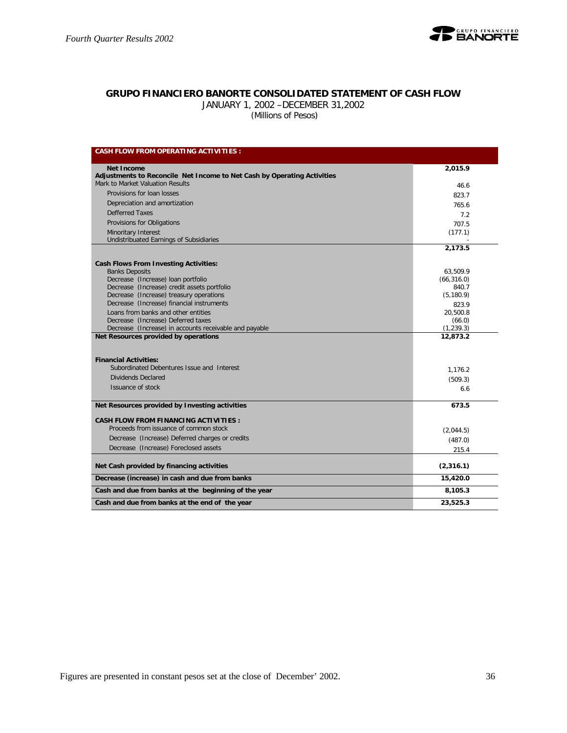

## **GRUPO FINANCIERO BANORTE CONSOLIDATED STATEMENT OF CASH FLOW**

JANUARY 1, 2002 –DECEMBER 31,2002

 *(Millions of Pesos)*

| <b>CASH FLOW FROM OPERATING ACTIVITIES:</b>                             |             |
|-------------------------------------------------------------------------|-------------|
| <b>Net Income</b>                                                       | 2,015.9     |
| Adjustments to Reconcile Net Income to Net Cash by Operating Activities |             |
| Mark to Market Valuation Results                                        | 46.6        |
| Provisions for loan losses                                              | 823.7       |
| Depreciation and amortization                                           | 765.6       |
| Defferred Taxes                                                         | 7.2         |
| Provisions for Obligations                                              | 707.5       |
| Minoritary Interest                                                     | (177.1)     |
| Undistribuated Earnings of Subsidiaries                                 |             |
|                                                                         | 2,173.5     |
| <b>Cash Flows From Investing Activities:</b>                            |             |
| <b>Banks Deposits</b>                                                   | 63,509.9    |
| Decrease (Increase) loan portfolio                                      | (66, 316.0) |
| Decrease (Increase) credit assets portfolio                             | 840.7       |
| Decrease (Increase) treasury operations                                 | (5, 180.9)  |
| Decrease (Increase) financial instruments                               | 823.9       |
| Loans from banks and other entities                                     | 20.500.8    |
| Decrease (Increase) Deferred taxes                                      | (66.0)      |
| Decrease (Increase) in accounts receivable and payable                  | (1, 239.3)  |
| Net Resources provided by operations                                    | 12,873.2    |
|                                                                         |             |
| <b>Financial Activities:</b>                                            |             |
| Subordinated Debentures Issue and Interest                              | 1,176.2     |
| Dividends Declared                                                      | (509.3)     |
| Issuance of stock                                                       | 6.6         |
| Net Resources provided by Investing activities                          | 673.5       |
| <b>CASH FLOW FROM FINANCING ACTIVITIES:</b>                             |             |
| Proceeds from issuance of common stock                                  | (2,044.5)   |
| Decrease (Increase) Deferred charges or credits                         | (487.0)     |
| Decrease (Increase) Foreclosed assets                                   | 215.4       |
|                                                                         |             |
| Net Cash provided by financing activities                               | (2,316.1)   |
| Decrease (increase) in cash and due from banks                          | 15,420.0    |
| Cash and due from banks at the beginning of the year                    | 8,105.3     |
| Cash and due from banks at the end of the year                          | 23,525.3    |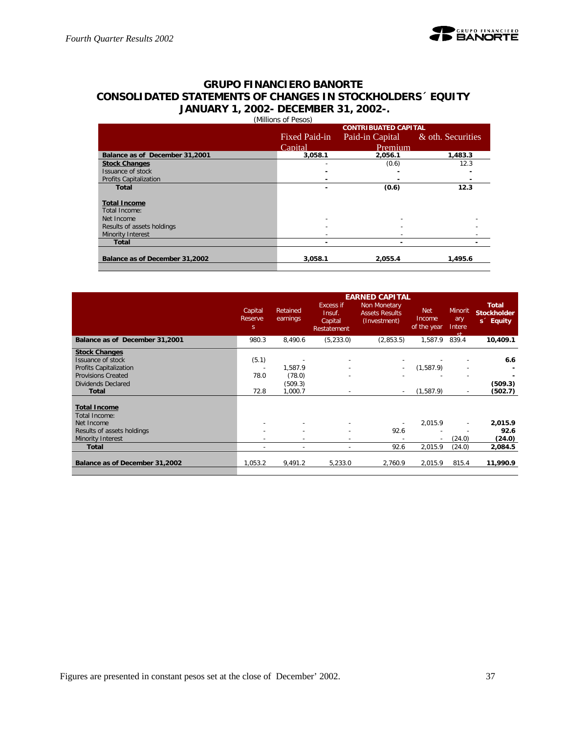## **GRUPO FINANCIERO BANORTE CONSOLIDATED STATEMENTS OF CHANGES IN STOCKHOLDERS´ EQUITY JANUARY 1, 2002- DECEMBER 31, 2002-.** (Millions of Pesos)

|                                |               | <b>CONTRIBUATED CAPITAL</b> |                   |
|--------------------------------|---------------|-----------------------------|-------------------|
|                                | Fixed Paid-in | Paid-in Capital             | & oth. Securities |
|                                | Capital       | Premium                     |                   |
| Balance as of December 31,2001 | 3,058.1       | 2,056.1                     | 1,483.3           |
| <b>Stock Changes</b>           |               | (0.6)                       | 12.3              |
| Issuance of stock              |               |                             |                   |
| <b>Profits Capitalization</b>  |               |                             |                   |
| <b>Total</b>                   |               | (0.6)                       | 12.3              |
|                                |               |                             |                   |
| <b>Total Income</b>            |               |                             |                   |
| Total Income:                  |               |                             |                   |
| Net Income                     |               |                             |                   |
| Results of assets holdings     |               |                             |                   |
| Minority Interest              |               |                             |                   |
| <b>Total</b>                   |               |                             |                   |
| Balance as of December 31,2002 | 3.058.1       | 2.055.4                     | 1.495.6           |
|                                |               |                             |                   |

|                                                                                                                                                      | Capital<br>Reserve<br>S.                             | Retained<br>earnings                    | Excess if<br>Insuf.<br>Capital<br>Restatement | <b>EARNED CAPITAL</b><br>Non Monetary<br><b>Assets Results</b><br>(Investment) | <b>Net</b><br>Income<br>of the year | <b>Minorit</b><br>ary<br>Intere<br>ct.               | <b>Total</b><br><b>Stockholder</b><br>s <sup>2</sup> Equity |
|------------------------------------------------------------------------------------------------------------------------------------------------------|------------------------------------------------------|-----------------------------------------|-----------------------------------------------|--------------------------------------------------------------------------------|-------------------------------------|------------------------------------------------------|-------------------------------------------------------------|
| Balance as of December 31,2001                                                                                                                       | 980.3                                                | 8,490.6                                 | (5,233.0)                                     | (2,853.5)                                                                      | 1,587.9                             | 839.4                                                | 10,409.1                                                    |
| <b>Stock Changes</b><br>Issuance of stock<br><b>Profits Capitalization</b><br><b>Provisions Created</b><br><b>Dividends Declared</b><br><b>Total</b> | (5.1)<br>$\overline{\phantom{a}}$<br>78.0<br>72.8    | 1,587.9<br>(78.0)<br>(509.3)<br>1,000.7 |                                               | $\overline{\phantom{a}}$                                                       | (1,587.9)<br>(1,587.9)              | $\overline{\phantom{m}}$<br>$\overline{\phantom{a}}$ | 6.6<br>(509.3)<br>(502.7)                                   |
| <b>Total Income</b><br>Total Income:<br>Net Income<br>Results of assets holdings<br>Minority Interest<br><b>Total</b>                                | $\overline{\phantom{a}}$<br>$\overline{\phantom{a}}$ | $\overline{\phantom{a}}$                | $\overline{\phantom{a}}$                      | 92.6<br>92.6                                                                   | 2.015.9<br>2,015.9                  | $\overline{\phantom{a}}$<br>(24.0)<br>(24.0)         | 2,015.9<br>92.6<br>(24.0)<br>2,084.5                        |
| Balance as of December 31,2002                                                                                                                       | 1.053.2                                              | 9,491.2                                 | 5.233.0                                       | 2.760.9                                                                        | 2,015.9                             | 815.4                                                | 11,990.9                                                    |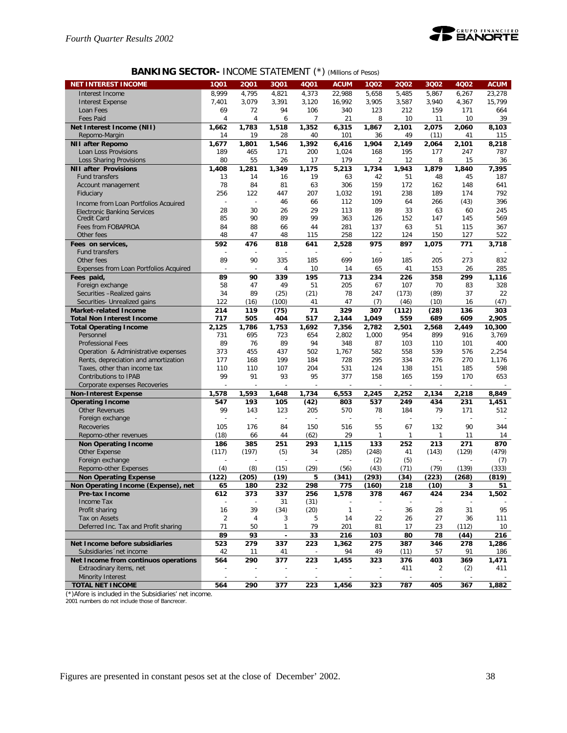

## **BANKING SECTOR-** INCOME STATEMENT (\*) *(Millions of Pesos)*

| <b>NET INTEREST INCOME</b>                        | 1001                     | 2001                     | 3Q01                     | 4Q01                     | <b>ACUM</b>  | 1Q02   | 2002  | 3Q02           | 4002  | <b>ACUM</b> |
|---------------------------------------------------|--------------------------|--------------------------|--------------------------|--------------------------|--------------|--------|-------|----------------|-------|-------------|
| Interest Income                                   | 8,999                    | 4,795                    | 4,821                    | 4,373                    | 22,988       | 5,658  | 5,485 | 5,867          | 6,267 | 23.278      |
| <b>Interest Expense</b>                           | 7,401                    | 3,079                    | 3,391                    | 3,120                    | 16.992       | 3,905  | 3,587 | 3,940          | 4,367 | 15,799      |
| Loan Fees                                         | 69                       | 72                       | 94                       | 106                      | 340          | 123    | 212   | 159            | 171   | 664         |
| <b>Fees Paid</b>                                  | 4                        | 4                        | 6                        | 7                        | 21           | 8      | 10    | 11             | 10    | 39          |
| Net Interest Income (NII)                         | 1,662                    | 1,783                    | 1,518                    | 1,352                    | 6,315        | 1,867  | 2,101 | 2,075          | 2,060 | 8,103       |
| Repomo-Margin                                     | 14                       | 19                       | 28                       | 40                       | 101          | 36     | 49    | (11)           | 41    | 115         |
| <b>NII after Repomo</b>                           | 1,677                    | 1.801                    | 1,546                    | 1,392                    | 6,416        | 1,904  | 2,149 | 2,064          | 2,101 | 8,218       |
| Loan Loss Provisions                              | 189                      | 465                      | 171                      | 200                      | 1,024        | 168    | 195   | 177            | 247   | 787         |
| <b>Loss Sharing Provisions</b>                    | 80                       | 55                       | 26                       | 17                       | 179          | 2      | 12    | 8              | 15    | 36          |
| <b>NII after Provisions</b>                       | 1.408                    | 1,281                    | 1.349                    | 1,175                    | 5,213        | 1,734  | 1,943 | 1,879          | 1,840 | 7,395       |
| <b>Fund transfers</b>                             | 13                       | 14                       | 16                       | 19                       | 63           | 42     | 51    | 48             | 45    | 187         |
| Account management                                | 78                       | 84                       | 81                       | 63                       | 306          | 159    | 172   | 162            | 148   | 641         |
| Fiduciary                                         | 256                      | 122                      | 447                      | 207                      | 1,032        | 191    | 238   | 189            | 174   | 792         |
|                                                   | $\overline{a}$           | $\overline{a}$           | 46                       | 66                       | 112          | 109    | 64    | 266            | (43)  | 396         |
| Income from Loan Portfolios Acquired              | 28                       | 30                       | 26                       | 29                       | 113          | 89     | 33    | 63             | 60    | 245         |
| <b>Flectronic Banking Services</b><br>Credit Card | 85                       | 90                       | 89                       | 99                       | 363          | 126    | 152   | 147            | 145   | 569         |
| Fees from FOBAPROA                                | 84                       | 88                       | 66                       | 44                       | 281          | 137    | 63    | 51             | 115   | 367         |
| Other fees                                        | 48                       | 47                       | 48                       | 115                      | 258          | 122    | 124   | 150            | 127   | 522         |
|                                                   | 592                      |                          |                          |                          |              |        |       |                | 771   |             |
| Fees on services,<br>Fund transfers               |                          | 476                      | 818<br>÷,                | 641                      | 2,528        | 975    | 897   | 1,075          |       | 3,718       |
| Other fees                                        | 89                       | 90                       | 335                      | 185                      | 699          | 169    | 185   | 205            | 273   | 832         |
|                                                   |                          |                          |                          |                          |              |        |       |                |       |             |
| Expenses from Loan Portfolios Acquired            | $\overline{\phantom{a}}$ | $\overline{\phantom{a}}$ | 4                        | 10                       | 14           | 65     | 41    | 153            | 26    | 285         |
| Fees paid,                                        | 89                       | 90                       | 339                      | 195                      | 713          | 234    | 226   | 358            | 299   | 1,116       |
| Foreign exchange                                  | 58                       | 47                       | 49                       | 51                       | 205          | 67     | 107   | 70             | 83    | 328         |
| Securities -Realized gains                        | 34                       | 89                       | (25)                     | (21)                     | 78           | 247    | (173) | (89)           | 37    | 22          |
| Securities- Unrealized gains                      | 122                      | (16)                     | (100)                    | 41                       | 47           | (7)    | (46)  | (10)           | 16    | (47)        |
| <b>Market-related Income</b>                      | 214                      | 119                      | (75)                     | 71                       | 329          | 307    | (112) | (28)           | 136   | 303         |
| <b>Total Non Interest Income</b>                  | 717                      | 505                      | 404                      | 517                      | 2,144        | 1,049  | 559   | 689            | 609   | 2,905       |
| <b>Total Operating Income</b>                     | 2,125                    | 1,786                    | 1,753                    | 1.692                    | 7,356        | 2,782  | 2,501 | 2.568          | 2,449 | 10.300      |
| Personnel                                         | 731                      | 695                      | 723                      | 654                      | 2,802        | 1,000  | 954   | 899            | 916   | 3,769       |
| <b>Professional Fees</b>                          | 89                       | 76                       | 89                       | 94                       | 348          | 87     | 103   | 110            | 101   | 400         |
| Operation & Administrative expenses               | 373                      | 455                      | 437                      | 502                      | 1,767        | 582    | 558   | 539            | 576   | 2,254       |
| Rents, depreciation and amortization              | 177                      | 168                      | 199                      | 184                      | 728          | 295    | 334   | 276            | 270   | 1,176       |
| Taxes, other than income tax                      | 110                      | 110                      | 107                      | 204                      | 531          | 124    | 138   | 151            | 185   | 598         |
| Contributions to IPAB                             | 99                       | 91                       | 93                       | 95                       | 377          | 158    | 165   | 159            | 170   | 653         |
| Corporate expenses Recoveries                     |                          |                          | $\overline{\phantom{a}}$ |                          |              | Ē,     |       | $\overline{a}$ |       |             |
| <b>Non-Interest Expense</b>                       | 1,578                    | 1,593                    | 1,648                    | 1,734                    | 6,553        | 2,245  | 2,252 | 2,134          | 2,218 | 8,849       |
| <b>Operating Income</b>                           | 547                      | 193                      | 105                      | (42)                     | 803          | 537    | 249   | 434            | 231   | 1,451       |
| <b>Other Revenues</b>                             | 99                       | 143                      | 123                      | 205                      | 570          | 78     | 184   | 79             | 171   | 512         |
| Foreign exchange                                  |                          | ÷,                       | ÷,                       |                          |              | L.     |       |                |       |             |
| Recoveries                                        | 105                      | 176                      | 84                       | 150                      | 516          | 55     | 67    | 132            | 90    | 344         |
| Repomo-other revenues                             | (18)                     | 66                       | 44                       | (62)                     | 29           | 1      | 1     | 1              | 11    | 14          |
| <b>Non Operating Income</b>                       | 186                      | 385                      | 251                      | 293                      | 1,115        | 133    | 252   | 213            | 271   | 870         |
| Other Expense                                     | (117)                    | (197)                    | (5)                      | 34                       | (285)        | (248)  | 41    | (143)          | (129) | (479)       |
| Foreign exchange                                  |                          |                          |                          |                          |              | (2)    | (5)   |                |       | (7)         |
| Repomo-other Expenses                             | (4)                      | (8)                      | (15)                     | (29)                     | (56)         | (43)   | (71)  | (79)           | (139) | (333)       |
| <b>Non Operating Expense</b>                      | (122)                    | (205)                    | (19)                     | 5                        | (341)        | (293)  | (34)  | (223)          | (268) | (819)       |
| Non Operating Income (Expense), net               | 65                       | 180                      | 232                      | 298                      | 775          | (160)  | 218   | (10)           | 3     | 51          |
| Pre-tax Income                                    | 612                      | 373                      | 337                      | 256                      | 1,578        | 378    | 467   | 424            | 234   | 1,502       |
| Income Tax                                        |                          |                          | 31                       | (31)                     |              |        |       |                |       |             |
| Profit sharing                                    | 16                       | 39                       | (34)                     | (20)                     | $\mathbf{1}$ | $\sim$ | 36    | 28             | 31    | 95          |
| Tax on Assets                                     | $\overline{2}$           | 4                        | 3                        | 5                        | 14           | 22     | 26    | 27             | 36    | 111         |
| Deferred Inc. Tax and Profit sharing              | 71                       | 50                       | 1                        | 79                       | 201          | 81     | 17    | 23             | (112) | 10          |
|                                                   | 89                       | 93                       | $\overline{\phantom{a}}$ | 33                       | 216          | 103    | 80    | 78             | (44)  | 216         |
| Net Income before subsidiaries                    | 523                      | 279                      | 337                      | 223                      | 1,362        | 275    | 387   | 346            | 278   | 1,286       |
| Subsidiaries 'net income                          | 42                       | 11                       | 41                       | $\overline{\phantom{a}}$ | 94           | 49     | (11)  | 57             | 91    | 186         |
| Net Income from continuos operations              | 564                      | 290                      | 377                      | 223                      | 1,455        | 323    | 376   | 403            | 369   | 1,471       |
| Extraodinary items, net                           |                          |                          |                          |                          |              |        | 411   | 2              | (2)   | 411         |
| Minority Interest                                 | $\sim$                   | $\blacksquare$           | $\overline{\phantom{a}}$ | $\sim$                   |              |        |       |                |       |             |
| <b>TOTAL NET INCOME</b>                           | 564                      | 290                      | 377                      | 223                      | 1,456        | 323    | 787   | 405            | 367   | 1,882       |
|                                                   |                          |                          |                          |                          |              |        |       |                |       |             |

(\*)Afore is included in the Subsidiaries' net income. 2001 numbers do not include those of Bancrecer.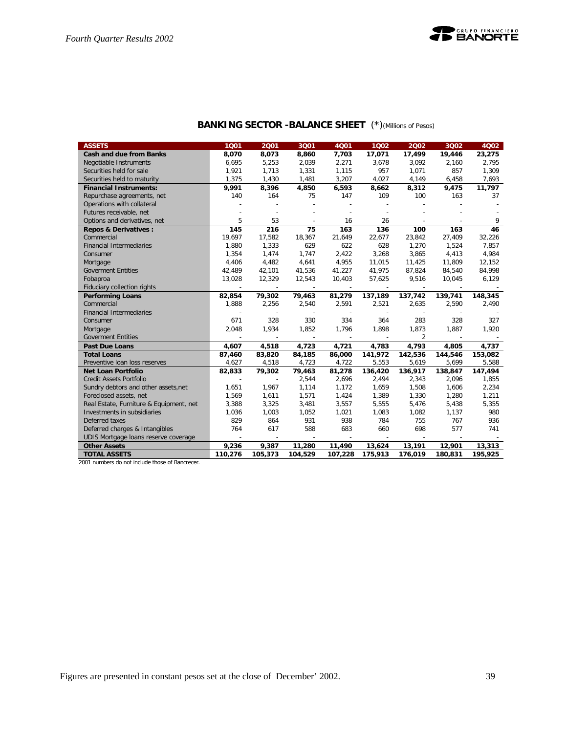

## **BANKING SECTOR -BALANCE SHEET** (\*)*(Millions of Pesos)*

| <b>ASSETS</b>                           | 1001                     | 2001                     | 3Q01                     | 4001    | 1002    | 2002           | 3Q02    | 4002    |
|-----------------------------------------|--------------------------|--------------------------|--------------------------|---------|---------|----------------|---------|---------|
| <b>Cash and due from Banks</b>          | 8,070                    | 8,073                    | 8,860                    | 7,703   | 17,071  | 17,499         | 19,446  | 23,275  |
| Negotiable Instruments                  | 6,695                    | 5,253                    | 2,039                    | 2,271   | 3,678   | 3,092          | 2,160   | 2,795   |
| Securities held for sale                | 1,921                    | 1,713                    | 1,331                    | 1,115   | 957     | 1,071          | 857     | 1,309   |
| Securities held to maturity             | 1,375                    | 1,430                    | 1,481                    | 3,207   | 4,027   | 4,149          | 6,458   | 7,693   |
| <b>Financial Instruments:</b>           | 9,991                    | 8,396                    | 4,850                    | 6,593   | 8,662   | 8,312          | 9,475   | 11,797  |
| Repurchase agreements, net              | 140                      | 164                      | 75                       | 147     | 109     | 100            | 163     | 37      |
| Operations with collateral              |                          |                          | $\overline{\phantom{a}}$ |         |         |                |         |         |
| Futures receivable, net                 |                          | $\overline{a}$           |                          |         |         |                |         |         |
| Options and derivatives, net            | 5                        | 53                       | $\sim$                   | 16      | 26      |                |         | 9       |
| <b>Repos &amp; Derivatives:</b>         | 145                      | 216                      | 75                       | 163     | 136     | 100            | 163     | 46      |
| Commercial                              | 19,697                   | 17,582                   | 18,367                   | 21,649  | 22,677  | 23,842         | 27,409  | 32,226  |
| <b>Financial Intermediaries</b>         | 1,880                    | 1,333                    | 629                      | 622     | 628     | 1,270          | 1,524   | 7,857   |
| Consumer                                | 1,354                    | 1,474                    | 1.747                    | 2,422   | 3,268   | 3,865          | 4,413   | 4,984   |
| Mortgage                                | 4,406                    | 4,482                    | 4,641                    | 4,955   | 11,015  | 11,425         | 11,809  | 12,152  |
| <b>Goverment Entities</b>               | 42,489                   | 42,101                   | 41,536                   | 41,227  | 41,975  | 87,824         | 84,540  | 84,998  |
| Fobaproa                                | 13,028                   | 12,329                   | 12,543                   | 10,403  | 57,625  | 9,516          | 10,045  | 6,129   |
| Fiduciary collection rights             |                          |                          |                          |         |         |                |         |         |
| <b>Performing Loans</b>                 | 82,854                   | 79,302                   | 79,463                   | 81,279  | 137,189 | 137,742        | 139,741 | 148,345 |
| Commercial                              | 1,888                    | 2,256                    | 2,540                    | 2,591   | 2,521   | 2,635          | 2,590   | 2,490   |
| <b>Financial Intermediaries</b>         |                          |                          |                          |         |         |                |         |         |
| Consumer                                | 671                      | 328                      | 330                      | 334     | 364     | 283            | 328     | 327     |
| Mortgage                                | 2,048                    | 1,934                    | 1,852                    | 1,796   | 1,898   | 1,873          | 1,887   | 1,920   |
| <b>Goverment Entities</b>               |                          | $\sim$                   | $\sim$                   | $\sim$  | $\sim$  | $\overline{2}$ | $\sim$  |         |
| <b>Past Due Loans</b>                   | 4.607                    | 4,518                    | 4,723                    | 4.721   | 4,783   | 4.793          | 4.805   | 4.737   |
| <b>Total Loans</b>                      | 87,460                   | 83,820                   | 84,185                   | 86,000  | 141,972 | 142,536        | 144,546 | 153,082 |
| Preventive loan loss reserves           | 4,627                    | 4,518                    | 4,723                    | 4,722   | 5,553   | 5,619          | 5,699   | 5,588   |
| <b>Net Loan Portfolio</b>               | 82,833                   | 79,302                   | 79,463                   | 81,278  | 136,420 | 136,917        | 138,847 | 147,494 |
| Credit Assets Portfolio                 | $\sim$                   | $\overline{a}$           | 2,544                    | 2,696   | 2,494   | 2,343          | 2,096   | 1,855   |
| Sundry debtors and other assets, net    | 1,651                    | 1,967                    | 1,114                    | 1,172   | 1,659   | 1,508          | 1,606   | 2,234   |
| Foreclosed assets, net                  | 1,569                    | 1,611                    | 1,571                    | 1,424   | 1,389   | 1,330          | 1,280   | 1,211   |
| Real Estate, Furniture & Equipment, net | 3,388                    | 3,325                    | 3,481                    | 3,557   | 5,555   | 5,476          | 5,438   | 5,355   |
| Investments in subsidiaries             | 1,036                    | 1,003                    | 1,052                    | 1,021   | 1,083   | 1,082          | 1,137   | 980     |
| Deferred taxes                          | 829                      | 864                      | 931                      | 938     | 784     | 755            | 767     | 936     |
| Deferred charges & Intangibles          | 764                      | 617                      | 588                      | 683     | 660     | 698            | 577     | 741     |
| UDIS Mortgage loans reserve coverage    | $\overline{\phantom{a}}$ | $\overline{\phantom{a}}$ | $\overline{\phantom{a}}$ |         |         |                |         |         |
| <b>Other Assets</b>                     | 9,236                    | 9,387                    | 11,280                   | 11,490  | 13,624  | 13,191         | 12,901  | 13,313  |
| <b>TOTAL ASSETS</b>                     | 110,276                  | 105,373                  | 104,529                  | 107,228 | 175,913 | 176,019        | 180,831 | 195,925 |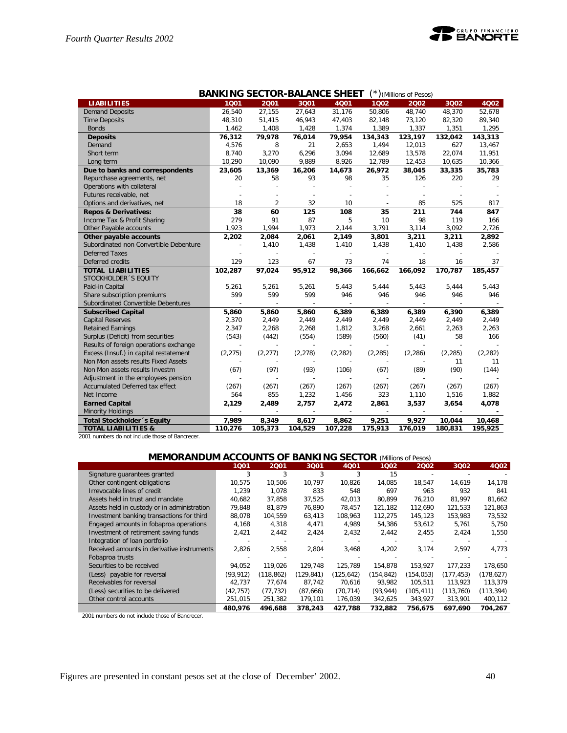

|                                        | <b>BANKING SECTOR-BALANCE SHEET</b> |                          |          |          |          | $(*)$ (Millions of Pesos) |          |          |
|----------------------------------------|-------------------------------------|--------------------------|----------|----------|----------|---------------------------|----------|----------|
| <b>LIABILITIES</b>                     | 1001                                | 2001                     | 3001     | 4001     | 1002     | 2002                      | 3002     | 4002     |
| <b>Demand Deposits</b>                 | 26,540                              | 27,155                   | 27.643   | 31.176   | 50.806   | 48.740                    | 48.370   | 52.678   |
| <b>Time Deposits</b>                   | 48,310                              | 51,415                   | 46,943   | 47,403   | 82,148   | 73,120                    | 82,320   | 89,340   |
| <b>Bonds</b>                           | 1,462                               | 1,408                    | 1,428    | 1,374    | 1,389    | 1,337                     | 1,351    | 1,295    |
| <b>Deposits</b>                        | 76,312                              | 79,978                   | 76,014   | 79,954   | 134,343  | 123,197                   | 132.042  | 143,313  |
| Demand                                 | 4,576                               | 8                        | 21       | 2,653    | 1,494    | 12,013                    | 627      | 13,467   |
| Short term                             | 8.740                               | 3.270                    | 6,296    | 3.094    | 12,689   | 13,578                    | 22.074   | 11,951   |
| Long term                              | 10,290                              | 10,090                   | 9,889    | 8,926    | 12,789   | 12,453                    | 10,635   | 10,366   |
| Due to banks and correspondents        | 23,605                              | 13,369                   | 16,206   | 14,673   | 26,972   | 38,045                    | 33,335   | 35,783   |
| Repurchase agreements, net             | 20                                  | 58                       | 93       | 98       | 35       | 126                       | 220      | 29       |
| Operations with collateral             |                                     |                          |          |          |          |                           |          |          |
| Futures receivable, net                |                                     |                          | Ĭ.       |          |          |                           |          |          |
| Options and derivatives, net           | 18                                  | $\overline{2}$           | 32       | 10       |          | 85                        | 525      | 817      |
| <b>Repos &amp; Derivatives:</b>        | 38                                  | 60                       | 125      | 108      | 35       | 211                       | 744      | 847      |
| Income Tax & Profit Sharing            | 279                                 | 91                       | 87       | 5        | 10       | 98                        | 119      | 166      |
| Other Payable accounts                 | 1,923                               | 1,994                    | 1,973    | 2,144    | 3,791    | 3,114                     | 3,092    | 2,726    |
| Other payable accounts                 | 2,202                               | 2,084                    | 2,061    | 2,149    | 3,801    | 3,211                     | 3,211    | 2,892    |
| Subordinated non Convertible Debenture |                                     | 1,410                    | 1,438    | 1,410    | 1,438    | 1,410                     | 1,438    | 2,586    |
| <b>Deferred Taxes</b>                  |                                     |                          |          |          |          |                           |          |          |
| Deferred credits                       | 129                                 | 123                      | 67       | 73       | 74       | 18                        | 16       | 37       |
| <b>TOTAL LIABILITIES</b>               | 102,287                             | 97,024                   | 95,912   | 98,366   | 166,662  | 166,092                   | 170,787  | 185,457  |
| STOCKHOLDER 'S EQUITY                  |                                     |                          |          |          |          |                           |          |          |
| Paid-in Capital                        | 5,261                               | 5,261                    | 5,261    | 5,443    | 5.444    | 5,443                     | 5,444    | 5,443    |
| Share subscription premiums            | 599                                 | 599                      | 599      | 946      | 946      | 946                       | 946      | 946      |
| Subordinated Convertible Debentures    |                                     |                          |          |          |          |                           |          |          |
| <b>Subscribed Capital</b>              | 5,860                               | 5,860                    | 5,860    | 6,389    | 6,389    | 6,389                     | 6,390    | 6,389    |
| <b>Capital Reserves</b>                | 2,370                               | 2,449                    | 2,449    | 2,449    | 2,449    | 2,449                     | 2,449    | 2,449    |
| <b>Retained Earnings</b>               | 2,347                               | 2,268                    | 2,268    | 1,812    | 3,268    | 2,661                     | 2,263    | 2,263    |
| Surplus (Deficit) from securities      | (543)                               | (442)                    | (554)    | (589)    | (560)    | (41)                      | 58       | 166      |
| Results of foreign operations exchange |                                     |                          |          |          |          |                           |          |          |
| Excess (Insuf.) in capital restatement | (2, 275)                            | (2, 277)                 | (2, 278) | (2, 282) | (2, 285) | (2, 286)                  | (2, 285) | (2, 282) |
| Non Mon assets results Fixed Assets    |                                     |                          |          |          |          |                           | 11       | 11       |
| Non Mon assets results Investm         | (67)                                | (97)                     | (93)     | (106)    | (67)     | (89)                      | (90)     | (144)    |
| Adjustment in the employees pension    |                                     |                          |          |          |          |                           |          |          |
| Accumulated Deferred tax effect        | (267)                               | (267)                    | (267)    | (267)    | (267)    | (267)                     | (267)    | (267)    |
| Net Income                             | 564                                 | 855                      | 1,232    | 1,456    | 323      | 1,110                     | 1,516    | 1,882    |
| <b>Earned Capital</b>                  | 2,129                               | 2,489                    | 2,757    | 2,472    | 2,861    | 3,537                     | 3,654    | 4,078    |
| <b>Minority Holdings</b>               | $\overline{a}$                      | $\overline{\phantom{a}}$ |          |          |          | $\overline{a}$            |          |          |
| Total Stockholder 's Equity            | 7,989                               | 8,349                    | 8,617    | 8,862    | 9,251    | 9,927                     | 10,044   | 10,468   |
| <b>TOTAL LIABILITIES &amp;</b>         | 110,276                             | 105,373                  | 104,529  | 107,228  | 175,913  | 176,019                   | 180,831  | 195,925  |

2001 numbers do not include those of Bancrecer.

## **MEMORANDUM ACCOUNTS OF BANKING SECTOR** *(Millions of Pesos)*

|                                             | 1001      | 2001       | 3Q01       | <b>4Q01</b> | 1002      | 2002       | 3Q02      | 4Q02       |
|---------------------------------------------|-----------|------------|------------|-------------|-----------|------------|-----------|------------|
| Signature guarantees granted                | 3         | 3          | 3          | 3           | 15        |            |           |            |
| Other contingent obligations                | 10.575    | 10.506     | 10.797     | 10.826      | 14.085    | 18.547     | 14.619    | 14.178     |
| Irrevocable lines of credit                 | 1.239     | 1,078      | 833        | 548         | 697       | 963        | 932       | 841        |
| Assets held in trust and mandate            | 40.682    | 37.858     | 37.525     | 42,013      | 80.899    | 76.210     | 81.997    | 81,662     |
| Assets held in custody or in administration | 79.848    | 81.879     | 76.890     | 78.457      | 121.182   | 112.690    | 121.533   | 121,863    |
| Investment banking transactions for third   | 88,078    | 104,559    | 63,413     | 108,963     | 112,275   | 145,123    | 153,983   | 73,532     |
| Engaged amounts in fobaproa operations      | 4,168     | 4,318      | 4,471      | 4.989       | 54,386    | 53,612     | 5,761     | 5,750      |
| Investment of retirement saving funds       | 2,421     | 2,442      | 2,424      | 2,432       | 2,442     | 2,455      | 2,424     | 1,550      |
| Integration of loan portfolio               |           |            |            |             |           |            |           |            |
| Received amounts in derivative instruments  | 2,826     | 2,558      | 2,804      | 3,468       | 4,202     | 3,174      | 2,597     | 4,773      |
| Fobaproa trusts                             |           |            |            |             |           |            |           |            |
| Securities to be received                   | 94.052    | 119.026    | 129.748    | 125.789     | 154.878   | 153.927    | 177.233   | 178.650    |
| (Less) payable for reversal                 | (93, 912) | (118, 862) | (129, 841) | (125, 642)  | (154,842) | (154, 053) | (177.453) | (178, 627) |
| Receivables for reversal                    | 42.737    | 77.674     | 87,742     | 70,616      | 93,982    | 105,511    | 113.923   | 113,379    |
| (Less) securities to be delivered           | (42.757)  | (77, 732)  | (87,666)   | (70, 714)   | (93, 944) | (105, 411) | (113.760) | (113, 394) |
| Other control accounts                      | 251,015   | 251,382    | 179,101    | 176,039     | 342,625   | 343,927    | 313,901   | 400,112    |
|                                             | 480.976   | 496.688    | 378,243    | 427.788     | 732.882   | 756.675    | 697.690   | 704.267    |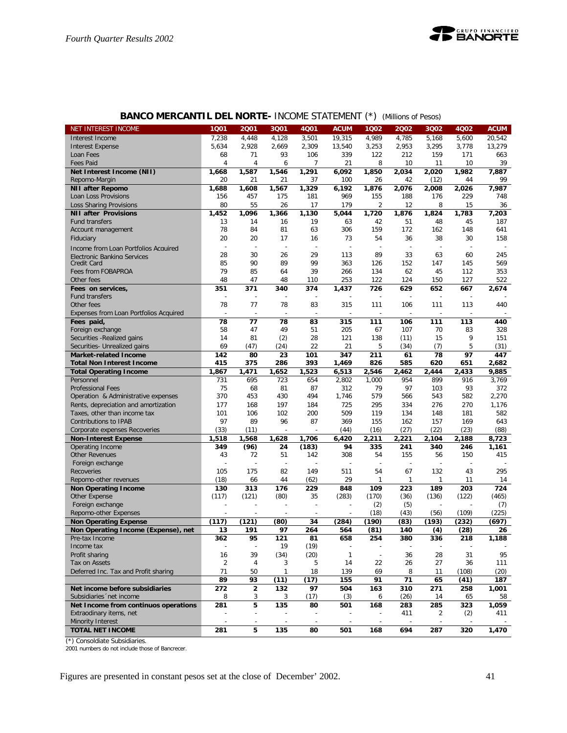

|                                        |                |                          |        |                |              | $\overline{\phantom{a}}$ |                |                |       |             |
|----------------------------------------|----------------|--------------------------|--------|----------------|--------------|--------------------------|----------------|----------------|-------|-------------|
| <b>NET INTEREST INCOME</b>             | 1001           | 2001                     | 3Q01   | 4Q01           | <b>ACUM</b>  | 1Q02                     | 2002           | 3Q02           | 4Q02  | <b>ACUM</b> |
| Interest Income                        | 7,238          | 4,448                    | 4,128  | 3,501          | 19,315       | 4,989                    | 4,785          | 5.168          | 5,600 | 20,542      |
| <b>Interest Expense</b>                | 5,634          | 2,928                    | 2,669  | 2,309          | 13,540       | 3,253                    | 2,953          | 3,295          | 3,778 | 13,279      |
| Loan Fees                              | 68             | 71                       | 93     | 106            | 339          | 122                      | 212            | 159            | 171   | 663         |
| <b>Fees Paid</b>                       | 4              | 4                        | 6      | 7              | 21           | 8                        | 10             | 11             | 10    | 39          |
| Net Interest Income (NII)              | 1,668          | 1,587                    | 1,546  | 1,291          | 6,092        | 1,850                    | 2,034          | 2,020          | 1,982 | 7,887       |
| Repomo-Margin                          | 20             | 21                       | 21     | 37             | 100          | 26                       | 42             | (12)           | 44    | 99          |
| <b>NII after Repomo</b>                | 1,688          | 1,608                    | 1,567  | 1,329          | 6,192        | 1,876                    | 2,076          | 2,008          | 2,026 | 7,987       |
| Loan Loss Provisions                   | 156            | 457                      | 175    | 181            | 969          | 155                      | 188            | 176            | 229   | 748         |
| Loss Sharing Provisions                | 80             | 55                       | 26     | 17             | 179          | $\overline{2}$           | 12             | 8              | 15    | 36          |
| <b>NII after Provisions</b>            |                | 1,096                    | 1,366  | 1.130          | 5,044        |                          | 1,876          |                | 1.783 | 7,203       |
|                                        | 1,452          |                          |        |                |              | 1,720                    |                | 1,824          |       |             |
| Fund transfers                         | 13             | 14                       | 16     | 19             | 63           | 42                       | 51             | 48             | 45    | 187         |
| Account management                     | 78             | 84                       | 81     | 63             | 306          | 159                      | 172            | 162            | 148   | 641         |
| Fiduciary                              | 20             | 20                       | 17     | 16             | 73           | 54                       | 36             | 38             | 30    | 158         |
| Income from Loan Portfolios Acquired   | L,             | $\overline{a}$           | $\sim$ | $\overline{a}$ |              |                          | $\overline{a}$ | $\overline{a}$ | L,    |             |
| Electronic Banking Services            | 28             | 30                       | 26     | 29             | 113          | 89                       | 33             | 63             | 60    | 245         |
| Credit Card                            | 85             | 90                       | 89     | 99             | 363          | 126                      | 152            | 147            | 145   | 569         |
| Fees from FOBAPROA                     | 79             | 85                       | 64     | 39             | 266          | 134                      | 62             | 45             | 112   | 353         |
| Other fees                             | 48             | 47                       | 48     | 110            | 253          | 122                      | 124            | 150            | 127   | 522         |
| Fees on services,                      | 351            | 371                      | 340    | 374            | 1,437        | 726                      | 629            | 652            | 667   | 2,674       |
| <b>Fund transfers</b>                  |                |                          |        |                |              |                          |                | Ĭ.             |       |             |
| Other fees                             | 78             | 77                       | 78     | 83             | 315          | 111                      | 106            | 111            | 113   | 440         |
| Expenses from Loan Portfolios Acquired |                |                          |        |                |              |                          |                |                |       |             |
| Fees paid,                             | 78             | 77                       | 78     | 83             | 315          | 111                      | 106            | 111            | 113   | 440         |
|                                        | 58             | 47                       | 49     | 51             | 205          | 67                       | 107            | 70             | 83    | 328         |
| Foreign exchange                       |                |                          |        |                |              |                          |                |                |       |             |
| Securities - Realized gains            | 14             | 81                       | (2)    | 28             | 121          | 138                      | (11)           | 15             | 9     | 151         |
| Securities- Unrealized gains           | 69             | (47)                     | (24)   | 22             | 21           | 5                        | (34)           | (7)            | 5     | (31)        |
| <b>Market-related Income</b>           | 142            | 80                       | 23     | 101            | 347          | 211                      | 61             | 78             | 97    | 447         |
| <b>Total Non Interest Income</b>       | 415            | 375                      | 286    | 393            | 1,469        | 826                      | 585            | 620            | 651   | 2,682       |
| <b>Total Operating Income</b>          | 1,867          | 1,471                    | 1,652  | 1.523          | 6,513        | 2,546                    | 2,462          | 2,444          | 2,433 | 9,885       |
| Personnel                              | 731            | 695                      | 723    | 654            | 2,802        | 1,000                    | 954            | 899            | 916   | 3,769       |
| <b>Professional Fees</b>               | 75             | 68                       | 81     | 87             | 312          | 79                       | 97             | 103            | 93    | 372         |
| Operation & Administrative expenses    | 370            | 453                      | 430    | 494            | 1,746        | 579                      | 566            | 543            | 582   | 2,270       |
| Rents, depreciation and amortization   | 177            | 168                      | 197    | 184            | 725          | 295                      | 334            | 276            | 270   | 1,176       |
| Taxes, other than income tax           | 101            | 106                      | 102    | 200            | 509          | 119                      | 134            | 148            | 181   | 582         |
| Contributions to IPAB                  | 97             | 89                       | 96     | 87             | 369          | 155                      | 162            | 157            | 169   | 643         |
| Corporate expenses Recoveries          | (33)           | (11)                     |        |                | (44)         | (16)                     | (27)           | (22)           | (23)  | (88)        |
| <b>Non-Interest Expense</b>            | 1,518          | 1,568                    | 1,628  | 1,706          | 6,420        | 2,211                    | 2,221          | 2,104          | 2,188 | 8,723       |
| Operating Income                       | 349            | (96)                     | 24     | (183)          | 94           | 335                      | 241            | 340            | 246   | 1,161       |
| <b>Other Revenues</b>                  | 43             | 72                       | 51     | 142            | 308          | 54                       | 155            | 56             | 150   | 415         |
| Foreign exchange                       |                |                          | L,     |                |              |                          |                |                |       |             |
|                                        |                |                          |        |                |              |                          |                |                |       |             |
| Recoveries                             | 105            | 175                      | 82     | 149            | 511          | 54                       | 67             | 132            | 43    | 295         |
| Repomo-other revenues                  | (18)           | 66                       | 44     | (62)           | 29           | $\mathbf{1}$             | $\mathbf{1}$   | 1              | 11    | 14          |
| <b>Non Operating Income</b>            | 130            | 313                      | 176    | 229            | 848          | 109                      | 223            | 189            | 203   | 724         |
| Other Expense                          | (117)          | (121)                    | (80)   | 35             | (283)        | (170)                    | (36)           | (136)          | (122) | (465)       |
| Foreign exchange                       |                |                          |        |                |              | (2)                      | (5)            |                |       | (7)         |
| Repomo-other Expenses                  |                |                          |        |                |              | (18)                     | (43)           | (56)           | (109) | (225)       |
| <b>Non Operating Expense</b>           | (117)          | (121)                    | (80)   | 34             | (284)        | (190)                    | (83)           | (193)          | (232) | (697)       |
| Non Operating Income (Expense), net    | 13             | 191                      | 97     | 264            | 564          | (81)                     | 140            | (4)            | (28)  | 26          |
| Pre-tax Income                         | 362            | 95                       | 121    | 81             | 658          | 254                      | 380            | 336            | 218   | 1,188       |
| Income tax                             |                | $\overline{a}$           | 19     | (19)           |              |                          |                |                |       |             |
| Profit sharing                         | 16             | 39                       | (34)   | (20)           | $\mathbf{1}$ | $\overline{\phantom{a}}$ | 36             | 28             | 31    | 95          |
| Tax on Assets                          | $\overline{2}$ | 4                        | 3      | 5              | 14           | 22                       | 26             | 27             | 36    | 111         |
| Deferred Inc. Tax and Profit sharing   | 71             | 50                       | 1      | 18             | 139          | 69                       | 8              | 11             | (108) | (20)        |
|                                        | 89             | 93                       | (11)   | (17)           | 155          | 91                       | 71             | 65             | (41)  | 187         |
| Net income before subsidiaries         | 272            | $\overline{\mathbf{2}}$  | 132    | 97             | 504          | 163                      | 310            | 271            | 258   | 1,001       |
|                                        |                |                          |        |                |              |                          |                |                |       |             |
| Subsidiaries 'net income               | 8              | 3                        | 3      | (17)           | (3)          | 6                        | (26)           | 14             | 65    | 58          |
| Net Income from continuos operations   | 281            | 5                        | 135    | 80             | 501          | 168                      | 283            | 285            | 323   | 1,059       |
| Extraodinary items, net                |                | $\overline{\phantom{a}}$ |        | $\overline{a}$ |              |                          | 411            | 2              | (2)   | 411         |
| Minority Interest                      |                |                          |        |                |              |                          |                |                |       |             |
| <b>TOTAL NET INCOME</b>                | 281            | 5                        | 135    | 80             | 501          | 168                      | 694            | 287            | 320   | 1,470       |

## **BANCO MERCANTIL DEL NORTE-** INCOME STATEMENT (\*) *(Millions of Pesos)*

(\*) Consoldiate Subsidiaries. 2001 numbers do not include those of Bancrecer.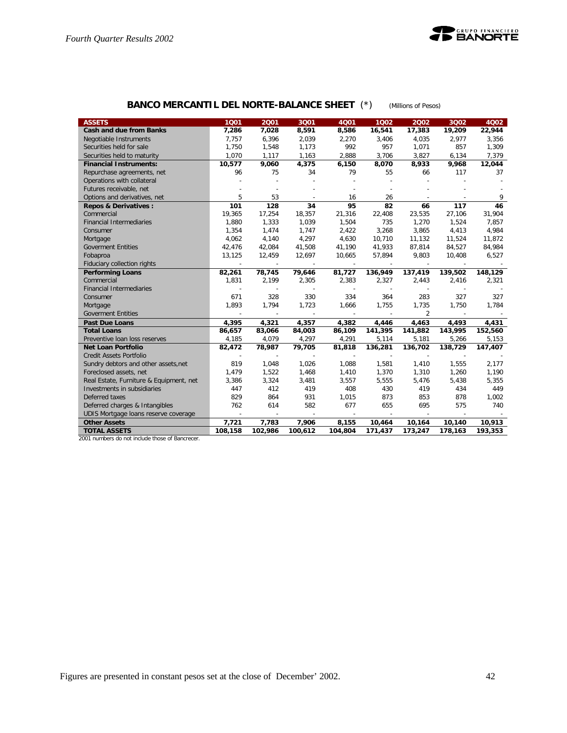

## **BANCO MERCANTIL DEL NORTE-BALANCE SHEET** (\*) *(Millions of Pesos)*

| <b>ASSETS</b>                           | 1001    | 2001                     | 3001           | 4Q01                     | 1002                     | 2002    | 3002                     | 4Q02    |
|-----------------------------------------|---------|--------------------------|----------------|--------------------------|--------------------------|---------|--------------------------|---------|
| <b>Cash and due from Banks</b>          | 7,286   | 7,028                    | 8,591          | 8,586                    | 16,541                   | 17,383  | 19,209                   | 22,944  |
| Negotiable Instruments                  | 7.757   | 6,396                    | 2,039          | 2,270                    | 3,406                    | 4,035   | 2.977                    | 3,356   |
| Securities held for sale                | 1,750   | 1,548                    | 1,173          | 992                      | 957                      | 1,071   | 857                      | 1,309   |
| Securities held to maturity             | 1,070   | 1,117                    | 1,163          | 2,888                    | 3,706                    | 3,827   | 6,134                    | 7,379   |
| <b>Financial Instruments:</b>           | 10,577  | 9,060                    | 4,375          | 6,150                    | 8,070                    | 8,933   | 9,968                    | 12,044  |
| Repurchase agreements, net              | 96      | 75                       | 34             | 79                       | 55                       | 66      | 117                      | 37      |
| Operations with collateral              |         |                          |                |                          |                          |         |                          |         |
| Futures receivable, net                 |         |                          |                |                          |                          |         |                          |         |
| Options and derivatives, net            | 5       | 53                       |                | 16                       | 26                       |         |                          | 9       |
| <b>Repos &amp; Derivatives:</b>         | 101     | 128                      | 34             | 95                       | 82                       | 66      | 117                      | 46      |
| Commercial                              | 19,365  | 17,254                   | 18,357         | 21,316                   | 22,408                   | 23,535  | 27,106                   | 31,904  |
| <b>Financial Intermediaries</b>         | 1,880   | 1,333                    | 1,039          | 1,504                    | 735                      | 1,270   | 1,524                    | 7,857   |
| Consumer                                | 1,354   | 1,474                    | 1,747          | 2,422                    | 3,268                    | 3,865   | 4,413                    | 4,984   |
| Mortgage                                | 4,062   | 4,140                    | 4,297          | 4,630                    | 10,710                   | 11,132  | 11,524                   | 11,872  |
| <b>Goverment Entities</b>               | 42,476  | 42,084                   | 41,508         | 41,190                   | 41,933                   | 87,814  | 84,527                   | 84,984  |
| Fobaproa                                | 13,125  | 12,459                   | 12,697         | 10,665                   | 57,894                   | 9.803   | 10,408                   | 6,527   |
| Fiduciary collection rights             | $\sim$  | $\sim$                   | $\sim$         | $\sim$                   |                          | $\sim$  | $\sim$                   |         |
| <b>Performing Loans</b>                 | 82,261  | 78,745                   | 79,646         | 81,727                   | 136,949                  | 137,419 | 139,502                  | 148,129 |
| Commercial                              | 1,831   | 2,199                    | 2,305          | 2,383                    | 2,327                    | 2,443   | 2,416                    | 2,321   |
| <b>Financial Intermediaries</b>         |         |                          |                | $\sim$                   |                          |         | $\overline{\phantom{a}}$ |         |
| Consumer                                | 671     | 328                      | 330            | 334                      | 364                      | 283     | 327                      | 327     |
| Mortgage                                | 1,893   | 1,794                    | 1,723          | 1,666                    | 1,755                    | 1,735   | 1,750                    | 1,784   |
| <b>Goverment Entities</b>               |         |                          |                |                          |                          | 2       |                          |         |
| <b>Past Due Loans</b>                   | 4,395   | 4,321                    | 4,357          | 4,382                    | 4,446                    | 4,463   | 4,493                    | 4,431   |
| <b>Total Loans</b>                      | 86,657  | 83,066                   | 84,003         | 86,109                   | 141,395                  | 141,882 | 143,995                  | 152,560 |
| Preventive Ioan loss reserves           | 4,185   | 4,079                    | 4,297          | 4,291                    | 5,114                    | 5,181   | 5,266                    | 5,153   |
| <b>Net Loan Portfolio</b>               | 82,472  | 78,987                   | 79,705         | 81,818                   | 136,281                  | 136,702 | 138,729                  | 147,407 |
| <b>Credit Assets Portfolio</b>          | ÷       | $\overline{\phantom{a}}$ | $\overline{a}$ | $\overline{\phantom{a}}$ | $\overline{\phantom{a}}$ |         |                          |         |
| Sundry debtors and other assets, net    | 819     | 1,048                    | 1,026          | 1,088                    | 1,581                    | 1,410   | 1,555                    | 2,177   |
| Foreclosed assets, net                  | 1,479   | 1,522                    | 1,468          | 1,410                    | 1,370                    | 1,310   | 1,260                    | 1,190   |
| Real Estate, Furniture & Equipment, net | 3,386   | 3,324                    | 3,481          | 3,557                    | 5,555                    | 5,476   | 5,438                    | 5,355   |
| Investments in subsidiaries             | 447     | 412                      | 419            | 408                      | 430                      | 419     | 434                      | 449     |
| Deferred taxes                          | 829     | 864                      | 931            | 1,015                    | 873                      | 853     | 878                      | 1,002   |
| Deferred charges & Intangibles          | 762     | 614                      | 582            | 677                      | 655                      | 695     | 575                      | 740     |
| UDIS Mortgage loans reserve coverage    | $\sim$  | $\sim$                   | $\sim$         |                          | $\sim$                   |         |                          |         |
| <b>Other Assets</b>                     | 7,721   | 7,783                    | 7,906          | 8,155                    | 10,464                   | 10,164  | 10,140                   | 10,913  |
| <b>TOTAL ASSETS</b>                     | 108,158 | 102,986                  | 100,612        | 104,804                  | 171,437                  | 173,247 | 178,163                  | 193,353 |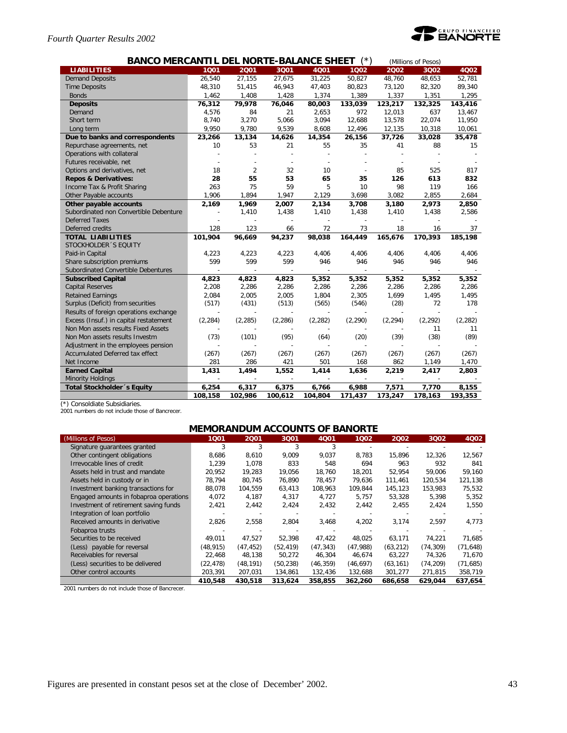## *Fourth Quarter Results 2002*



| <b>BANCO MERCANTIL DEL NORTE-BALANCE SHEET</b><br>$(*)$<br>(Millions of Pesos) |                |                |          |          |          |          |                |          |  |  |  |
|--------------------------------------------------------------------------------|----------------|----------------|----------|----------|----------|----------|----------------|----------|--|--|--|
| <b>LIABILITIES</b>                                                             | 1001           | 2001           | 3001     | 4001     | 1002     | 2002     | 3Q02           | 4Q02     |  |  |  |
| <b>Demand Deposits</b>                                                         | 26,540         | 27,155         | 27,675   | 31,225   | 50,827   | 48,760   | 48,653         | 52,781   |  |  |  |
| <b>Time Deposits</b>                                                           | 48,310         | 51,415         | 46,943   | 47,403   | 80,823   | 73,120   | 82,320         | 89,340   |  |  |  |
| <b>Bonds</b>                                                                   | 1,462          | 1,408          | 1,428    | 1,374    | 1,389    | 1,337    | 1,351          | 1,295    |  |  |  |
| <b>Deposits</b>                                                                | 76,312         | 79,978         | 76,046   | 80,003   | 133,039  | 123,217  | 132,325        | 143,416  |  |  |  |
| Demand                                                                         | 4,576          | 84             | 21       | 2,653    | 972      | 12,013   | 637            | 13,467   |  |  |  |
| Short term                                                                     | 8,740          | 3,270          | 5,066    | 3,094    | 12,688   | 13,578   | 22,074         | 11,950   |  |  |  |
| Long term                                                                      | 9,950          | 9,780          | 9,539    | 8,608    | 12,496   | 12,135   | 10,318         | 10,061   |  |  |  |
| Due to banks and correspondents                                                | 23,266         | 13,134         | 14,626   | 14,354   | 26,156   | 37,726   | 33,028         | 35,478   |  |  |  |
| Repurchase agreements, net                                                     | 10             | 53             | 21       | 55       | 35       | 41       | 88             | 15       |  |  |  |
| Operations with collateral                                                     |                |                |          |          |          |          |                |          |  |  |  |
| Futures receivable, net                                                        |                |                |          |          |          |          |                |          |  |  |  |
| Options and derivatives, net                                                   | 18             | $\overline{2}$ | 32       | 10       |          | 85       | 525            | 817      |  |  |  |
| <b>Repos &amp; Derivatives:</b>                                                | 28             | 55             | 53       | 65       | 35       | 126      | 613            | 832      |  |  |  |
| Income Tax & Profit Sharing                                                    | 263            | 75             | 59       | 5        | 10       | 98       | 119            | 166      |  |  |  |
| Other Payable accounts                                                         | 1,906          | 1,894          | 1,947    | 2,129    | 3,698    | 3,082    | 2,855          | 2,684    |  |  |  |
| Other payable accounts                                                         | 2,169          | 1,969          | 2,007    | 2,134    | 3,708    | 3,180    | 2,973          | 2,850    |  |  |  |
| Subordinated non Convertible Debenture                                         | $\overline{a}$ | 1,410          | 1,438    | 1,410    | 1,438    | 1,410    | 1,438          | 2,586    |  |  |  |
| <b>Deferred Taxes</b>                                                          |                |                |          |          |          |          |                |          |  |  |  |
| Deferred credits                                                               | 128            | 123            | 66       | 72       | 73       | 18       | 16             | 37       |  |  |  |
| <b>TOTAL LIABILITIES</b>                                                       | 101.904        | 96,669         | 94,237   | 98,038   | 164,449  | 165,676  | 170,393        | 185,198  |  |  |  |
| STOCKHOLDER 'S EQUITY                                                          |                |                |          |          |          |          |                |          |  |  |  |
| Paid-in Capital                                                                | 4,223          | 4,223          | 4,223    | 4,406    | 4,406    | 4,406    | 4,406          | 4,406    |  |  |  |
| Share subscription premiums                                                    | 599            | 599            | 599      | 946      | 946      | 946      | 946            | 946      |  |  |  |
| Subordinated Convertible Debentures                                            |                |                |          | $\sim$   |          |          | $\overline{a}$ |          |  |  |  |
| <b>Subscribed Capital</b>                                                      | 4,823          | 4,823          | 4,823    | 5,352    | 5,352    | 5,352    | 5,352          | 5,352    |  |  |  |
| <b>Capital Reserves</b>                                                        | 2,208          | 2,286          | 2,286    | 2,286    | 2,286    | 2,286    | 2,286          | 2,286    |  |  |  |
| <b>Retained Earnings</b>                                                       | 2,084          | 2,005          | 2,005    | 1,804    | 2,305    | 1,699    | 1,495          | 1,495    |  |  |  |
| Surplus (Deficit) from securities                                              | (517)          | (431)          | (513)    | (565)    | (546)    | (28)     | 72             | 178      |  |  |  |
| Results of foreign operations exchange                                         |                |                |          |          |          |          |                |          |  |  |  |
| Excess (Insuf.) in capital restatement                                         | (2, 284)       | (2, 285)       | (2, 286) | (2, 282) | (2, 290) | (2, 294) | (2, 292)       | (2, 282) |  |  |  |
| Non Mon assets results Fixed Assets                                            |                |                |          |          |          |          | 11             | 11       |  |  |  |
| Non Mon assets results Investm                                                 | (73)           | (101)          | (95)     | (64)     | (20)     | (39)     | (38)           | (89)     |  |  |  |
| Adjustment in the employees pension                                            |                |                |          |          |          |          |                |          |  |  |  |
| Accumulated Deferred tax effect                                                | (267)          | (267)          | (267)    | (267)    | (267)    | (267)    | (267)          | (267)    |  |  |  |
| Net Income                                                                     | 281            | 286            | 421      | 501      | 168      | 862      | 1,149          | 1,470    |  |  |  |
| <b>Earned Capital</b>                                                          | 1,431          | 1,494          | 1,552    | 1,414    | 1,636    | 2,219    | 2,417          | 2,803    |  |  |  |
| <b>Minority Holdings</b>                                                       |                |                |          |          |          |          |                |          |  |  |  |
| <b>Total Stockholder</b> 's Equity                                             | 6,254          | 6,317          | 6,375    | 6,766    | 6,988    | 7,571    | 7,770          | 8,155    |  |  |  |
|                                                                                | 108,158        | 102,986        | 100,612  | 104,804  | 171,437  | 173,247  | 178,163        | 193,353  |  |  |  |

(\*) Consoldiate Subsidiaries. 2001 numbers do not include those of Bancrecer.

## **MEMORANDUM ACCOUNTS OF BANORTE**

| (Millions of Pesos)                    | 1001      | 2001      | 3001      | 4Q01      | 1002      | 2002      | 3Q02      | 4Q02      |
|----------------------------------------|-----------|-----------|-----------|-----------|-----------|-----------|-----------|-----------|
| Signature quarantees granted           | 3         | 3         | 3         | 3         |           |           |           |           |
| Other contingent obligations           | 8.686     | 8,610     | 9,009     | 9,037     | 8,783     | 15,896    | 12,326    | 12,567    |
| Irrevocable lines of credit            | 1.239     | 1.078     | 833       | 548       | 694       | 963       | 932       | 841       |
| Assets held in trust and mandate       | 20.952    | 19,283    | 19,056    | 18.760    | 18,201    | 52.954    | 59.006    | 59,160    |
| Assets held in custody or in           | 78.794    | 80.745    | 76.890    | 78.457    | 79.636    | 111.461   | 120.534   | 121,138   |
| Investment banking transactions for    | 88,078    | 104,559   | 63,413    | 108,963   | 109,844   | 145,123   | 153,983   | 75,532    |
| Engaged amounts in fobaproa operations | 4,072     | 4,187     | 4,317     | 4,727     | 5,757     | 53.328    | 5.398     | 5,352     |
| Investment of retirement saving funds  | 2,421     | 2,442     | 2,424     | 2,432     | 2,442     | 2,455     | 2,424     | 1,550     |
| Integration of loan portfolio          |           |           |           |           |           |           |           |           |
| Received amounts in derivative         | 2,826     | 2,558     | 2,804     | 3,468     | 4,202     | 3,174     | 2,597     | 4,773     |
| Fobaproa trusts                        |           |           |           |           |           |           |           |           |
| Securities to be received              | 49,011    | 47,527    | 52,398    | 47,422    | 48,025    | 63,171    | 74,221    | 71,685    |
| (Less) payable for reversal            | (48, 915) | (47, 452) | (52, 419) | (47, 343) | (47,988)  | (63, 212) | (74, 309) | (71, 648) |
| Receivables for reversal               | 22,468    | 48,138    | 50,272    | 46,304    | 46,674    | 63,227    | 74,326    | 71,670    |
| (Less) securities to be delivered      | (22, 478) | (48, 191) | (50, 238) | (46, 359) | (46, 697) | (63, 161) | (74, 209) | (71, 685) |
| Other control accounts                 | 203,391   | 207,031   | 134,861   | 132,436   | 132,688   | 301,277   | 271,815   | 358,719   |
|                                        | 410,548   | 430.518   | 313,624   | 358,855   | 362.260   | 686,658   | 629.044   | 637,654   |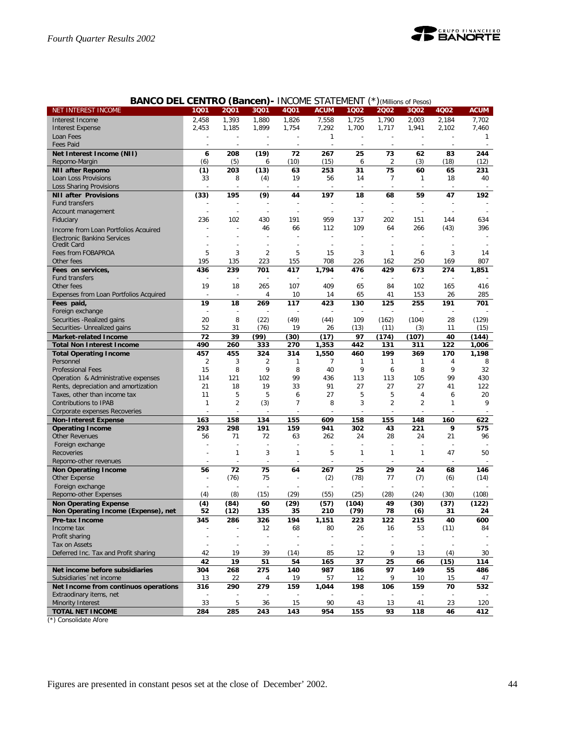

| <b>BANCO DEL CENTRO (Bancen)</b> - INCOME STATEMENT |                |                |                          |                |                          |              |                | (Millions of Pesos)      |              |             |
|-----------------------------------------------------|----------------|----------------|--------------------------|----------------|--------------------------|--------------|----------------|--------------------------|--------------|-------------|
| NET INTEREST INCOME                                 | 1Q01           | 2001           | 3Q01                     | 4Q01           | <b>ACUM</b>              | 1Q02         | 2002           | 3Q02                     | 4Q02         | <b>ACUM</b> |
| Interest Income                                     | 2,458          | 1,393          | 1,880                    | 1,826          | 7,558                    | 1,725        | 1,790          | 2,003                    | 2,184        | 7,702       |
| <b>Interest Expense</b>                             | 2,453          | 1,185          | 1,899                    | 1,754          | 7,292                    | 1,700        | 1,717          | 1,941                    | 2,102        | 7,460       |
| Loan Fees                                           |                |                |                          | ÷              | $\mathbf{1}$             |              |                | ÷                        |              | 1           |
| <b>Fees Paid</b>                                    |                |                |                          |                |                          |              |                |                          |              |             |
| Net Interest Income (NII)                           | 6              | 208            | (19)                     | 72             | 267                      | 25           | 73             | 62                       | 83           | 244         |
| Repomo-Margin                                       | (6)            | (5)            | 6                        | (10)           | (15)                     | 6            | 2              | (3)                      | (18)         | (12)        |
| <b>NII after Repomo</b>                             | (1)            | 203            | (13)                     | 63             | 253                      | 31           | 75             | 60                       | 65           | 231         |
| Loan Loss Provisions                                | 33             | 8              | (4)                      | 19             | 56                       | 14           | 7              | $\mathbf{1}$             | 18           | 40          |
| Loss Sharing Provisions                             |                |                |                          |                |                          |              |                |                          |              |             |
| <b>NII after Provisions</b>                         | (33)           | 195            | (9)                      | 44             | 197                      | 18           | 68             | 59                       | 47           | 192         |
| Fund transfers                                      |                |                |                          |                |                          |              |                |                          |              |             |
| Account management                                  |                |                |                          |                |                          |              |                | L,                       |              |             |
| Fiduciary                                           | 236            | 102            | 430                      | 191            | 959                      | 137          | 202            | 151                      | 144          | 634         |
|                                                     |                |                | 46                       | 66             | 112                      | 109          | 64             | 266                      | (43)         | 396         |
| Income from Loan Portfolios Acquired                |                |                |                          |                |                          |              |                | $\overline{a}$           |              |             |
| Electronic Banking Services<br>Credit Card          |                |                |                          |                |                          |              |                |                          |              |             |
| Fees from FOBAPROA                                  | 5              | 3              | 2                        | 5              | 15                       | 3            | $\mathbf{1}$   | 6                        | 3            | 14          |
|                                                     | 195            | 135            | 223                      | 155            | 708                      | 226          | 162            | 250                      | 169          | 807         |
| Other fees                                          |                | 239            |                          |                |                          |              | 429            |                          |              |             |
| Fees on services,                                   | 436            |                | 701                      | 417            | 1,794                    | 476          |                | 673                      | 274          | 1,851       |
| Fund transfers                                      |                |                |                          |                |                          |              |                |                          |              |             |
| Other fees                                          | 19             | 18             | 265                      | 107            | 409                      | 65           | 84             | 102                      | 165          | 416         |
| Expenses from Loan Portfolios Acquired              |                | Ĭ.             | 4                        | 10             | 14                       | 65           | 41             | 153                      | 26           | 285         |
| Fees paid,                                          | 19             | 18             | 269                      | 117            | 423                      | 130          | 125            | 255                      | 191          | 701         |
| Foreign exchange                                    |                |                |                          |                |                          |              |                |                          |              |             |
| Securities - Realized gains                         | 20             | 8              | (22)                     | (49)           | (44)                     | 109          | (162)          | (104)                    | 28           | (129)       |
| Securities- Unrealized gains                        | 52             | 31             | (76)                     | 19             | 26                       | (13)         | (11)           | (3)                      | 11           | (15)        |
| <b>Market-related Income</b>                        | 72             | 39             | (99)                     | (30)           | (17)                     | 97           | (174)          | (107)                    | 40           | (144)       |
| <b>Total Non Interest Income</b>                    | 490            | 260            | 333                      | 270            | 1,353                    | 442          | 131            | 311                      | 122          | 1,006       |
| <b>Total Operating Income</b>                       | 457            | 455            | 324                      | 314            | 1,550                    | 460          | 199            | 369                      | 170          | 1,198       |
| Personnel                                           | $\overline{2}$ | 3              | 2                        | $\mathbf{1}$   | 7                        | 1            | $\mathbf{1}$   | 1                        | 4            | 8           |
| <b>Professional Fees</b>                            | 15             | 8              | 9                        | 8              | 40                       | 9            | 6              | 8                        | 9            | 32          |
| Operation & Administrative expenses                 | 114            | 121            | 102                      | 99             | 436                      | 113          | 113            | 105                      | 99           | 430         |
| Rents, depreciation and amortization                | 21             | 18             | 19                       | 33             | 91                       | 27           | 27             | 27                       | 41           | 122         |
| Taxes, other than income tax                        | 11             | 5              | 5                        | 6              | 27                       | 5            | 5              | 4                        | 6            | 20          |
| Contributions to IPAB                               | $\mathbf{1}$   | $\overline{2}$ | (3)                      | $\overline{7}$ | 8                        | 3            | $\overline{2}$ | $\overline{2}$           | $\mathbf{1}$ | 9           |
| Corporate expenses Recoveries                       |                |                |                          |                |                          |              |                |                          |              |             |
| <b>Non-Interest Expense</b>                         | 163            | 158            | 134                      | 155            | 609                      | 158          | 155            | 148                      | 160          | 622         |
| <b>Operating Income</b>                             | 293            | 298            | 191                      | 159            | 941                      | 302          | 43             | 221                      | 9            | 575         |
| <b>Other Revenues</b>                               | 56             | 71             | 72                       | 63             | 262                      | 24           | 28             | 24                       | 21           | 96          |
| Foreign exchange                                    |                |                |                          |                |                          |              |                |                          |              |             |
| Recoveries                                          |                | $\mathbf{1}$   | 3                        | $\mathbf{1}$   | 5                        | $\mathbf{1}$ | $\mathbf{1}$   | 1                        | 47           | 50          |
| Repomo-other revenues                               |                |                |                          |                |                          |              |                |                          |              |             |
| <b>Non Operating Income</b>                         | 56             | 72             | 75                       | 64             | 267                      | 25           | 29             | 24                       | 68           | 146         |
| Other Expense                                       |                | (76)           | 75                       |                | (2)                      | (78)         | 77             | (7)                      | (6)          | (14)        |
| Foreign exchange                                    |                |                |                          |                |                          |              |                |                          |              |             |
| Repomo-other Expenses                               | (4)            | (8)            | (15)                     | (29)           | (55)                     | (25)         | (28)           | (24)                     | (30)         | (108)       |
| <b>Non Operating Expense</b>                        | (4)            | (84)           | 60                       | (29)           | (57)                     | (104)        | 49             | (30)                     | (37)         | (122)       |
| Non Operating Income (Expense), net                 | 52             | (12)           | 135                      | 35             | 210                      | (79)         | 78             | (6)                      | 31           | 24          |
| Pre-tax Income                                      | 345            | 286            | 326                      | 194            | 1,151                    | 223          | 122            | 215                      | 40           | 600         |
| Income tax                                          |                | ÷              | 12                       | 68             | 80                       | 26           | 16             | 53                       | (11)         | 84          |
| Profit sharing                                      |                |                | $\overline{\phantom{a}}$ |                | $\overline{\phantom{a}}$ |              |                | $\overline{\phantom{a}}$ |              |             |
| Tax on Assets                                       |                |                | $\sim$                   |                | $\overline{\phantom{a}}$ | $\sim$       |                | $\overline{\phantom{a}}$ |              |             |
| Deferred Inc. Tax and Profit sharing                | 42             | 19             | 39                       | (14)           | 85                       | 12           | 9              | 13                       | (4)          | 30          |
|                                                     | 42             | 19             | 51                       | 54             | 165                      | 37           | 25             | 66                       |              | 114         |
| Net income before subsidiaries                      |                | 268            |                          | 140            | 987                      |              | 97             | 149                      | (15)         |             |
|                                                     | 304            |                | 275                      |                |                          | 186          | 9              |                          | 55           | 486         |
| Subsidiaries 'net income                            | 13             | 22             | 4                        | 19             | 57                       | 12           |                | 10                       | 15           | 47          |
| Net Income from continuos operations                | 316            | 290            | 279                      | 159            | 1,044                    | 198          | 106            | 159                      | 70           | 532         |
| Extraodinary items, net                             |                |                |                          |                |                          |              |                |                          |              |             |
| Minority Interest                                   | 33             | 5              | 36                       | 15             | 90                       | 43           | 13             | 41                       | 23           | 120         |
| <b>TOTAL NET INCOME</b>                             | 284            | 285            | 243                      | 143            | 954                      | 155          | 93             | 118                      | 46           | 412         |

**BANCO DEL CENTRO (Bancon)** INCOME STATEMENT (\*)

(\*) Consolidate Afore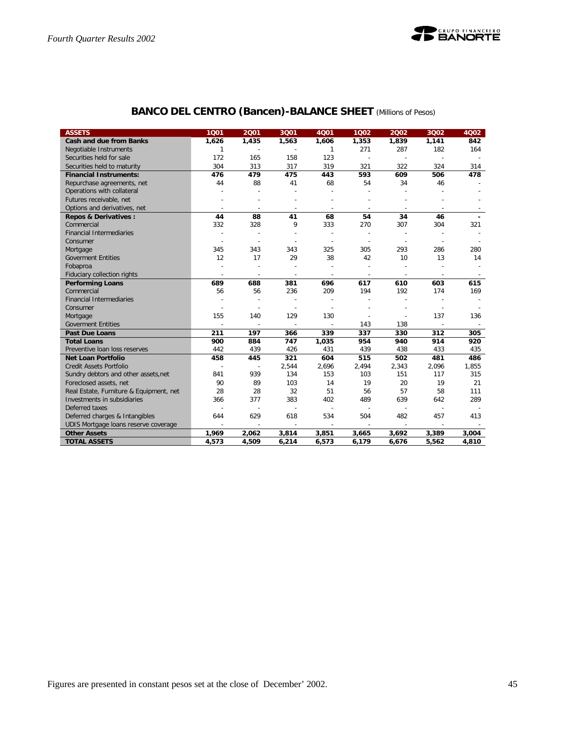

| <b>ASSETS</b>                           | 1001           | 2001           | 3001           | 4001                     | 1002           | 2002                     | 3002                     | 4002                     |
|-----------------------------------------|----------------|----------------|----------------|--------------------------|----------------|--------------------------|--------------------------|--------------------------|
| <b>Cash and due from Banks</b>          | 1,626          | 1,435          | 1,563          | 1,606                    | 1,353          | 1,839                    | 1,141                    | 842                      |
| Negotiable Instruments                  | 1              |                |                | 1                        | 271            | 287                      | 182                      | 164                      |
| Securities held for sale                | 172            | 165            | 158            | 123                      |                | $\sim$                   | $\sim$                   |                          |
| Securities held to maturity             | 304            | 313            | 317            | 319                      | 321            | 322                      | 324                      | 314                      |
| <b>Financial Instruments:</b>           | 476            | 479            | 475            | 443                      | 593            | 609                      | 506                      | 478                      |
| Repurchase agreements, net              | 44             | 88             | 41             | 68                       | 54             | 34                       | 46                       |                          |
| Operations with collateral              |                |                |                |                          |                |                          |                          |                          |
| Futures receivable, net                 |                |                |                |                          |                |                          |                          |                          |
| Options and derivatives, net            |                |                | $\overline{a}$ |                          | $\overline{a}$ | ÷                        | $\overline{\phantom{a}}$ |                          |
| <b>Repos &amp; Derivatives:</b>         | 44             | 88             | 41             | 68                       | 54             | 34                       | 46                       |                          |
| Commercial                              | 332            | 328            | 9              | 333                      | 270            | 307                      | 304                      | 321                      |
| <b>Financial Intermediaries</b>         |                |                |                |                          |                | $\overline{\phantom{a}}$ | ÷,                       |                          |
| Consumer                                |                |                |                |                          |                | $\overline{\phantom{a}}$ | $\overline{\phantom{a}}$ |                          |
| Mortgage                                | 345            | 343            | 343            | 325                      | 305            | 293                      | 286                      | 280                      |
| <b>Goverment Entities</b>               | 12             | 17             | 29             | 38                       | 42             | 10                       | 13                       | 14                       |
| Fobaproa                                |                |                |                |                          |                |                          |                          |                          |
| Fiduciary collection rights             | ÷,             | ÷              | $\overline{a}$ | $\overline{\phantom{a}}$ | $\overline{a}$ | $\overline{\phantom{a}}$ | $\sim$                   | $\overline{\phantom{a}}$ |
| <b>Performing Loans</b>                 | 689            | 688            | 381            | 696                      | 617            | 610                      | 603                      | 615                      |
| Commercial                              | 56             | 56             | 236            | 209                      | 194            | 192                      | 174                      | 169                      |
| <b>Financial Intermediaries</b>         |                |                |                |                          |                | Ē,                       |                          |                          |
| Consumer                                |                |                |                |                          |                |                          |                          |                          |
| Mortgage                                | 155            | 140            | 129            | 130                      |                | ÷                        | 137                      | 136                      |
| <b>Goverment Entities</b>               |                |                |                |                          | 143            | 138                      |                          | $\overline{\phantom{a}}$ |
| <b>Past Due Loans</b>                   | 211            | 197            | 366            | 339                      | 337            | 330                      | 312                      | 305                      |
| <b>Total Loans</b>                      | 900            | 884            | 747            | 1,035                    | 954            | 940                      | 914                      | 920                      |
| Preventive loan loss reserves           | 442            | 439            | 426            | 431                      | 439            | 438                      | 433                      | 435                      |
| <b>Net Loan Portfolio</b>               | 458            | 445            | 321            | 604                      | 515            | 502                      | 481                      | 486                      |
| <b>Credit Assets Portfolio</b>          | $\overline{a}$ | $\overline{a}$ | 2,544          | 2,696                    | 2,494          | 2,343                    | 2,096                    | 1,855                    |
| Sundry debtors and other assets, net    | 841            | 939            | 134            | 153                      | 103            | 151                      | 117                      | 315                      |
| Foreclosed assets, net                  | 90             | 89             | 103            | 14                       | 19             | 20                       | 19                       | 21                       |
| Real Estate, Furniture & Equipment, net | 28             | 28             | 32             | 51                       | 56             | 57                       | 58                       | 111                      |
| Investments in subsidiaries             | 366            | 377            | 383            | 402                      | 489            | 639                      | 642                      | 289                      |
| Deferred taxes                          |                | $\overline{a}$ | $\overline{a}$ |                          |                | $\overline{a}$           | $\overline{a}$           |                          |
| Deferred charges & Intangibles          | 644            | 629            | 618            | 534                      | 504            | 482                      | 457                      | 413                      |
| UDIS Mortgage loans reserve coverage    | $\overline{a}$ | $\overline{a}$ | $\overline{a}$ |                          |                | $\sim$                   | $\sim$                   |                          |
| <b>Other Assets</b>                     | 1,969          | 2,062          | 3,814          | 3,851                    | 3,665          | 3,692                    | 3,389                    | 3,004                    |
| <b>TOTAL ASSETS</b>                     | 4,573          | 4,509          | 6,214          | 6,573                    | 6,179          | 6,676                    | 5,562                    | 4,810                    |

## **BANCO DEL CENTRO (Bancen)-BALANCE SHEET** *(Millions of Pesos)*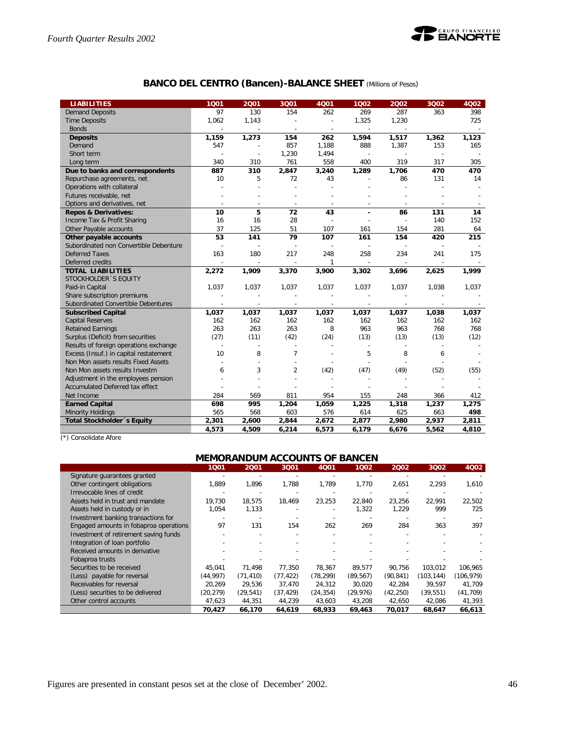

## **BANCO DEL CENTRO (Bancen)-BALANCE SHEET** *(Millions of Pesos)*

| <b>LIABILITIES</b>                     | 1001     | 2001                     | 3001           | 4Q01         | 1002                     | 2002  | 3002                     | 4002  |
|----------------------------------------|----------|--------------------------|----------------|--------------|--------------------------|-------|--------------------------|-------|
| <b>Demand Deposits</b>                 | 97       | 130                      | 154            | 262          | 269                      | 287   | 363                      | 398   |
| <b>Time Deposits</b>                   | 1,062    | 1,143                    |                |              | 1,325                    | 1,230 |                          | 725   |
| <b>Bonds</b>                           |          |                          |                |              |                          |       |                          |       |
| <b>Deposits</b>                        | 1,159    | 1,273                    | 154            | 262          | 1,594                    | 1,517 | 1,362                    | 1,123 |
| Demand                                 | 547      |                          | 857            | 1,188        | 888                      | 1,387 | 153                      | 165   |
| Short term                             |          |                          | 1,230          | 1,494        | $\overline{a}$           |       | $\overline{\phantom{a}}$ |       |
| Long term                              | 340      | 310                      | 761            | 558          | 400                      | 319   | 317                      | 305   |
| Due to banks and correspondents        | 887      | 310                      | 2,847          | 3,240        | 1,289                    | 1,706 | 470                      | 470   |
| Repurchase agreements, net             | 10       | 5                        | 72             | 43           |                          | 86    | 131                      | 14    |
| Operations with collateral             |          |                          |                |              |                          |       |                          |       |
| Futures receivable, net                |          |                          |                |              |                          |       |                          |       |
| Options and derivatives, net           |          | $\overline{\phantom{a}}$ | $\overline{a}$ |              |                          |       |                          |       |
| <b>Repos &amp; Derivatives:</b>        | 10       | 5                        | 72             | 43           |                          | 86    | 131                      | 14    |
| Income Tax & Profit Sharing            | 16       | 16                       | 28             |              |                          |       | 140                      | 152   |
| Other Payable accounts                 | 37       | 125                      | 51             | 107          | 161                      | 154   | 281                      | 64    |
| Other payable accounts                 | 53       | 141                      | 79             | 107          | 161                      | 154   | 420                      | 215   |
| Subordinated non Convertible Debenture |          |                          |                |              |                          |       |                          |       |
| <b>Deferred Taxes</b>                  | 163      | 180                      | 217            | 248          | 258                      | 234   | 241                      | 175   |
| Deferred credits                       |          |                          |                | $\mathbf{1}$ |                          |       |                          |       |
| <b>TOTAL LIABILITIES</b>               | 2,272    | 1,909                    | 3,370          | 3,900        | 3,302                    | 3,696 | 2,625                    | 1,999 |
| STOCKHOLDER 'S EQUITY                  |          |                          |                |              |                          |       |                          |       |
| Paid-in Capital                        | 1,037    | 1,037                    | 1,037          | 1,037        | 1,037                    | 1,037 | 1,038                    | 1,037 |
| Share subscription premiums            |          |                          | ÷              |              |                          |       |                          |       |
| Subordinated Convertible Debentures    |          |                          |                |              |                          |       | $\overline{a}$           |       |
| <b>Subscribed Capital</b>              | 1,037    | 1,037                    | 1,037          | 1,037        | 1,037                    | 1,037 | 1,038                    | 1.037 |
| <b>Capital Reserves</b>                | 162      | 162                      | 162            | 162          | 162                      | 162   | 162                      | 162   |
| <b>Retained Earnings</b>               | 263      | 263                      | 263            | 8            | 963                      | 963   | 768                      | 768   |
| Surplus (Deficit) from securities      | (27)     | (11)                     | (42)           | (24)         | (13)                     | (13)  | (13)                     | (12)  |
| Results of foreign operations exchange | <u>.</u> |                          | $\overline{a}$ |              | $\overline{\phantom{a}}$ |       | $\overline{\phantom{a}}$ |       |
| Excess (Insuf.) in capital restatement | 10       | 8                        | $\overline{7}$ |              | 5                        | 8     | 6                        |       |
| Non Mon assets results Fixed Assets    |          |                          |                |              |                          |       |                          |       |
| Non Mon assets results Investm         | 6        | 3                        | $\overline{2}$ | (42)         | (47)                     | (49)  | (52)                     | (55)  |
| Adjustment in the employees pension    |          |                          |                |              |                          |       |                          |       |
| Accumulated Deferred tax effect        |          |                          |                |              |                          |       |                          |       |
| Net Income                             | 284      | 569                      | 811            | 954          | 155                      | 248   | 366                      | 412   |
| <b>Earned Capital</b>                  | 698      | 995                      | 1,204          | 1,059        | 1,225                    | 1,318 | 1,237                    | 1,275 |
| <b>Minority Holdings</b>               | 565      | 568                      | 603            | 576          | 614                      | 625   | 663                      | 498   |
| Total Stockholder 's Equity            | 2,301    | 2,600                    | 2,844          | 2,672        | 2,877                    | 2,980 | 2,937                    | 2,811 |
|                                        | 4.573    | 4.509                    | 6,214          | 6.573        | 6.179                    | 6,676 | 5,562                    | 4,810 |

(\*) Consolidate Afore

## **MEMORANDUM ACCOUNTS OF BANCEN**

|                                        | 1001      | 2001      | 3001      | 4001      | 1002      | 2002      | 3Q02      | 4Q02       |
|----------------------------------------|-----------|-----------|-----------|-----------|-----------|-----------|-----------|------------|
| Signature quarantees granted           |           |           |           |           |           |           |           |            |
| Other contingent obligations           | 1,889     | 1.896     | 1,788     | 1,789     | 1,770     | 2,651     | 2,293     | 1,610      |
| Irrevocable lines of credit            |           |           |           |           |           |           |           |            |
| Assets held in trust and mandate       | 19,730    | 18,575    | 18.469    | 23,253    | 22,840    | 23,256    | 22,991    | 22,502     |
| Assets held in custody or in           | 1,054     | 1,133     |           |           | 1,322     | 1,229     | 999       | 725        |
| Investment banking transactions for    |           |           |           |           |           |           |           |            |
| Engaged amounts in fobaproa operations | 97        | 131       | 154       | 262       | 269       | 284       | 363       | 397        |
| Investment of retirement saving funds  |           |           |           |           |           |           |           |            |
| Integration of loan portfolio          |           |           |           |           |           |           |           |            |
| Received amounts in derivative         |           |           |           |           |           |           |           |            |
| Fobaproa trusts                        |           |           |           |           |           |           |           |            |
| Securities to be received              | 45,041    | 71.498    | 77.350    | 78.367    | 89,577    | 90.756    | 103.012   | 106,965    |
| (Less) payable for reversal            | (44.997)  | (71, 410) | (77.422)  | (78, 299) | (89, 567) | (90, 841) | (103.144) | (106, 979) |
| Receivables for reversal               | 20.269    | 29.536    | 37.470    | 24.312    | 30,020    | 42.284    | 39.597    | 41.709     |
| (Less) securities to be delivered      | (20, 279) | (29, 541) | (37, 429) | (24, 354) | (29, 976) | (42, 250) | (39,551)  | (41, 709)  |
| Other control accounts                 | 47,623    | 44,351    | 44,239    | 43,603    | 43,208    | 42,650    | 42,086    | 41,393     |
|                                        | 70,427    | 66,170    | 64.619    | 68,933    | 69,463    | 70,017    | 68.647    | 66,613     |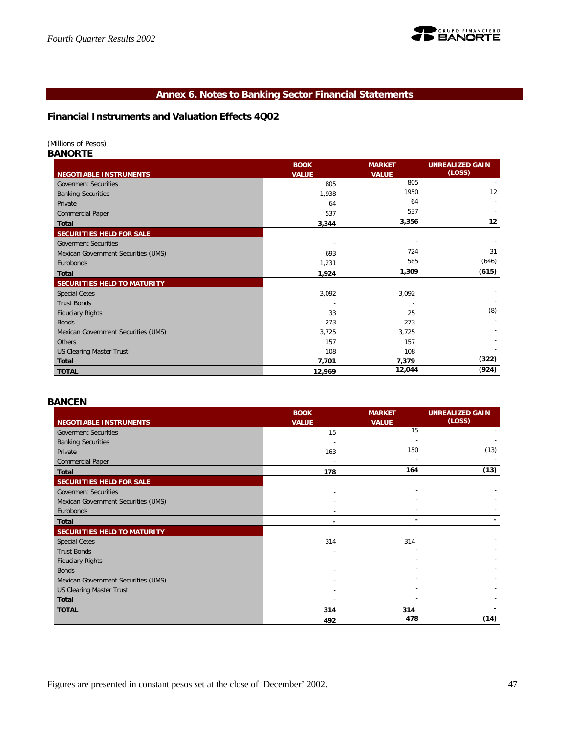

## **Annex 6. Notes to Banking Sector Financial Statements**

**Financial Instruments and Valuation Effects 4Q02**

*(Millions of Pesos)*

*BANORTE*

|                                     | <b>BOOK</b>  | <b>MARKET</b>            | <b>UNREALIZED GAIN</b> |
|-------------------------------------|--------------|--------------------------|------------------------|
| <b>NEGOTIABLE INSTRUMENTS</b>       | <b>VALUE</b> | <b>VALUE</b>             | (LOSS)                 |
| <b>Goverment Securities</b>         | 805          | 805                      |                        |
| <b>Banking Securities</b>           | 1,938        | 1950                     | 12                     |
| Private                             | 64           | 64                       |                        |
| Commercial Paper                    | 537          | 537                      |                        |
| <b>Total</b>                        | 3,344        | 3,356                    | 12                     |
| SECURITIES HELD FOR SALE            |              |                          |                        |
| <b>Goverment Securities</b>         |              | $\overline{\phantom{a}}$ |                        |
| Mexican Government Securities (UMS) | 693          | 724                      | 31                     |
| Eurobonds                           | 1,231        | 585                      | (646)                  |
| <b>Total</b>                        | 1,924        | 1,309                    | (615)                  |
| <b>SECURITIES HELD TO MATURITY</b>  |              |                          |                        |
| <b>Special Cetes</b>                | 3,092        | 3,092                    |                        |
| <b>Trust Bonds</b>                  |              |                          |                        |
| <b>Fiduciary Rights</b>             | 33           | 25                       | (8)                    |
| <b>Bonds</b>                        | 273          | 273                      |                        |
| Mexican Government Securities (UMS) | 3,725        | 3,725                    |                        |
| Others                              | 157          | 157                      |                        |
| <b>US Clearing Master Trust</b>     | 108          | 108                      |                        |
| <b>Total</b>                        | 7,701        | 7,379                    | (322)                  |
| <b>TOTAL</b>                        | 12,969       | 12,044                   | (924)                  |

## *BANCEN*

|                                     | <b>BOOK</b>  | <b>MARKET</b> | <b>UNREALIZED GAIN</b> |
|-------------------------------------|--------------|---------------|------------------------|
| <b>NEGOTIABLE INSTRUMENTS</b>       | <b>VALUE</b> | <b>VALUE</b>  | (LOSS)                 |
| <b>Goverment Securities</b>         | 15           | 15            |                        |
| <b>Banking Securities</b>           |              |               |                        |
| Private                             | 163          | 150           | (13)                   |
| <b>Commercial Paper</b>             |              |               |                        |
| <b>Total</b>                        | 178          | 164           | (13)                   |
| SECURITIES HELD FOR SALE            |              |               |                        |
| <b>Goverment Securities</b>         |              |               |                        |
| Mexican Government Securities (UMS) |              |               |                        |
| Eurobonds                           |              |               |                        |
| <b>Total</b>                        |              |               |                        |
| SECURITIES HELD TO MATURITY         |              |               |                        |
| <b>Special Cetes</b>                | 314          | 314           |                        |
| <b>Trust Bonds</b>                  |              |               |                        |
| <b>Fiduciary Rights</b>             |              |               |                        |
| <b>Bonds</b>                        |              |               |                        |
| Mexican Government Securities (UMS) |              |               |                        |
| <b>US Clearing Master Trust</b>     |              |               |                        |
| <b>Total</b>                        |              |               |                        |
| <b>TOTAL</b>                        | 314          | 314           |                        |
|                                     | 492          | 478           | (14)                   |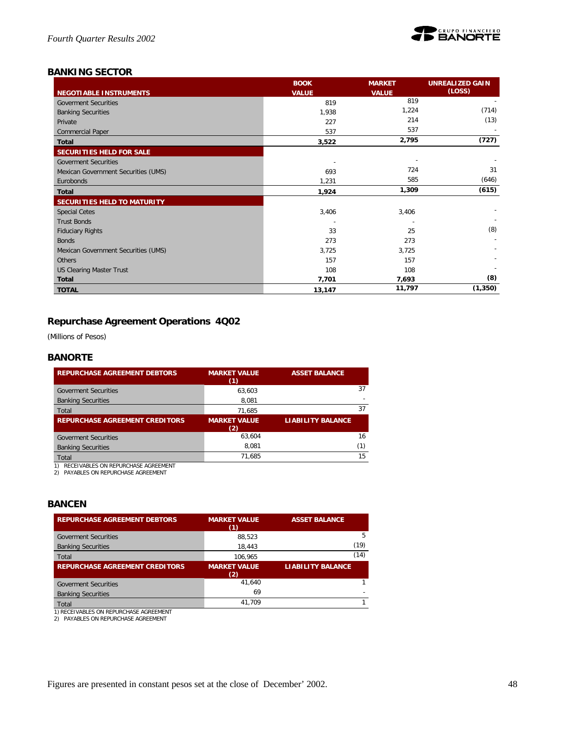

## *BANKING SECTOR*

|                                     | <b>BOOK</b>  | <b>MARKET</b> | <b>UNREALIZED GAIN</b> |
|-------------------------------------|--------------|---------------|------------------------|
| <b>NEGOTIABLE INSTRUMENTS</b>       | <b>VALUE</b> | <b>VALUE</b>  | (LOSS)                 |
| <b>Goverment Securities</b>         | 819          | 819           |                        |
| <b>Banking Securities</b>           | 1,938        | 1,224         | (714)                  |
| Private                             | 227          | 214           | (13)                   |
| <b>Commercial Paper</b>             | 537          | 537           |                        |
| <b>Total</b>                        | 3,522        | 2,795         | (727)                  |
| SECURITIES HELD FOR SALE            |              |               |                        |
| <b>Goverment Securities</b>         |              |               |                        |
| Mexican Government Securities (UMS) | 693          | 724           | 31                     |
| Eurobonds                           | 1,231        | 585           | (646)                  |
| <b>Total</b>                        | 1,924        | 1,309         | (615)                  |
| <b>SECURITIES HELD TO MATURITY</b>  |              |               |                        |
| <b>Special Cetes</b>                | 3,406        | 3,406         |                        |
| <b>Trust Bonds</b>                  |              |               |                        |
| <b>Fiduciary Rights</b>             | 33           | 25            | (8)                    |
| <b>Bonds</b>                        | 273          | 273           |                        |
| Mexican Government Securities (UMS) | 3,725        | 3,725         |                        |
| <b>Others</b>                       | 157          | 157           |                        |
| <b>US Clearing Master Trust</b>     | 108          | 108           |                        |
| <b>Total</b>                        | 7,701        | 7,693         | (8)                    |
| <b>TOTAL</b>                        | 13,147       | 11,797        | (1, 350)               |

## **Repurchase Agreement Operations 4Q02**

*(Millions of Pesos)*

## *BANORTE*

| <b>REPURCHASE AGREEMENT DEBTORS</b>   | <b>MARKET VALUE</b><br>(1) | <b>ASSET BALANCE</b>     |
|---------------------------------------|----------------------------|--------------------------|
| <b>Goverment Securities</b>           | 63.603                     | 37                       |
| <b>Banking Securities</b>             | 8,081                      |                          |
| Total                                 | 71.685                     | 37                       |
| <b>REPURCHASE AGREEMENT CREDITORS</b> | <b>MARKET VALUE</b>        | <b>LIABILITY BALANCE</b> |
|                                       | (2)                        |                          |
| <b>Goverment Securities</b>           | 63.604                     | 16                       |
| <b>Banking Securities</b>             | 8.081                      | (1)                      |
| Total                                 | 71.685                     | 15                       |

1) RECEIVABLES ON REPURCHASE AGREEMENT 2) PAYABLES ON REPURCHASE AGREEMENT

## *BANCEN*

| <b>REPURCHASE AGREEMENT DEBTORS</b>                                              | <b>MARKET VALUE</b><br>(1) | <b>ASSET BALANCE</b>     |
|----------------------------------------------------------------------------------|----------------------------|--------------------------|
| <b>Goverment Securities</b>                                                      | 88.523                     | 5                        |
| <b>Banking Securities</b>                                                        | 18.443                     | (19)                     |
| Total                                                                            | 106.965                    | (14)                     |
| <b>REPURCHASE AGREEMENT CREDITORS</b>                                            | <b>MARKET VALUE</b><br>(2) | <b>LIABILITY BALANCE</b> |
| <b>Goverment Securities</b>                                                      | 41.640                     |                          |
| <b>Banking Securities</b>                                                        | 69                         |                          |
| Total                                                                            | 41.709                     |                          |
| 1) RECEIVABLES ON REPURCHASE AGREEMENT<br>PAYABLES ON REPURCHASE AGREEMENT<br>2) |                            |                          |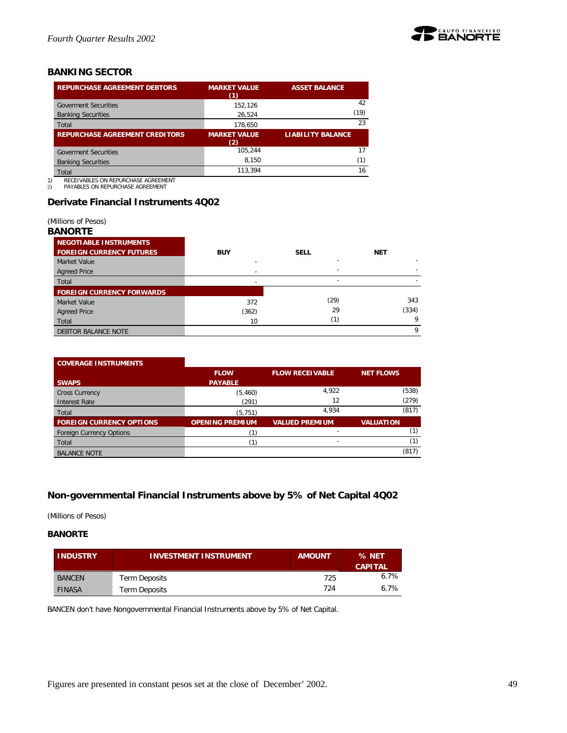

## *BANKING SECTOR*

| <b>REPURCHASE AGREEMENT DEBTORS</b>   | <b>MARKET VALUE</b><br>(1) | <b>ASSET BALANCE</b>     |
|---------------------------------------|----------------------------|--------------------------|
| <b>Goverment Securities</b>           | 152.126                    | 42                       |
| <b>Banking Securities</b>             | 26,524                     | (19)                     |
| Total                                 | 178.650                    | 23                       |
| <b>REPURCHASE AGREEMENT CREDITORS</b> | <b>MARKET VALUE</b><br>(2) | <b>LIABILITY BALANCE</b> |
| <b>Goverment Securities</b>           | 105.244                    | 17                       |
| <b>Banking Securities</b>             | 8.150                      | (1)                      |
|                                       |                            |                          |
| Total                                 | 113.394                    | 16                       |

1) RECEIVABLES ON REPURCHASE AGREEMENT 2) PAYABLES ON REPURCHASE AGREEMENT

## **Derivate Financial Instruments 4Q02**

*(Millions of Pesos)*

## *BANORTE*

| .                                |            |             |            |
|----------------------------------|------------|-------------|------------|
| NEGOTIABLE INSTRUMENTS           |            |             |            |
| <b>FOREIGN CURRENCY FUTURES</b>  | <b>BUY</b> | <b>SELL</b> | <b>NET</b> |
| <b>Market Value</b>              |            |             |            |
| <b>Agreed Price</b>              |            |             |            |
| Total                            |            | -           |            |
| <b>FOREIGN CURRENCY FORWARDS</b> |            |             |            |
| Market Value                     | 372        | (29)        | 343        |
| <b>Agreed Price</b>              | (362)      | 29          | (334)      |
| Total                            | 10         | (1)         | Q          |
| DEBTOR BALANCE NOTE              |            |             | Q          |

## **COVERAGE INSTRUMENTS**

|                                 | <b>FLOW</b>            | <b>FLOW RECEIVABLE</b> | <b>NET FLOWS</b> |
|---------------------------------|------------------------|------------------------|------------------|
| <b>SWAPS</b>                    | <b>PAYABLE</b>         |                        |                  |
| <b>Cross Currency</b>           | (5,460)                | 4,922                  | (538)            |
| Interest Rate                   | (291)                  | 12                     | (279)            |
| Total                           | (5, 751)               | 4.934                  | (817)            |
| <b>FOREIGN CURRENCY OPTIONS</b> | <b>OPENING PREMIUM</b> | <b>VALUED PREMIUM</b>  | <b>VALUATION</b> |
| <b>Foreign Currency Options</b> |                        |                        |                  |
| Total                           |                        | ۰.                     |                  |
| <b>BALANCE NOTE</b>             |                        |                        | (817)            |

## **Non-governmental Financial Instruments above by 5% of Net Capital 4Q02**

*(Millions of Pesos)*

## **BANORTE**

| <b>INDUSTRY</b> | <b>INVESTMENT INSTRUMENT</b> | <b>AMOUNT</b> | % NET<br><b>CAPITAL</b> |
|-----------------|------------------------------|---------------|-------------------------|
| <b>BANCEN</b>   | Term Deposits                | 725           | 6.7%                    |
| <b>FINASA</b>   | Term Deposits                | 724           | 6.7%                    |

BANCEN don't have Nongovernmental Financial Instruments above by 5% of Net Capital.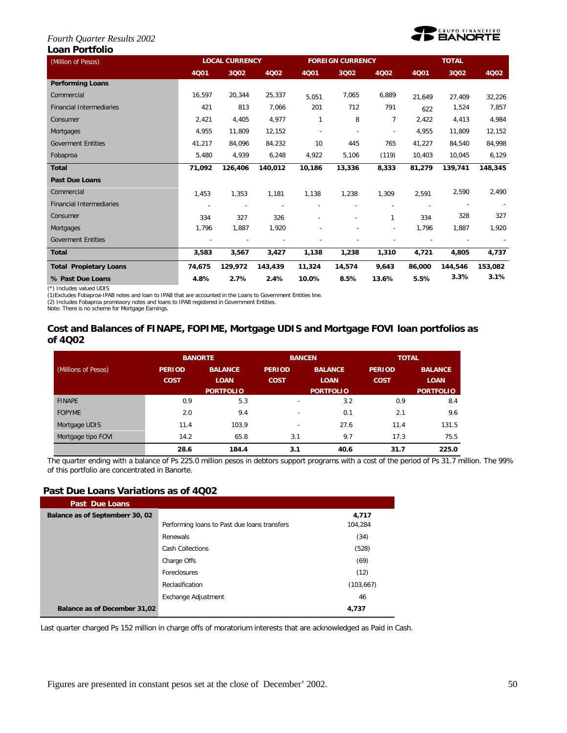#### *Fourth Quarter Results 2002* **Loan Portfolio**



| (Million of Pesos)              | <b>LOCAL CURRENCY</b> |         |         |              | <b>FOREIGN CURRENCY</b> |                          | <b>TOTAL</b> |         |         |
|---------------------------------|-----------------------|---------|---------|--------------|-------------------------|--------------------------|--------------|---------|---------|
|                                 | 4Q01                  | 3Q02    | 4Q02    | 4Q01         | 3Q02                    | 4Q02                     | 4Q01         | 3Q02    | 4002    |
| <b>Performing Loans</b>         |                       |         |         |              |                         |                          |              |         |         |
| Commercial                      | 16,597                | 20,344  | 25,337  | 5,051        | 7,065                   | 6,889                    | 21,649       | 27,409  | 32,226  |
| <b>Financial Intermediaries</b> | 421                   | 813     | 7,066   | 201          | 712                     | 791                      | 622          | 1,524   | 7,857   |
| Consumer                        | 2,421                 | 4,405   | 4,977   | $\mathbf{1}$ | 8                       | $\overline{7}$           | 2,422        | 4,413   | 4,984   |
| Mortgages                       | 4,955                 | 11,809  | 12,152  |              |                         | ÷,                       | 4,955        | 11,809  | 12,152  |
| <b>Goverment Entities</b>       | 41,217                | 84,096  | 84,232  | 10           | 445                     | 765                      | 41,227       | 84,540  | 84,998  |
| Fobaproa                        | 5,480                 | 4,939   | 6,248   | 4,922        | 5,106                   | (119)                    | 10,403       | 10,045  | 6,129   |
| <b>Total</b>                    | 71,092                | 126,406 | 140,012 | 10,186       | 13,336                  | 8,333                    | 81,279       | 139,741 | 148,345 |
| <b>Past Due Loans</b>           |                       |         |         |              |                         |                          |              |         |         |
| Commercial                      | 1,453                 | 1,353   | 1,181   | 1,138        | 1,238                   | 1,309                    | 2,591        | 2,590   | 2,490   |
| <b>Financial Intermediaries</b> |                       |         |         |              |                         |                          |              |         |         |
| Consumer                        | 334                   | 327     | 326     |              |                         | 1                        | 334          | 328     | 327     |
| Mortgages                       | 1,796                 | 1,887   | 1,920   |              |                         | $\overline{\phantom{a}}$ | 1,796        | 1,887   | 1,920   |
| <b>Goverment Entities</b>       |                       |         |         |              |                         |                          |              |         |         |
| <b>Total</b>                    | 3,583                 | 3,567   | 3,427   | 1,138        | 1,238                   | 1,310                    | 4,721        | 4,805   | 4,737   |
| <b>Total Propietary Loans</b>   | 74,675                | 129,972 | 143,439 | 11,324       | 14,574                  | 9,643                    | 86,000       | 144,546 | 153,082 |
| % Past Due Loans                | 4.8%                  | 2.7%    | 2.4%    | 10.0%        | 8.5%                    | 13.6%                    | 5.5%         | 3.3%    | 3.1%    |

(\*) Includes valued UDIS (1)Excludes Fobaproa-IPAB notes and loan to IPAB that are accounted in the Loans to Government Entities line.

(2) Includes Fobaproa promissory notes and loans to IPAB registered in Government Entities. Note: There is no scheme for Mortgage Earnings.

## **Cost and Balances of FINAPE, FOPIME, Mortgage UDIS and Mortgage FOVI loan portfolios as of 4Q02**

|                     |                              | <b>BANORTE</b>                                    | <b>BANCEN</b>                |                                                   | <b>TOTAL</b>                 |                                                   |  |
|---------------------|------------------------------|---------------------------------------------------|------------------------------|---------------------------------------------------|------------------------------|---------------------------------------------------|--|
| (Millions of Pesos) | <b>PERIOD</b><br><b>COST</b> | <b>BALANCE</b><br><b>LOAN</b><br><b>PORTFOLIO</b> | <b>PERIOD</b><br><b>COST</b> | <b>BALANCE</b><br><b>LOAN</b><br><b>PORTFOLIO</b> | <b>PERIOD</b><br><b>COST</b> | <b>BALANCE</b><br><b>LOAN</b><br><b>PORTFOLIO</b> |  |
| <b>FINAPE</b>       | 0.9                          | 5.3                                               | $\overline{\phantom{0}}$     | 3.2                                               | 0.9                          | 8.4                                               |  |
| <b>FOPYME</b>       | 2.0                          | 9.4                                               | $\overline{\phantom{0}}$     | 0.1                                               | 2.1                          | 9.6                                               |  |
| Mortgage UDIS       | 11.4                         | 103.9                                             | $\overline{\phantom{0}}$     | 27.6                                              | 11.4                         | 131.5                                             |  |
| Mortgage tipo FOVI  | 14.2                         | 65.8                                              | 3.1                          | 9.7                                               | 17.3                         | 75.5                                              |  |
|                     | 28.6                         | 184.4                                             | 3.1                          | 40.6                                              | 31.7                         | 225.0                                             |  |

The quarter ending with a balance of Ps 225.0 million pesos in debtors support programs with a cost of the period of Ps 31.7 million. The 99% of this portfolio are concentrated in Banorte.

## **Past Due Loans Variations as of 4Q02**

| Past Due Loans                  |                                              |            |
|---------------------------------|----------------------------------------------|------------|
| Balance as of Septemberr 30, 02 |                                              | 4,717      |
|                                 | Performing loans to Past due loans transfers | 104.284    |
|                                 | Renewals                                     | (34)       |
|                                 | Cash Collections                             | (528)      |
|                                 | Charge Offs                                  | (69)       |
|                                 | Foreclosures                                 | (12)       |
|                                 | Reclasification                              | (103, 667) |
|                                 | Exchange Adjustment                          | 46         |
| Balance as of December 31,02    |                                              | 4,737      |

Last quarter charged Ps 152 million in charge offs of moratorium interests that are acknowledged as Paid in Cash.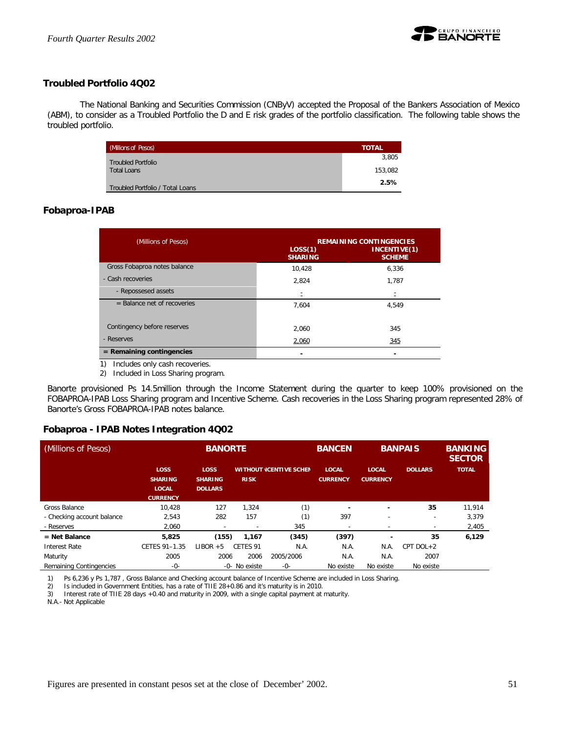

## **Troubled Portfolio 4Q02**

The National Banking and Securities Commission (CNByV) accepted the Proposal of the Bankers Association of Mexico (ABM), to consider as a Troubled Portfolio the D and E risk grades of the portfolio classification. The following table shows the troubled portfolio.

| (Millions of Pesos)              | <b>TOTAL</b> |
|----------------------------------|--------------|
| <b>Troubled Portfolio</b>        | 3,805        |
| <b>Total Loans</b>               | 153.082      |
| Troubled Portfolio / Total Loans | 2.5%         |

## **Fobaproa-IPAB**

| (Millions of Pesos)                 | LOS(1)<br><b>SHARING</b> | <b>REMAINING CONTINGENCIES</b><br>INCENTIVE(1)<br><b>SCHEME</b> |
|-------------------------------------|--------------------------|-----------------------------------------------------------------|
| Gross Fobaproa notes balance        | 10.428                   | 6,336                                                           |
| - Cash recoveries                   | 2,824                    | 1,787                                                           |
| - Repossesed assets                 | Ξ                        | Ξ                                                               |
| $=$ Balance net of recoveries       | 7,604                    | 4.549                                                           |
| Contingency before reserves         | 2.060                    | 345                                                             |
| - Reserves                          | 2,060                    | 345                                                             |
| $=$ Remaining contingencies         |                          |                                                                 |
| Includes only cash recoveries<br>1) |                          |                                                                 |

Includes only cash recoveries.

2) Included in Loss Sharing program.

Banorte provisioned Ps 14.5million through the Income Statement during the quarter to keep 100% provisioned on the FOBAPROA-IPAB Loss Sharing program and Incentive Scheme. Cash recoveries in the Loss Sharing program represented 28% of Banorte's Gross FOBAPROA-IPAB notes balance.

## **Fobaproa - IPAB Notes Integration 4Q02**

| (Millions of Pesos)        |                                                                  | <b>BANORTE</b>                           |               |                                | <b>BANCEN</b>                   |                                 | <b>BANPAIS</b> |              |
|----------------------------|------------------------------------------------------------------|------------------------------------------|---------------|--------------------------------|---------------------------------|---------------------------------|----------------|--------------|
|                            | <b>LOSS</b><br><b>SHARING</b><br><b>LOCAL</b><br><b>CURRENCY</b> | LOSS<br><b>SHARING</b><br><b>DOLLARS</b> | <b>RISK</b>   | <b>WITHOUT (CENTIVE SCHEN)</b> | <b>LOCAL</b><br><b>CURRENCY</b> | <b>LOCAL</b><br><b>CURRENCY</b> | <b>DOLLARS</b> | <b>TOTAL</b> |
| Gross Balance              | 10.428                                                           | 127                                      | 1.324         | (1)                            | -                               |                                 | 35             | 11,914       |
| - Checking account balance | 2,543                                                            | 282                                      | 157           | (1)                            | 397                             | -                               | ٠              | 3,379        |
| - Reserves                 | 2.060                                                            | ٠                                        |               | 345                            | $\overline{\phantom{a}}$        |                                 | -              | 2,405        |
| $=$ Net Balance            | 5,825                                                            | (155)                                    | 1.167         | (345)                          | (397)                           |                                 | 35             | 6,129        |
| Interest Rate              | CETES 91-1.35                                                    | $LIBOR + 5$                              | CFTFS 91      | N.A.                           | N.A.                            | N.A.                            | CPT DOL+2      |              |
| Maturity                   | 2005                                                             | 2006                                     | 2006          | 2005/2006                      | N.A.                            | N.A.                            | 2007           |              |
| Remaining Contingencies    | $-0-$                                                            |                                          | -0- No existe | $-0-$                          | No existe                       | No existe                       | No existe      |              |

1) Ps 6,236 y Ps 1,787, Gross Balance and Checking account balance of Incentive Scheme are included in Loss Sharing.<br>2) Is included in Government Entities, has a rate of TIIE 28+0.86 and it's maturity is in 2010.

2) Is included in Government Entities, has a rate of TIIE 28+0.86 and it's maturity is in 2010.<br>3) Interest rate of TIIE 28 days +0.40 and maturity in 2009, with a single capital payment at

Interest rate of TIIE 28 days +0.40 and maturity in 2009, with a single capital payment at maturity.

N.A.- Not Applicable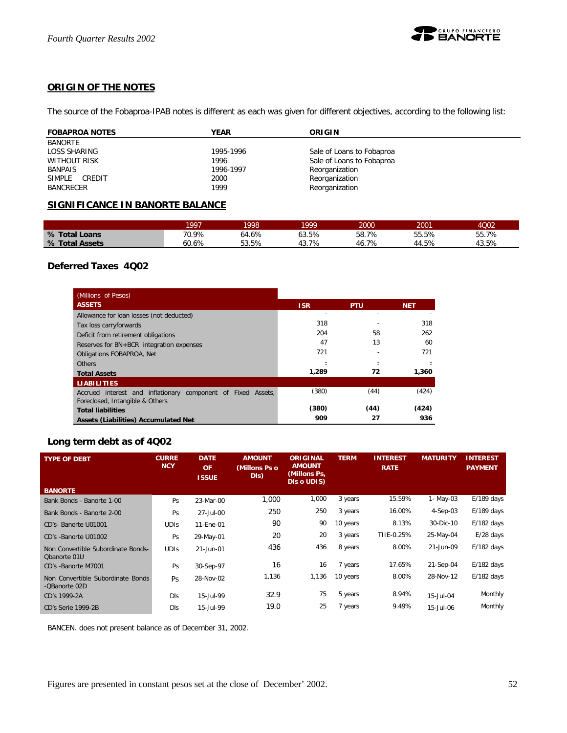

## **ORIGIN OF THE NOTES**

The source of the Fobaproa-IPAB notes is different as each was given for different objectives, according to the following list:

| <b>FOBAPROA NOTES</b> | <b>YEAR</b> | ORIGIN                    |
|-----------------------|-------------|---------------------------|
| BANORTE               |             |                           |
| LOSS SHARING          | 1995-1996   | Sale of Loans to Fobaproa |
| WITHOUT RISK          | 1996        | Sale of Loans to Fobaproa |
| <b>BANPAIS</b>        | 1996-1997   | Reorganization            |
| SIMPLE CREDIT         | 2000        | Reorganization            |
| <b>BANCRECER</b>      | 1999        | Reorganization            |

## **SIGNIFICANCE IN BANORTE BALANCE**

|                | 1997  | 1998  | 1999  | 2000  | 2001  | 4Q02  |
|----------------|-------|-------|-------|-------|-------|-------|
| % Total Loans  | 70.9% | 64.6% | 63.5% | 58.7% | 55.5% | 55.7% |
| % Total Assets | 60.6% | 53.5% | 43.7% | +6.7% | 44.5% | 43.5% |

## **Deferred Taxes 4Q02**

| (Millions of Pesos)                                          |            |            |            |
|--------------------------------------------------------------|------------|------------|------------|
| <b>ASSETS</b>                                                | <b>ISR</b> | <b>PTU</b> | <b>NET</b> |
| Allowance for loan losses (not deducted)                     |            |            |            |
| Tax loss carryforwards                                       | 318        |            | 318        |
| Deficit from retirement obligations                          | 204        | 58         | 262        |
| Reserves for BN+BCR integration expenses                     | 47         | 13         | 60         |
| Obligations FOBAPROA, Net                                    | 721        |            | 721        |
| <b>Others</b>                                                |            |            |            |
| <b>Total Assets</b>                                          | 1.289      | 72         | 1,360      |
| <b>LIABILITIES</b>                                           |            |            |            |
| Accrued interest and inflationary component of Fixed Assets, | (380)      | (44)       | (424)      |
| Foreclosed, Intangible & Others                              |            |            |            |
| <b>Total liabilities</b>                                     | (380)      | (44)       | (424)      |
| <b>Assets (Liabilities) Accumulated Net</b>                  | 909        | 27         | 936        |

## **Long term debt as of 4Q02**

| <b>TYPE OF DEBT</b>                                | <b>CURRE</b><br><b>NCY</b> | <b>DATE</b><br><b>OF</b><br><b>ISSUE</b> | <b>AMOUNT</b><br>(Millons Ps o<br>DIs) | <b>ORIGINAL</b><br><b>AMOUNT</b><br>(Millons Ps,<br>DIs o UDIS) | <b>TERM</b> | <b>INTEREST</b><br><b>RATE</b> | <b>MATURITY</b> | <b>INTEREST</b><br><b>PAYMENT</b> |
|----------------------------------------------------|----------------------------|------------------------------------------|----------------------------------------|-----------------------------------------------------------------|-------------|--------------------------------|-----------------|-----------------------------------|
| <b>BANORTE</b>                                     |                            |                                          |                                        |                                                                 |             |                                |                 |                                   |
| Bank Bonds - Banorte 1-00                          | Ps                         | 23-Mar-00                                | 1,000                                  | 1,000                                                           | 3 years     | 15.59%                         | 1- May-03       | $E/189$ days                      |
| Bank Bonds - Banorte 2-00                          | Ps                         | 27-Jul-00                                | 250                                    | 250                                                             | 3 years     | 16.00%                         | 4-Sep-03        | $E/189$ days                      |
| CD's- Banorte U01001                               | <b>UDIS</b>                | 11-Ene-01                                | 90                                     | 90                                                              | 10 years    | 8.13%                          | 30-Dic-10       | $E/182$ days                      |
| CD's -Banorte U01002                               | Ps                         | 29-May-01                                | 20                                     | 20                                                              | 3 years     | TIIE-0.25%                     | 25-May-04       | $E/28$ days                       |
| Non Convertible Subordinate Bonds-<br>Obanorte 01U | <b>UDIS</b>                | 21-Jun-01                                | 436                                    | 436                                                             | 8 years     | 8.00%                          | 21-Jun-09       | $E/182$ days                      |
| CD's -Banorte M7001                                | Ps                         | 30-Sep-97                                | 16                                     | 16                                                              | 7 years     | 17.65%                         | 21-Sep-04       | $E/182$ days                      |
| Non Convertible Subordinate Bonds<br>-QBanorte 02D | Ps                         | 28-Nov-02                                | 1,136                                  | 1,136                                                           | 10 years    | 8.00%                          | 28-Nov-12       | $E/182$ days                      |
| CD's 1999-2A                                       | <b>DIS</b>                 | 15-Jul-99                                | 32.9                                   | 75                                                              | 5 years     | 8.94%                          | 15-Jul-04       | Monthly                           |
| CD's Serie 1999-2B                                 | <b>DIS</b>                 | 15-Jul-99                                | 19.0                                   | 25                                                              | 7 years     | 9.49%                          | 15-Jul-06       | Monthly                           |

BANCEN. does not present balance as of December 31, 2002.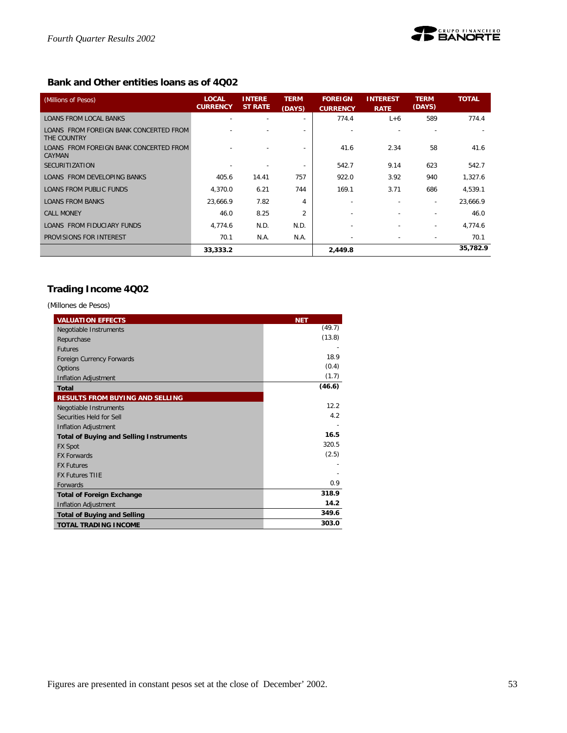

## **Bank and Other entities loans as of 4Q02**

| (Millions of Pesos)                                   | <b>LOCAL</b><br><b>CURRENCY</b> | <b>INTERE</b><br><b>ST RATE</b> | <b>TERM</b><br>(DAYS)    | <b>FOREIGN</b><br><b>CURRENCY</b> | <b>INTEREST</b><br><b>RATE</b> | <b>TERM</b><br>(DAYS)    | <b>TOTAL</b> |
|-------------------------------------------------------|---------------------------------|---------------------------------|--------------------------|-----------------------------------|--------------------------------|--------------------------|--------------|
| <b>LOANS FROM LOCAL BANKS</b>                         |                                 | ٠                               | $\overline{\phantom{a}}$ | 774.4                             | $L+6$                          | 589                      | 774.4        |
| LOANS FROM FOREIGN BANK CONCERTED FROM<br>THE COUNTRY |                                 |                                 |                          |                                   |                                |                          |              |
| LOANS FROM FOREIGN BANK CONCERTED FROM<br>CAYMAN      |                                 |                                 | $\overline{\phantom{a}}$ | 41.6                              | 2.34                           | 58                       | 41.6         |
| <b>SECURITIZATION</b>                                 |                                 |                                 | $\overline{\phantom{a}}$ | 542.7                             | 9.14                           | 623                      | 542.7        |
| LOANS FROM DEVELOPING BANKS                           | 405.6                           | 14.41                           | 757                      | 922.0                             | 3.92                           | 940                      | 1,327.6      |
| LOANS FROM PUBLIC FUNDS                               | 4.370.0                         | 6.21                            | 744                      | 169.1                             | 3.71                           | 686                      | 4.539.1      |
| <b>LOANS FROM BANKS</b>                               | 23.666.9                        | 7.82                            | 4                        | ٠                                 |                                | $\overline{\phantom{a}}$ | 23,666.9     |
| <b>CALL MONEY</b>                                     | 46.0                            | 8.25                            | $\overline{2}$           |                                   |                                |                          | 46.0         |
| LOANS FROM FIDUCIARY FUNDS                            | 4.774.6                         | N.D.                            | N.D.                     |                                   |                                | $\overline{\phantom{a}}$ | 4.774.6      |
| PROVISIONS FOR INTEREST                               | 70.1                            | N.A.                            | N.A.                     |                                   |                                |                          | 70.1         |
|                                                       | 33,333.2                        |                                 |                          | 2,449.8                           |                                |                          | 35,782.9     |

## **Trading Income 4Q02**

*(Millones de Pesos)*

| <b>VALUATION EFFECTS</b>                       | <b>NET</b> |
|------------------------------------------------|------------|
| Negotiable Instruments                         | (49.7)     |
| Repurchase                                     | (13.8)     |
| <b>Futures</b>                                 |            |
| Foreign Currency Forwards                      | 18.9       |
| Options                                        | (0.4)      |
| <b>Inflation Adjustment</b>                    | (1.7)      |
| <b>Total</b>                                   | (46.6)     |
| <b>RESULTS FROM BUYING AND SELLING</b>         |            |
| Negotiable Instruments                         | 12.2       |
| Securities Held for Sell                       | 4.2        |
| Inflation Adjustment                           |            |
| <b>Total of Buying and Selling Instruments</b> | 16.5       |
| <b>FX Spot</b>                                 | 320.5      |
| <b>FX Forwards</b>                             | (2.5)      |
| <b>FX Futures</b>                              |            |
| <b>FX Futures TIIF</b>                         |            |
| Forwards                                       | 0.9        |
| <b>Total of Foreign Exchange</b>               | 318.9      |
| Inflation Adjustment                           | 14.2       |
| <b>Total of Buying and Selling</b>             | 349.6      |
| <b>TOTAL TRADING INCOME</b>                    | 303.0      |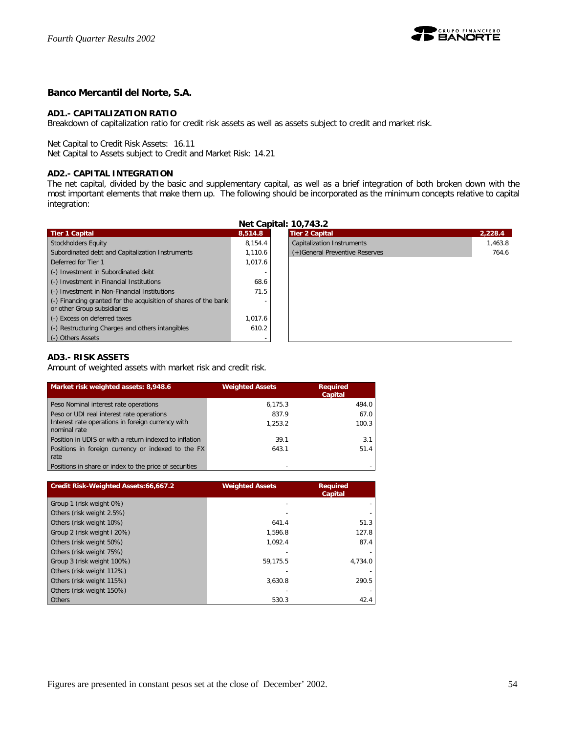

## **Banco Mercantil del Norte, S.A.**

## **AD1.- CAPITALIZATION RATIO**

Breakdown of capitalization ratio for credit risk assets as well as assets subject to credit and market risk.

Net Capital to Credit Risk Assets: 16.11

Net Capital to Assets subject to Credit and Market Risk: 14.21

## **AD2.- CAPITAL INTEGRATION**

The net capital, divided by the basic and supplementary capital, as well as a brief integration of both broken down with the most important elements that make them up. The following should be incorporated as the minimum concepts relative to capital integration:

|                                                                                                        |         | Net Capital: 10,743.2          |         |
|--------------------------------------------------------------------------------------------------------|---------|--------------------------------|---------|
| <b>Tier 1 Capital</b>                                                                                  | 8.514.8 | <b>Tier 2 Capital</b>          | 2.228.4 |
| <b>Stockholders Equity</b>                                                                             | 8.154.4 | Capitalization Instruments     | 1,463.8 |
| Subordinated debt and Capitalization Instruments                                                       | 1.110.6 | (+)General Preventive Reserves | 764.6   |
| Deferred for Tier 1                                                                                    | 1.017.6 |                                |         |
| (-) Investment in Subordinated debt                                                                    |         |                                |         |
| (-) Investment in Financial Institutions                                                               | 68.6    |                                |         |
| (-) Investment in Non-Financial Institutions                                                           | 71.5    |                                |         |
| $\left($ .) Financing granted for the acquisition of shares of the bank<br>or other Group subsidiaries |         |                                |         |
| (-) Excess on deferred taxes                                                                           | 1.017.6 |                                |         |
| (-) Restructuring Charges and others intangibles                                                       | 610.2   |                                |         |
| (-) Others Assets                                                                                      |         |                                |         |

## **AD3.- RISK ASSETS**

Amount of weighted assets with market risk and credit risk.

| Market risk weighted assets: 8,948.6                              | <b>Weighted Assets</b> | <b>Required</b><br>Capital |
|-------------------------------------------------------------------|------------------------|----------------------------|
| Peso Nominal interest rate operations                             | 6,175.3                | 494.0                      |
| Peso or UDI real interest rate operations                         | 837.9                  | 67.0                       |
| Interest rate operations in foreign currency with<br>nominal rate | 1.253.2                | 100.3                      |
| Position in UDIS or with a return indexed to inflation            | 39.1                   | 3.1                        |
| Positions in foreign currency or indexed to the FX<br>rate        | 643.1                  | 51.4                       |
| Positions in share or index to the price of securities            | -                      |                            |

| Credit Risk-Weighted Assets:66,667.2 | <b>Weighted Assets</b> | <b>Required</b><br>Capital |
|--------------------------------------|------------------------|----------------------------|
| Group 1 (risk weight 0%)             |                        |                            |
| Others (risk weight 2.5%)            |                        |                            |
| Others (risk weight 10%)             | 641.4                  | 51.3                       |
| Group 2 (risk weight I 20%)          | 1.596.8                | 127.8                      |
| Others (risk weight 50%)             | 1.092.4                | 87.4                       |
| Others (risk weight 75%)             |                        |                            |
| Group 3 (risk weight 100%)           | 59.175.5               | 4.734.0                    |
| Others (risk weight 112%)            |                        |                            |
| Others (risk weight 115%)            | 3.630.8                | 290.5                      |
| Others (risk weight 150%)            |                        |                            |
| Others                               | 530.3                  | 42.4                       |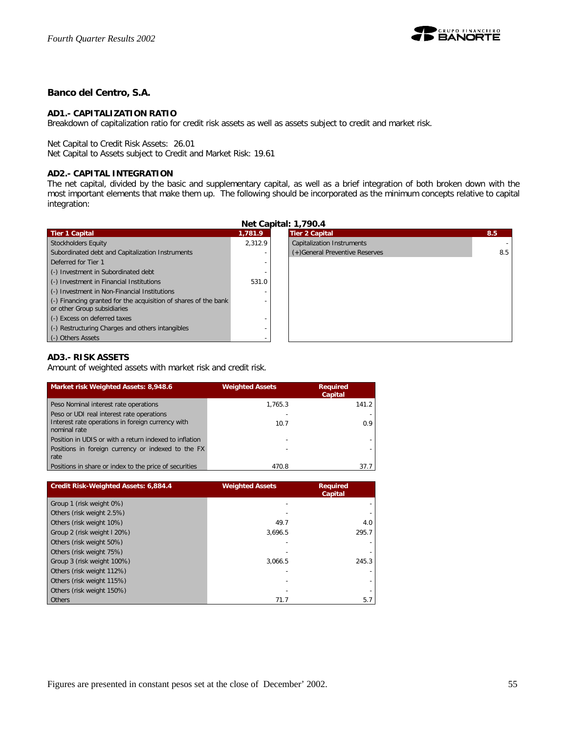

## **Banco del Centro, S.A.**

## **AD1.- CAPITALIZATION RATIO**

Breakdown of capitalization ratio for credit risk assets as well as assets subject to credit and market risk.

Net Capital to Credit Risk Assets: 26.01

Net Capital to Assets subject to Credit and Market Risk: 19.61

## **AD2.- CAPITAL INTEGRATION**

The net capital, divided by the basic and supplementary capital, as well as a brief integration of both broken down with the most important elements that make them up. The following should be incorporated as the minimum concepts relative to capital integration:

| <b>Net Capital: 1,790.4</b>                                                                    |         |                                   |     |  |
|------------------------------------------------------------------------------------------------|---------|-----------------------------------|-----|--|
| <b>Tier 1 Capital</b>                                                                          | 1.781.9 | <b>Tier 2 Capital</b>             | 8.5 |  |
| <b>Stockholders Equity</b>                                                                     | 2.312.9 | <b>Capitalization Instruments</b> |     |  |
| Subordinated debt and Capitalization Instruments                                               |         | (+)General Preventive Reserves    | 8.5 |  |
| Deferred for Tier 1                                                                            |         |                                   |     |  |
| (-) Investment in Subordinated debt                                                            |         |                                   |     |  |
| (-) Investment in Financial Institutions                                                       | 531.0   |                                   |     |  |
| (-) Investment in Non-Financial Institutions                                                   |         |                                   |     |  |
| (-) Financing granted for the acquisition of shares of the bank<br>or other Group subsidiaries |         |                                   |     |  |
| (-) Excess on deferred taxes                                                                   |         |                                   |     |  |
| (-) Restructuring Charges and others intangibles                                               |         |                                   |     |  |
| (-) Others Assets                                                                              |         |                                   |     |  |

## **AD3.- RISK ASSETS**

Amount of weighted assets with market risk and credit risk.

| Market risk Weighted Assets: 8,948.6                              | <b>Weighted Assets</b> | <b>Required</b><br>Capital |
|-------------------------------------------------------------------|------------------------|----------------------------|
| Peso Nominal interest rate operations                             | 1.765.3                | 141.2                      |
| Peso or UDI real interest rate operations                         |                        |                            |
| Interest rate operations in foreign currency with<br>nominal rate | 10.7                   | 0.9                        |
| Position in UDIS or with a return indexed to inflation            |                        |                            |
| Positions in foreign currency or indexed to the FX<br>rate        |                        |                            |
| Positions in share or index to the price of securities            | 470.8                  | 37.7                       |

| Credit Risk-Weighted Assets: 6,884.4 | <b>Weighted Assets</b> | <b>Required</b><br>Capital |
|--------------------------------------|------------------------|----------------------------|
| Group 1 (risk weight 0%)             |                        |                            |
| Others (risk weight 2.5%)            |                        |                            |
| Others (risk weight 10%)             | 49.7                   | 4.0                        |
| Group 2 (risk weight I 20%)          | 3.696.5                | 295.7                      |
| Others (risk weight 50%)             |                        |                            |
| Others (risk weight 75%)             |                        |                            |
| Group 3 (risk weight 100%)           | 3.066.5                | 245.3                      |
| Others (risk weight 112%)            |                        |                            |
| Others (risk weight 115%)            |                        |                            |
| Others (risk weight 150%)            |                        |                            |
| Others                               | 71.7                   | 5.7                        |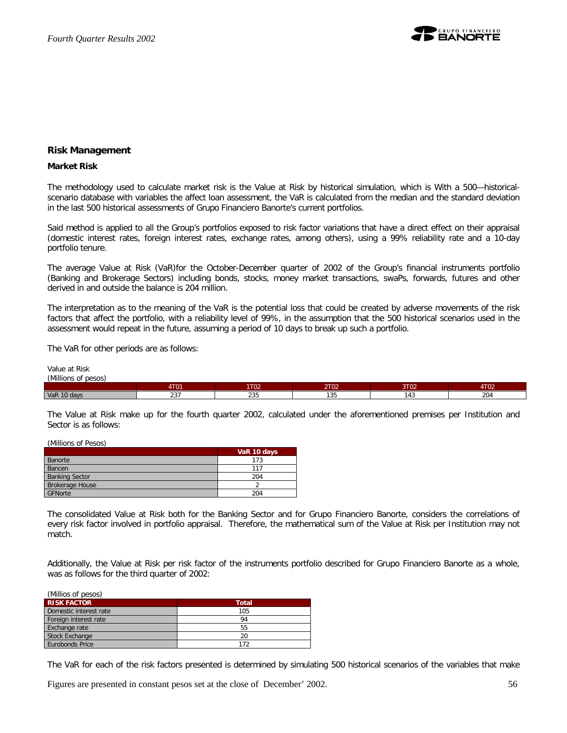

## **Risk Management**

#### **Market Risk**

The methodology used to calculate market risk is the Value at Risk by historical simulation, which is With a 500—historicalscenario database with variables the affect loan assessment, the VaR is calculated from the median and the standard deviation in the last 500 historical assessments of Grupo Financiero Banorte's current portfolios.

Said method is applied to all the Group's portfolios exposed to risk factor variations that have a direct effect on their appraisal (domestic interest rates, foreign interest rates, exchange rates, among others), using a 99% reliability rate and a 10-day portfolio tenure.

The average Value at Risk (VaR)for the October-December quarter of 2002 of the Group's financial instruments portfolio (Banking and Brokerage Sectors) including bonds, stocks, money market transactions, swaPs, forwards, futures and other derived in and outside the balance is 204 million.

The interpretation as to the meaning of the VaR is the potential loss that could be created by adverse movements of the risk factors that affect the portfolio, with a reliability level of 99%, in the assumption that the 500 historical scenarios used in the assessment would repeat in the future, assuming a period of 10 days to break up such a portfolio.

The VaR for other periods are as follows:

Value at Risk *(Millions of pesos)*

| $\mu$                   |                            |                             |                     |                              |                    |
|-------------------------|----------------------------|-----------------------------|---------------------|------------------------------|--------------------|
|                         | $1 + 0$<br>.               | 1T00<br>21 U.S. 2           | $- - - -$<br>$\sim$ | $\lambda + \lambda$<br>1 U Z | $1 + 0 - 0$<br>∣⊍∠ |
| <b>VaR 10</b><br>0 davs | $\sim$ $\sim$ $\sim$<br>ںے | $\sim$ $\sim$ $\sim$<br>ے ک | $\sim$<br>ن د ۱     | 4.3                          | 204                |

The Value at Risk make up for the fourth quarter 2002, calculated under the aforementioned premises per Institution and Sector is as follows:

(Millions of Pesos)

|                        | VaR 10 days |
|------------------------|-------------|
| Banorte                | 173         |
| Bancen                 | 117         |
| <b>Banking Sector</b>  | 204         |
| <b>Brokerage House</b> |             |
| GFNorte                | 204         |

The consolidated Value at Risk both for the Banking Sector and for Grupo Financiero Banorte, considers the correlations of every risk factor involved in portfolio appraisal. Therefore, the mathematical sum of the Value at Risk per Institution may not match.

Additionally, the Value at Risk per risk factor of the instruments portfolio described for Grupo Financiero Banorte as a whole, was as follows for the third quarter of 2002:

| (Millios of pesos)     |              |
|------------------------|--------------|
| <b>RISK FACTOR</b>     | <b>Total</b> |
| Domestic interest rate | 105          |
| Foreign interest rate  | 94           |
| Exchange rate          | 55           |
| <b>Stock Exchange</b>  | 20           |
| Eurobonds Price        | 172          |

The VaR for each of the risk factors presented is determined by simulating 500 historical scenarios of the variables that make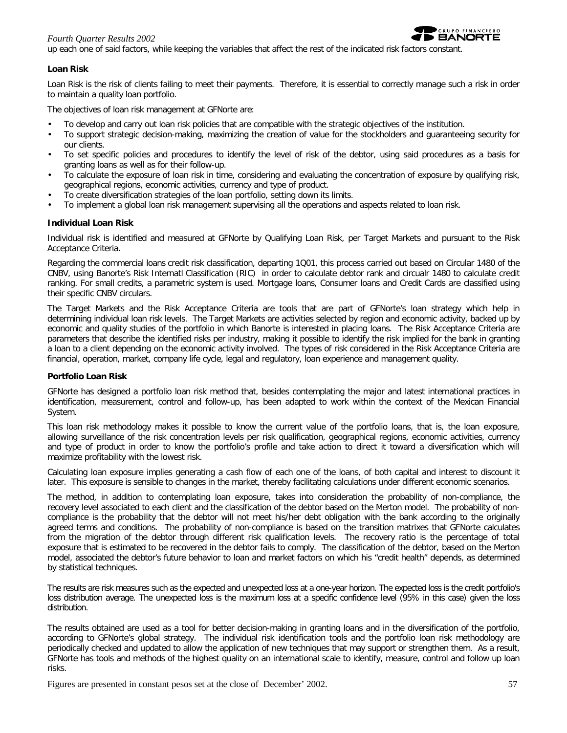## *Fourth Quarter Results 2002*



up each one of said factors, while keeping the variables that affect the rest of the indicated risk factors constant.

## **Loan Risk**

Loan Risk is the risk of clients failing to meet their payments. Therefore, it is essential to correctly manage such a risk in order to maintain a quality loan portfolio.

The objectives of loan risk management at GFNorte are:

- To develop and carry out loan risk policies that are compatible with the strategic objectives of the institution.
- To support strategic decision-making, maximizing the creation of value for the stockholders and guaranteeing security for our clients.
- To set specific policies and procedures to identify the level of risk of the debtor, using said procedures as a basis for granting loans as well as for their follow-up.
- To calculate the exposure of loan risk in time, considering and evaluating the concentration of exposure by qualifying risk, geographical regions, economic activities, currency and type of product.
- To create diversification strategies of the loan portfolio, setting down its limits.
- To implement a global loan risk management supervising all the operations and aspects related to loan risk.

## **Individual Loan Risk**

Individual risk is identified and measured at GFNorte by Qualifying Loan Risk, per Target Markets and pursuant to the Risk Acceptance Criteria.

Regarding the commercial loans credit risk classification, departing 1Q01, this process carried out based on Circular 1480 of the CNBV, using Banorte's Risk Internatl Classification (RIC) in order to calculate debtor rank and circualr 1480 to calculate credit ranking. For small credits, a parametric system is used. Mortgage loans, Consumer loans and Credit Cards are classified using their specific CNBV circulars.

The Target Markets and the Risk Acceptance Criteria are tools that are part of GFNorte's loan strategy which help in determining individual loan risk levels. The Target Markets are activities selected by region and economic activity, backed up by economic and quality studies of the portfolio in which Banorte is interested in placing loans. The Risk Acceptance Criteria are parameters that describe the identified risks per industry, making it possible to identify the risk implied for the bank in granting a loan to a client depending on the economic activity involved. The types of risk considered in the Risk Acceptance Criteria are financial, operation, market, company life cycle, legal and regulatory, loan experience and management quality.

## **Portfolio Loan Risk**

GFNorte has designed a portfolio loan risk method that, besides contemplating the major and latest international practices in identification, measurement, control and follow-up, has been adapted to work within the context of the Mexican Financial System.

This loan risk methodology makes it possible to know the current value of the portfolio loans, that is, *the loan exposure*, allowing surveillance of the risk concentration levels per risk qualification, geographical regions, economic activities, currency and type of product in order to know the portfolio's profile and take action to direct it toward a diversification which will maximize profitability with the lowest risk.

Calculating loan exposure implies generating a cash flow of each one of the loans, of both capital and interest to discount it later. This exposure is sensible to changes in the market, thereby facilitating calculations under different economic scenarios.

The method, in addition to contemplating loan exposure, takes into consideration the probability of non-compliance, the recovery level associated to each client and the classification of the debtor based on the Merton model. The *probability of noncompliance* is the probability that the debtor will not meet his/her debt obligation with the bank according to the originally agreed terms and conditions. The probability of non-compliance is based on the transition matrixes that GFNorte calculates from the migration of the debtor through different risk qualification levels. The *recovery ratio* is the percentage of total exposure that is estimated to be recovered in the debtor fails to comply. The *classification of the debtor*, based on the Merton model, associated the debtor's future behavior to loan and market factors on which his "credit health" depends, as determined by statistical techniques.

The results are risk measures such as the expected and unexpected loss at a one-year horizon. The expected loss is the credit portfolio's loss distribution average. The unexpected loss is the maximum loss at a specific confidence level (95% in this case) given the loss distribution.

The results obtained are used as a tool for better decision-making in granting loans and in the diversification of the portfolio, according to GFNorte's global strategy. The individual risk identification tools and the portfolio loan risk methodology are periodically checked and updated to allow the application of new techniques that may support or strengthen them. As a result, GFNorte has tools and methods of the highest quality on an international scale to identify, measure, control and follow up loan risks.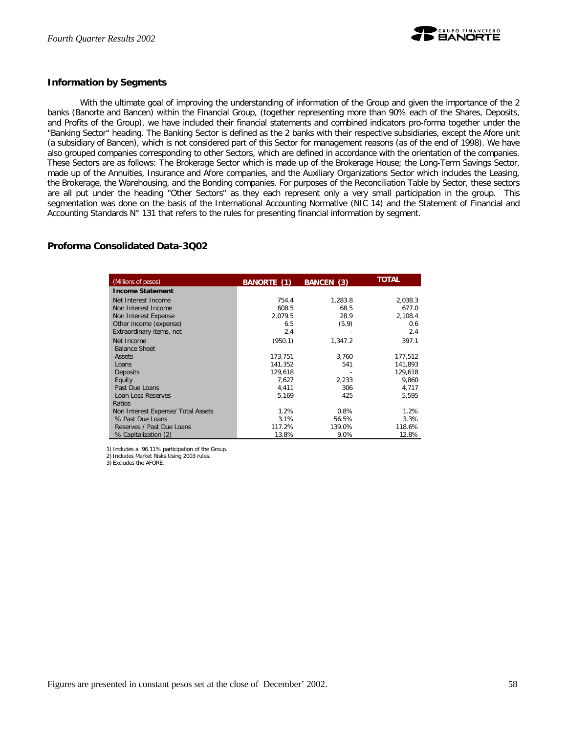

## **Information by Segments**

With the ultimate goal of improving the understanding of information of the Group and given the importance of the 2 banks (Banorte and Bancen) within the Financial Group, (together representing more than 90% each of the Shares, Deposits, and Profits of the Group), we have included their financial statements and combined indicators pro-forma together under the "Banking Sector" heading. The Banking Sector is defined as the 2 banks with their respective subsidiaries, except the Afore unit (a subsidiary of Bancen), which is not considered part of this Sector for management reasons (as of the end of 1998). We have also grouped companies corresponding to other Sectors, which are defined in accordance with the orientation of the companies. These Sectors are as follows: The Brokerage Sector which is made up of the Brokerage House; the Long-Term Savings Sector, made up of the Annuities, Insurance and Afore companies, and the Auxiliary Organizations Sector which includes the Leasing, the Brokerage, the Warehousing, and the Bonding companies. For purposes of the Reconciliation Table by Sector, these sectors are all put under the heading "Other Sectors" as they each represent only a very small participation in the group. This segmentation was done on the basis of the International Accounting Normative (NIC 14) and the Statement of Financial and Accounting Standards N° 131 that refers to the rules for presenting financial information by segment.

## **Proforma Consolidated Data-3Q02**

| (Millions of pesos)                | BANORTE (1) | BANCEN (3) | <b>TOTAL</b> |
|------------------------------------|-------------|------------|--------------|
| <b>Income Statement</b>            |             |            |              |
| Net Interest Income                | 754.4       | 1,283.8    | 2,038.3      |
| Non Interest Income                | 608.5       | 68.5       | 677.0        |
| Non Interest Expense               | 2,079.5     | 28.9       | 2,108.4      |
| Other income (expense)             | 6.5         | (5.9)      | 0.6          |
| Extraordinary items, net           | 2.4         |            | 2.4          |
| Net Income                         | (950.1)     | 1,347.2    | 397.1        |
| <b>Balance Sheet</b>               |             |            |              |
| Assets                             | 173,751     | 3.760      | 177,512      |
| Loans                              | 141.352     | 541        | 141.893      |
| Deposits                           | 129,618     |            | 129,618      |
| Equity                             | 7,627       | 2,233      | 9,860        |
| Past Due Loans                     | 4,411       | 306        | 4,717        |
| Loan Loss Reserves                 | 5,169       | 425        | 5,595        |
| Ratios                             |             |            |              |
| Non Interest Expense/ Total Assets | 1.2%        | 0.8%       | 1.2%         |
| % Past Due Loans                   | 3.1%        | 56.5%      | 3.3%         |
| Reserves / Past Due Loans          | 117.2%      | 139.0%     | 118.6%       |
| % Capitalization (2)               | 13.8%       | 9.0%       | 12.8%        |

1) Includes a 96.11% participation of the Group.

2) Includes Market Risks.Using 2003 rules.

3) Excludes the AFORE.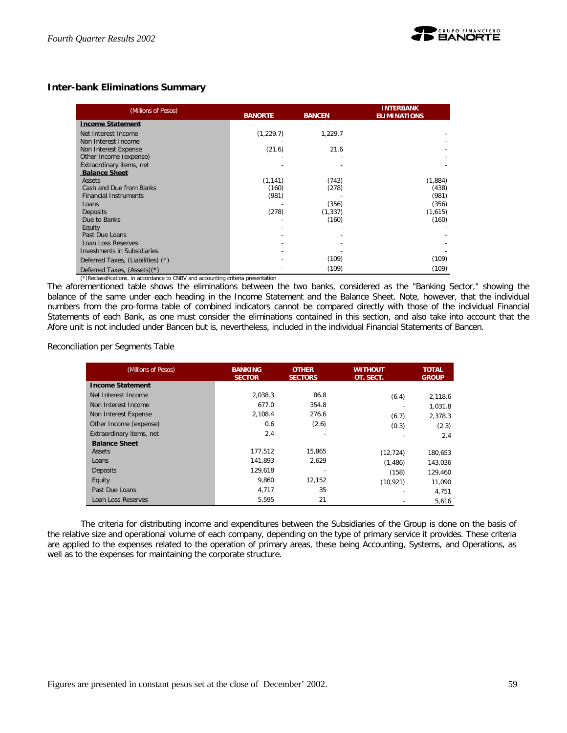## **Inter-bank Eliminations Summary**

| (Millions of Pesos)               | <b>BANORTE</b> | <b>BANCEN</b> | <b>INTERBANK</b><br><b>ELIMINATIONS</b> |
|-----------------------------------|----------------|---------------|-----------------------------------------|
| <b>Income Statement</b>           |                |               |                                         |
| Net Interest Income               | (1,229.7)      | 1,229.7       |                                         |
| Non Interest Income               |                |               |                                         |
| Non Interest Expense              | (21.6)         | 21.6          |                                         |
| Other Income (expense)            |                |               |                                         |
| Extraordinary items, net          |                |               |                                         |
| <b>Balance Sheet</b>              |                |               |                                         |
| Assets                            | (1, 141)       | (743)         | (1,884)                                 |
| Cash and Due from Banks           | (160)          | (278)         | (438)                                   |
| <b>Financial Instruments</b>      | (981)          |               | (981)                                   |
| Loans                             |                | (356)         | (356)                                   |
| Deposits                          | (278)          | (1, 337)      | (1,615)                                 |
| Due to Banks                      |                | (160)         | (160)                                   |
| Equity                            |                |               |                                         |
| Past Due Loans                    |                |               |                                         |
| Loan Loss Reserves                |                |               |                                         |
| Investments in Subsidiaries       |                |               |                                         |
| Deferred Taxes, (Liabilities) (*) |                | (109)         | (109)                                   |
| Deferred Taxes, (Assets)(*)       |                | (109)         | (109)                                   |

(\*)Reclassifications, in accordance to CNBV and accounting criteria presentation

The aforementioned table shows the eliminations between the two banks, considered as the "Banking Sector," showing the balance of the same under each heading in the Income Statement and the Balance Sheet. Note, however, that the individual numbers from the pro-forma table of combined indicators cannot be compared directly with those of the individual Financial Statements of each Bank, as one must consider the eliminations contained in this section, and also take into account that the Afore unit is not included under Bancen but *is*, nevertheless, included in the individual Financial Statements of Bancen.

Reconciliation per Segments Table

| (Millions of Pesos)      | <b>BANKING</b><br><b>SECTOR</b> | <b>OTHER</b><br><b>SECTORS</b> | <b>WITHOUT</b><br>OT. SECT. | <b>TOTAL</b><br><b>GROUP</b> |
|--------------------------|---------------------------------|--------------------------------|-----------------------------|------------------------------|
| <b>Income Statement</b>  |                                 |                                |                             |                              |
| Net Interest Income      | 2.038.3                         | 86.8                           | (6.4)                       | 2,118.6                      |
| Non Interest Income      | 677.0                           | 354.8                          |                             | 1,031.8                      |
| Non Interest Expense     | 2,108.4                         | 276.6                          | (6.7)                       | 2.378.3                      |
| Other Income (expense)   | 0.6                             | (2.6)                          | (0.3)                       | (2.3)                        |
| Extraordinary items, net | 2.4                             |                                |                             | 2.4                          |
| <b>Balance Sheet</b>     |                                 |                                |                             |                              |
| Assets                   | 177,512                         | 15.865                         | (12, 724)                   | 180,653                      |
| Loans                    | 141.893                         | 2.629                          | (1,486)                     | 143.036                      |
| Deposits                 | 129.618                         |                                | (158)                       | 129,460                      |
| Equity                   | 9.860                           | 12.152                         | (10, 921)                   | 11,090                       |
| Past Due Loans           | 4,717                           | 35                             |                             | 4,751                        |
| Loan Loss Reserves       | 5,595                           | 21                             |                             | 5,616                        |

The criteria for distributing income and expenditures between the Subsidiaries of the Group is done on the basis of the relative size and operational volume of each company, depending on the type of primary service it provides. These criteria are applied to the expenses related to the operation of primary areas, these being Accounting, Systems, and Operations, as well as to the expenses for maintaining the corporate structure.